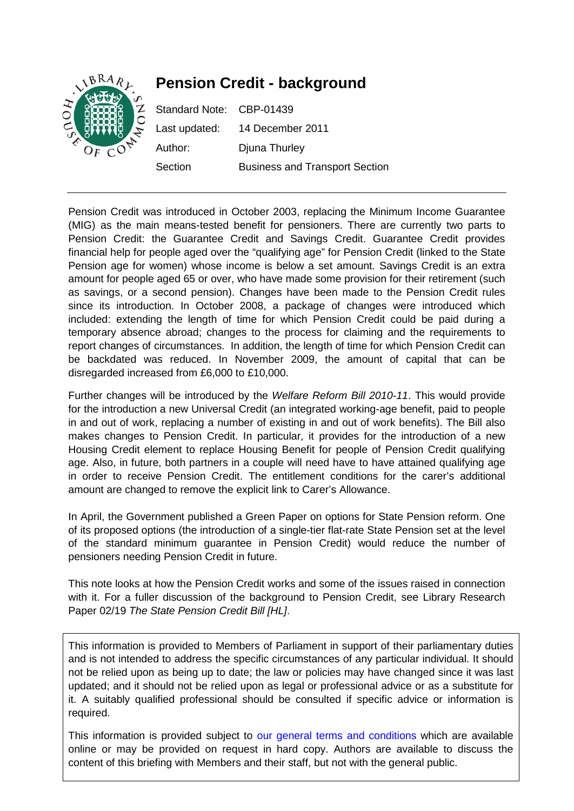

Pension Credit was introduced in October 2003, replacing the Minimum Income Guarantee (MIG) as the main means-tested benefit for pensioners. There are currently two parts to Pension Credit: the Guarantee Credit and Savings Credit. Guarantee Credit provides financial help for people aged over the "qualifying age" for Pension Credit (linked to the State Pension age for women) whose income is below a set amount. Savings Credit is an extra amount for people aged 65 or over, who have made some provision for their retirement (such as savings, or a second pension). Changes have been made to the Pension Credit rules since its introduction. In October 2008, a package of changes were introduced which included: extending the length of time for which Pension Credit could be paid during a temporary absence abroad; changes to the process for claiming and the requirements to report changes of circumstances. In addition, the length of time for which Pension Credit can be backdated was reduced. In November 2009, the amount of capital that can be disregarded increased from £6,000 to £10,000.

Further changes will be introduced by the *[Welfare Reform Bill 2010-11](http://www.publications.parliament.uk/pa/cm201011/cmbills/154/11154.i-v.html)*. This would provide for the introduction a new Universal Credit (an integrated working-age benefit, paid to people in and out of work, replacing a number of existing in and out of work benefits). The Bill also makes changes to Pension Credit. In particular, it provides for the introduction of a new Housing Credit element to replace Housing Benefit for people of Pension Credit qualifying age. Also, in future, both partners in a couple will need have to have attained qualifying age in order to receive Pension Credit. The entitlement conditions for the carer's additional amount are changed to remove the explicit link to Carer's Allowance.

In April, the Government published a Green Paper on options for State Pension reform. One of its proposed options (the introduction of a single-tier flat-rate State Pension set at the level of the standard minimum guarantee in Pension Credit) would reduce the number of pensioners needing Pension Credit in future.

This note looks at how the Pension Credit works and some of the issues raised in connection with it. For a fuller discussion of the background to Pension Credit, see Library Research Paper 02/19 *The State Pension Credit Bill [HL]*.

This information is provided to Members of Parliament in support of their parliamentary duties and is not intended to address the specific circumstances of any particular individual. It should not be relied upon as being up to date; the law or policies may have changed since it was last updated; and it should not be relied upon as legal or professional advice or as a substitute for it. A suitably qualified professional should be consulted if specific advice or information is required.

This information is provided subject to [our general terms and conditions](http://www.parliament.uk/site_information/parliamentary_copyright.cfm) which are available online or may be provided on request in hard copy. Authors are available to discuss the content of this briefing with Members and their staff, but not with the general public.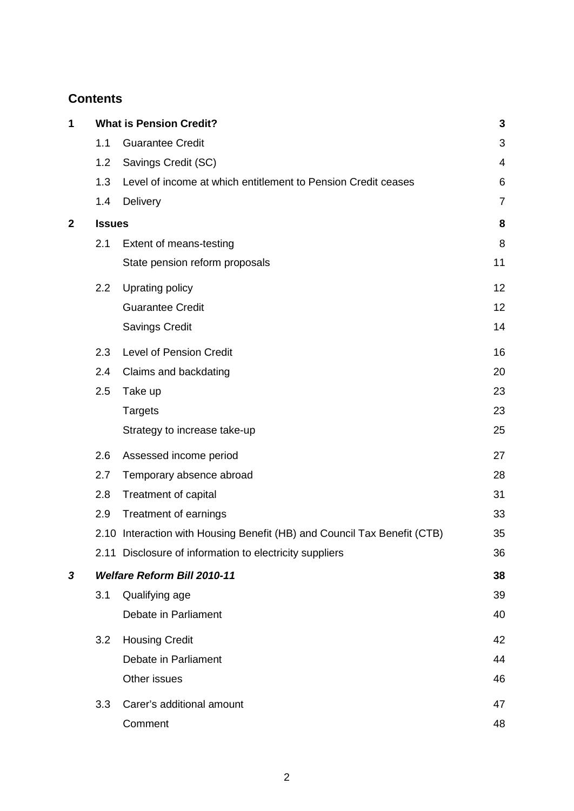# **Contents**

| 1           |                                    | <b>What is Pension Credit?</b>                                           | $\mathbf{3}$ |  |
|-------------|------------------------------------|--------------------------------------------------------------------------|--------------|--|
|             | 1.1                                | <b>Guarantee Credit</b>                                                  | 3            |  |
|             | 1.2                                | Savings Credit (SC)                                                      | 4            |  |
|             | 1.3                                | Level of income at which entitlement to Pension Credit ceases            | 6            |  |
|             | 1.4                                | Delivery                                                                 | 7            |  |
| $\mathbf 2$ | <b>Issues</b>                      |                                                                          | 8            |  |
|             | 2.1                                | Extent of means-testing                                                  | 8            |  |
|             |                                    | State pension reform proposals                                           | 11           |  |
|             | 2.2                                | Uprating policy                                                          | 12           |  |
|             |                                    | <b>Guarantee Credit</b>                                                  | 12           |  |
|             |                                    | <b>Savings Credit</b>                                                    | 14           |  |
|             | 2.3                                | Level of Pension Credit                                                  | 16           |  |
|             | 2.4                                | Claims and backdating                                                    | 20           |  |
|             | 2.5                                | Take up                                                                  | 23           |  |
|             |                                    | <b>Targets</b>                                                           | 23           |  |
|             |                                    | Strategy to increase take-up                                             | 25           |  |
|             | 2.6                                | Assessed income period                                                   | 27           |  |
|             | 2.7                                | Temporary absence abroad                                                 | 28           |  |
|             | 2.8                                | Treatment of capital                                                     | 31           |  |
|             | 2.9                                | Treatment of earnings                                                    | 33           |  |
|             |                                    | 2.10 Interaction with Housing Benefit (HB) and Council Tax Benefit (CTB) | 35           |  |
|             |                                    | 2.11 Disclosure of information to electricity suppliers                  | 36           |  |
| 3           | <b>Welfare Reform Bill 2010-11</b> |                                                                          |              |  |
|             | 3.1                                | Qualifying age                                                           | 39           |  |
|             |                                    | Debate in Parliament                                                     | 40           |  |
|             | 3.2                                | <b>Housing Credit</b>                                                    | 42           |  |
|             |                                    | Debate in Parliament                                                     | 44           |  |
|             |                                    | Other issues                                                             | 46           |  |
|             | 3.3                                | Carer's additional amount                                                | 47           |  |
|             |                                    | Comment                                                                  | 48           |  |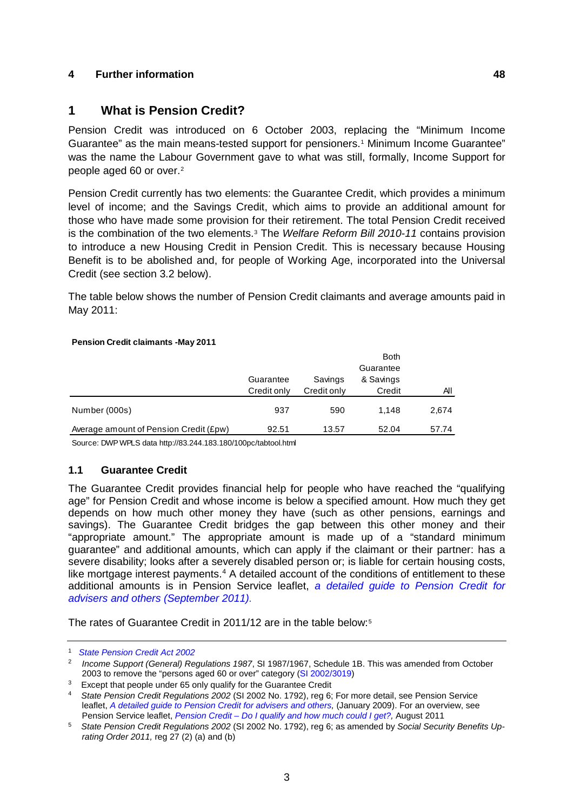## **4 Further information 48**

## <span id="page-2-6"></span>**1 What is Pension Credit?**

Pension Credit was introduced on 6 October 2003, replacing the "Minimum Income Guarantee" as the main means-tested support for pensioners.[1](#page-2-0) Minimum Income Guarantee" was the name the Labour Government gave to what was still, formally, Income Support for people aged 60 or over.[2](#page-2-1)

Pension Credit currently has two elements: the Guarantee Credit, which provides a minimum level of income; and the Savings Credit, which aims to provide an additional amount for those who have made some provision for their retirement. The total Pension Credit received is the combination of the two elements.[3](#page-2-2) The *Welfare Reform Bill 2010-11* contains provision to introduce a new Housing Credit in Pension Credit. This is necessary because Housing Benefit is to be abolished and, for people of Working Age, incorporated into the Universal Credit (see section [3.2 below\)](#page-41-0).

The table below shows the number of Pension Credit claimants and average amounts paid in May 2011:

#### **Pension Credit claimants -May 2011**

|                                        | Guarantee<br>Credit only | Savings<br>Credit only | <b>Both</b><br>Guarantee<br>& Savings<br>Credit | ΑIΙ   |
|----------------------------------------|--------------------------|------------------------|-------------------------------------------------|-------|
| Number (000s)                          | 937                      | 590                    | 1.148                                           | 2,674 |
| Average amount of Pension Credit (£pw) | 92.51                    | 13.57                  | 52.04                                           | 57.74 |

Source: DWP WPLS data http://83.244.183.180/100pc/tabtool.html

### <span id="page-2-5"></span>**1.1 Guarantee Credit**

The Guarantee Credit provides financial help for people who have reached the "qualifying age" for Pension Credit and whose income is below a specified amount. How much they get depends on how much other money they have (such as other pensions, earnings and savings). The Guarantee Credit bridges the gap between this other money and their "appropriate amount." The appropriate amount is made up of a "standard minimum guarantee" and additional amounts, which can apply if the claimant or their partner: has a severe disability; looks after a severely disabled person or; is liable for certain housing costs, like mortgage interest payments.<sup>[4](#page-2-3)</sup> A detailed account of the conditions of entitlement to these additional amounts is in Pension Service leaflet, *[a detailed guide to Pension Credit for](http://www.dwp.gov.uk/publications/specialist-guides/technical-guidance/pc10s-guide-to-pension-credit/)  [advisers and others \(September 2011\).](http://www.dwp.gov.uk/publications/specialist-guides/technical-guidance/pc10s-guide-to-pension-credit/)*

The rates of Guarantee Credit in 2011/12 are in the table below:[5](#page-2-4)

<span id="page-2-0"></span><sup>1</sup> *[State Pension Credit Act 2002](http://www.legislation.gov.uk/ukpga/2002/16/contents)*

<span id="page-2-1"></span><sup>2</sup> *Income Support (General) Regulations 1987*, SI 1987/1967, Schedule 1B. This was amended from October 2003 to remove the "persons aged 60 or over" category [\(SI 2002/3019\)](http://www.legislation.gov.uk/uksi/2002/3019/contents/made)

<span id="page-2-2"></span> $3$  Except that people under 65 only qualify for the Guarantee Credit

<span id="page-2-3"></span><sup>4</sup> *State Pension Credit Regulations 2002* (SI 2002 No. 1792), reg 6; For more detail, see Pension Service leaflet, *[A detailed guide to Pension Credit for advisers and others,](http://collections.europarchive.org/tna/20090723175444/http:/www.thepensionservice.gov.uk/pdf/pensioncredit/pc10sjan09.pdf) (January 2009). For an overview, see Pension Service leaflet, Pension Credit - Do I qualify and how much could I get?, August 2011* 

<span id="page-2-4"></span><sup>&</sup>lt;sup>5</sup> State Pension Credit Regulations 2002 (SI 2002 No. 1792), reg 6; as amended by Social Security Benefits Up*rating Order 2011,* reg 27 (2) (a) and (b)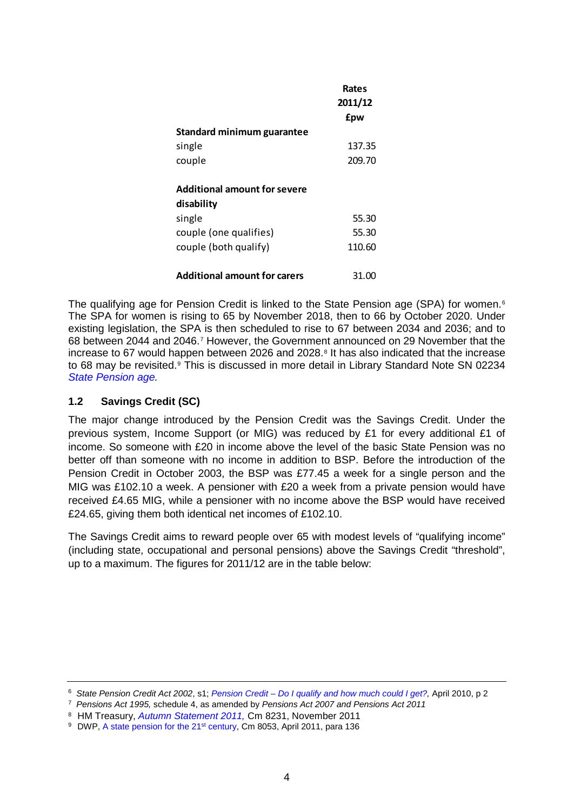|                                                   | Rates<br>2011/12 |
|---------------------------------------------------|------------------|
|                                                   | <b>f</b> pw      |
| Standard minimum guarantee                        |                  |
| single                                            | 137.35           |
| couple                                            | 209.70           |
| <b>Additional amount for severe</b><br>disability |                  |
| single                                            | 55.30            |
| couple (one qualifies)                            | 55.30            |
| couple (both qualify)                             | 110.60           |
| <b>Additional amount for carers</b>               | 31.00            |

The qualifying age for Pension Credit is linked to the State Pension age (SPA) for women.<sup>[6](#page-3-0)</sup> The SPA for women is rising to 65 by November 2018, then to 66 by October 2020. Under existing legislation, the SPA is then scheduled to rise to 67 between 2034 and 2036; and to 68 between 2044 and 2046.[7](#page-3-1) However, the Government announced on 29 November that the increase to 67 would happen between 2026 and 202[8](#page-3-2).<sup>8</sup> It has also indicated that the increase to 68 may be revisited.<sup>[9](#page-3-3)</sup> This is discussed in more detail in Library Standard Note SN 02234 *[State Pension age.](http://www.parliament.uk/briefing-papers/SN02234)*

## **1.2 Savings Credit (SC)**

The major change introduced by the Pension Credit was the Savings Credit. Under the previous system, Income Support (or MIG) was reduced by £1 for every additional £1 of income. So someone with £20 in income above the level of the basic State Pension was no better off than someone with no income in addition to BSP. Before the introduction of the Pension Credit in October 2003, the BSP was £77.45 a week for a single person and the MIG was £102.10 a week. A pensioner with £20 a week from a private pension would have received £4.65 MIG, while a pensioner with no income above the BSP would have received £24.65, giving them both identical net incomes of £102.10.

The Savings Credit aims to reward people over 65 with modest levels of "qualifying income" (including state, occupational and personal pensions) above the Savings Credit "threshold", up to a maximum. The figures for 2011/12 are in the table below:

<span id="page-3-0"></span><sup>6</sup> *State Pension Credit Act 2002*, s1; *Pension Credit – [Do I qualify and how much could I get?,](http://www.direct.gov.uk/prod_consum_dg/groups/dg_digitalassets/@dg/@en/@over50/documents/digitalasset/dg_180224.pdf)* April 2010, p 2

<span id="page-3-1"></span><sup>7</sup> *Pensions Act 1995,* schedule 4, as amended by *Pensions Act 2007 and Pensions Act 2011*

<span id="page-3-2"></span><sup>&</sup>lt;sup>8</sup> HM Treasury, *[Autumn Statement 2011,](http://cdn.hm-treasury.gov.uk/autumn_statement.pdf#page=25) Cm 8231, November 2011*<br><sup>9</sup> DWP, A state pension for the 21<sup>st</sup> century, Cm 8053, April 2011, para 136

<span id="page-3-3"></span>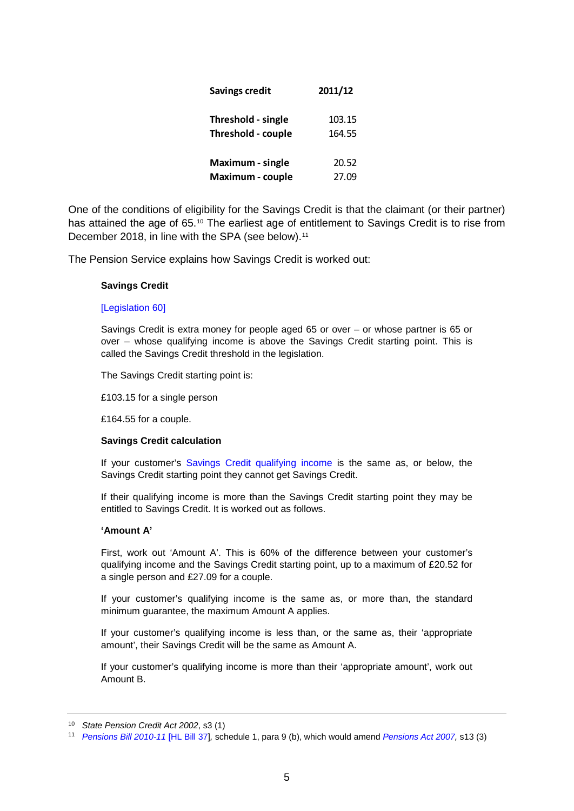| <b>Savings credit</b>   | 2011/12 |
|-------------------------|---------|
| Threshold - single      | 103.15  |
| Threshold - couple      | 164.55  |
| Maximum - single        | 20.52   |
| <b>Maximum - couple</b> | 27.09   |

One of the conditions of eligibility for the Savings Credit is that the claimant (or their partner) has attained the age of 65.<sup>[10](#page-4-0)</sup> The earliest age of entitlement to Savings Credit is to rise from December 2018, in line with the SPA (see below).<sup>[11](#page-4-1)</sup>

The Pension Service explains how Savings Credit is worked out:

#### **Savings Credit**

#### [\[Legislation 60\]](http://www.dwp.gov.uk/publications/specialist-guides/technical-guidance/pc10s-guide-to-pension-credit/publications/specialist-guides/technical-guidance/pc10s-guide-to-pension-credit/legislation/#60)

Savings Credit is extra money for people aged 65 or over – or whose partner is 65 or over – whose qualifying income is above the Savings Credit starting point. This is called the Savings Credit threshold in the legislation.

The Savings Credit starting point is:

£103.15 for a single person

£164.55 for a couple.

#### **Savings Credit calculation**

If your customer's [Savings Credit qualifying income](http://www.dwp.gov.uk/publications/specialist-guides/technical-guidance/pc10s-guide-to-pension-credit/income-rules/#qualifyingincome) is the same as, or below, the Savings Credit starting point they cannot get Savings Credit.

If their qualifying income is more than the Savings Credit starting point they may be entitled to Savings Credit. It is worked out as follows.

#### **'Amount A'**

First, work out 'Amount A'. This is 60% of the difference between your customer's qualifying income and the Savings Credit starting point, up to a maximum of £20.52 for a single person and £27.09 for a couple.

If your customer's qualifying income is the same as, or more than, the standard minimum guarantee, the maximum Amount A applies.

If your customer's qualifying income is less than, or the same as, their 'appropriate amount', their Savings Credit will be the same as Amount A.

If your customer's qualifying income is more than their 'appropriate amount', work out Amount B.

<span id="page-4-0"></span><sup>10</sup> *State Pension Credit Act 2002*, s3 (1)

<span id="page-4-1"></span><sup>11</sup> *[Pensions Bill 2010-11](http://www.publications.parliament.uk/pa/ld201011/ldbills/037/11037.i-ii.html)* [HL Bill 37]*,* schedule 1, para 9 (b), which would amend *[Pensions Act 2007,](http://www.legislation.gov.uk/ukpga/2007/22/contents)* s13 (3)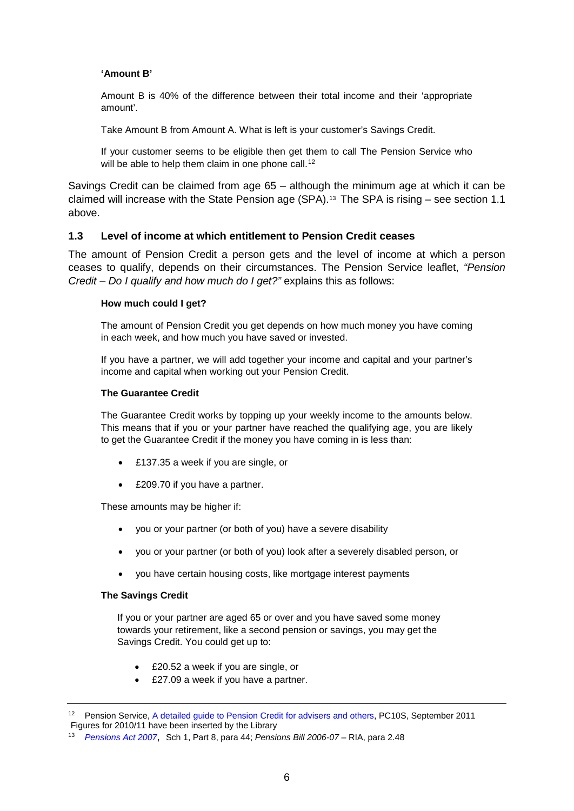#### **'Amount B'**

Amount B is 40% of the difference between their total income and their 'appropriate amount'.

Take Amount B from Amount A. What is left is your customer's Savings Credit.

If your customer seems to be eligible then get them to call The Pension Service who will be able to help them claim in one phone call.<sup>[12](#page-5-0)</sup>

Savings Credit can be claimed from age 65 – although the minimum age at which it can be claimed will increase with the State Pension age (SPA).[13](#page-5-1) The SPA is rising – see section [1.1](#page-2-5)  [above.](#page-2-5)

### **1.3 Level of income at which entitlement to Pension Credit ceases**

The amount of Pension Credit a person gets and the level of income at which a person ceases to qualify, depends on their circumstances. The Pension Service leaflet, *"Pension Credit – Do I qualify and how much do I get?"* explains this as follows:

#### **How much could I get?**

The amount of Pension Credit you get depends on how much money you have coming in each week, and how much you have saved or invested.

If you have a partner, we will add together your income and capital and your partner's income and capital when working out your Pension Credit.

#### **The Guarantee Credit**

The Guarantee Credit works by topping up your weekly income to the amounts below. This means that if you or your partner have reached the qualifying age, you are likely to get the Guarantee Credit if the money you have coming in is less than:

- £137.35 a week if you are single, or
- £209.70 if you have a partner.

These amounts may be higher if:

- you or your partner (or both of you) have a severe disability
- you or your partner (or both of you) look after a severely disabled person, or
- you have certain housing costs, like mortgage interest payments

#### **The Savings Credit**

If you or your partner are aged 65 or over and you have saved some money towards your retirement, like a second pension or savings, you may get the Savings Credit. You could get up to:

- £20.52 a week if you are single, or
- £27.09 a week if you have a partner.

<span id="page-5-0"></span><sup>12</sup> Pension Service, [A detailed guide to Pension Credit for advisers and others,](http://www.dwp.gov.uk/publications/specialist-guides/technical-guidance/pc10s-guide-to-pension-credit/how-pension-credit-is-worked/#calculation) PC10S, September 2011 Figures for 2010/11 have been inserted by the Library

<span id="page-5-1"></span><sup>13</sup> *[Pensions Act 2007](http://www.opsi.gov.uk/acts/acts2007/ukpga_20070022_en_1)*, Sch 1, Part 8, para 44; *Pensions Bill 2006-07* – RIA, para 2.48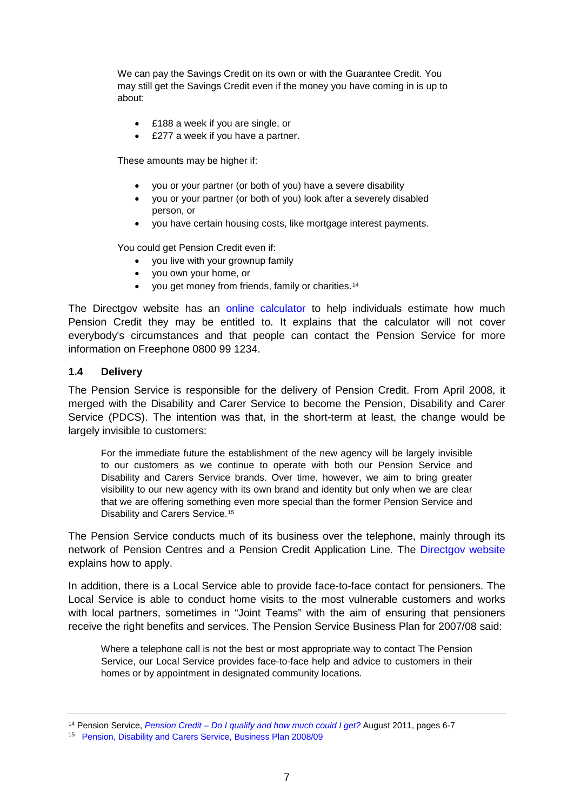We can pay the Savings Credit on its own or with the Guarantee Credit. You may still get the Savings Credit even if the money you have coming in is up to about:

- £188 a week if you are single, or
- £277 a week if you have a partner.

These amounts may be higher if:

- you or your partner (or both of you) have a severe disability
- you or your partner (or both of you) look after a severely disabled person, or
- you have certain housing costs, like mortgage interest payments.

You could get Pension Credit even if:

- vou live with your grownup family
- you own your home, or
- you get money from friends, family or charities.<sup>[14](#page-6-0)</sup>

The Directgov website has an [online calculator](http://www.direct.gov.uk/en/Pensionsandretirementplanning/PensionCredit/DG_180167) to help individuals estimate how much Pension Credit they may be entitled to. It explains that the calculator will not cover everybody's circumstances and that people can contact the Pension Service for more information on Freephone 0800 99 1234.

### **1.4 Delivery**

The Pension Service is responsible for the delivery of Pension Credit. From April 2008, it merged with the Disability and Carer Service to become the Pension, Disability and Carer Service (PDCS). The intention was that, in the short-term at least, the change would be largely invisible to customers:

For the immediate future the establishment of the new agency will be largely invisible to our customers as we continue to operate with both our Pension Service and Disability and Carers Service brands. Over time, however, we aim to bring greater visibility to our new agency with its own brand and identity but only when we are clear that we are offering something even more special than the former Pension Service and Disability and Carers Service.[15](#page-6-1)

The Pension Service conducts much of its business over the telephone, mainly through its network of Pension Centres and a Pension Credit Application Line. The [Directgov website](http://www.direct.gov.uk/en/Pensionsandretirementplanning/PensionCredit/DG_10018692) explains how to apply.

In addition, there is a Local Service able to provide face-to-face contact for pensioners. The Local Service is able to conduct home visits to the most vulnerable customers and works with local partners, sometimes in "Joint Teams" with the aim of ensuring that pensioners receive the right benefits and services. The Pension Service Business Plan for 2007/08 said:

Where a telephone call is not the best or most appropriate way to contact The Pension Service, our Local Service provides face-to-face help and advice to customers in their homes or by appointment in designated community locations.

<span id="page-6-0"></span><sup>14</sup> Pension Service, *Pension Credit – [Do I qualify and how much could I get?](http://www.direct.gov.uk/prod_consum_dg/groups/dg_digitalassets/@dg/@en/@over50/documents/digitalasset/dg_180224.pdf)* August 2011, pages 6-7

<span id="page-6-1"></span><sup>15</sup> [Pension, Disability and Carers Service, Business Plan 2008/09](http://collections.europarchive.org/tna/20090605200921/http:/www.dwp.gov.uk/lifeevent/benefits/dcs/pdcs-busplan-08-09.pdf)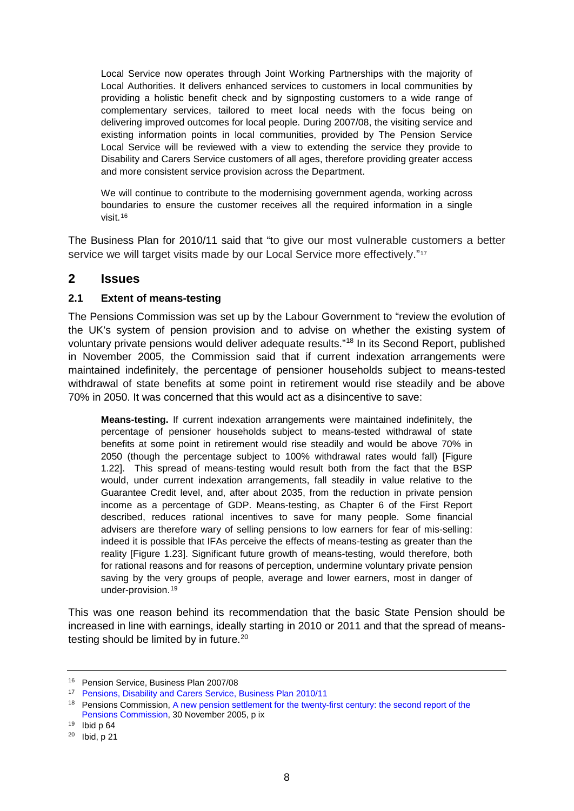Local Service now operates through Joint Working Partnerships with the majority of Local Authorities. It delivers enhanced services to customers in local communities by providing a holistic benefit check and by signposting customers to a wide range of complementary services, tailored to meet local needs with the focus being on delivering improved outcomes for local people. During 2007/08, the visiting service and existing information points in local communities, provided by The Pension Service Local Service will be reviewed with a view to extending the service they provide to Disability and Carers Service customers of all ages, therefore providing greater access and more consistent service provision across the Department.

We will continue to contribute to the modernising government agenda, working across boundaries to ensure the customer receives all the required information in a single visit.[16](#page-7-0)

The Business Plan for 2010/11 said that "to give our most vulnerable customers a better service we will target visits made by our Local Service more effectively."<sup>[17](#page-7-1)</sup>

## **2 Issues**

## **2.1 Extent of means-testing**

The Pensions Commission was set up by the Labour Government to "review the evolution of the UK's system of pension provision and to advise on whether the existing system of voluntary private pensions would deliver adequate results."[18](#page-7-2) In its Second Report, published in November 2005, the Commission said that if current indexation arrangements were maintained indefinitely, the percentage of pensioner households subject to means-tested withdrawal of state benefits at some point in retirement would rise steadily and be above 70% in 2050. It was concerned that this would act as a disincentive to save:

**Means-testing.** If current indexation arrangements were maintained indefinitely, the percentage of pensioner households subject to means-tested withdrawal of state benefits at some point in retirement would rise steadily and would be above 70% in 2050 (though the percentage subject to 100% withdrawal rates would fall) [Figure 1.22]. This spread of means-testing would result both from the fact that the BSP would, under current indexation arrangements, fall steadily in value relative to the Guarantee Credit level, and, after about 2035, from the reduction in private pension income as a percentage of GDP. Means-testing, as Chapter 6 of the First Report described, reduces rational incentives to save for many people. Some financial advisers are therefore wary of selling pensions to low earners for fear of mis-selling: indeed it is possible that IFAs perceive the effects of means-testing as greater than the reality [Figure 1.23]. Significant future growth of means-testing, would therefore, both for rational reasons and for reasons of perception, undermine voluntary private pension saving by the very groups of people, average and lower earners, most in danger of under-provision.[19](#page-7-3)

This was one reason behind its recommendation that the basic State Pension should be increased in line with earnings, ideally starting in 2010 or 2011 and that the spread of means-testing should be limited by in future.<sup>[20](#page-7-4)</sup>

<span id="page-7-0"></span><sup>16</sup> Pension Service, Business Plan 2007/08

<span id="page-7-1"></span><sup>17</sup> [Pensions, Disability and Carers Service, Business Plan 2010/11](http://www.dwp.gov.uk/docs/pdcs-business-plan-1011.pdf)

<span id="page-7-2"></span><sup>18</sup> Pensions Commission, A new pension settlement for the twenty-first century: the second report of the [Pensions Commission,](http://www.webarchive.org.uk/pan/16806/20070802/www.pensionscommission.org.uk/publications/2005/annrep/annrep-index.html) 30 November 2005, p ix 19 Ibid p 64

<span id="page-7-3"></span>

<span id="page-7-4"></span> $20$  Ibid, p 21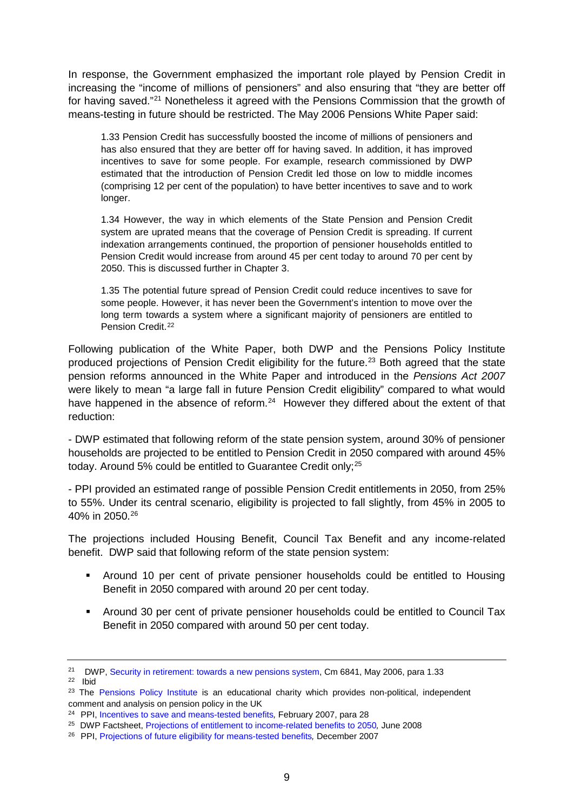In response, the Government emphasized the important role played by Pension Credit in increasing the "income of millions of pensioners" and also ensuring that "they are better off for having saved."[21](#page-8-0) Nonetheless it agreed with the Pensions Commission that the growth of means-testing in future should be restricted. The May 2006 Pensions White Paper said:

1.33 Pension Credit has successfully boosted the income of millions of pensioners and has also ensured that they are better off for having saved. In addition, it has improved incentives to save for some people. For example, research commissioned by DWP estimated that the introduction of Pension Credit led those on low to middle incomes (comprising 12 per cent of the population) to have better incentives to save and to work longer.

1.34 However, the way in which elements of the State Pension and Pension Credit system are uprated means that the coverage of Pension Credit is spreading. If current indexation arrangements continued, the proportion of pensioner households entitled to Pension Credit would increase from around 45 per cent today to around 70 per cent by 2050. This is discussed further in Chapter 3.

1.35 The potential future spread of Pension Credit could reduce incentives to save for some people. However, it has never been the Government's intention to move over the long term towards a system where a significant majority of pensioners are entitled to Pension Credit.<sup>[22](#page-8-1)</sup>

Following publication of the White Paper, both DWP and the Pensions Policy Institute produced projections of Pension Credit eligibility for the future.<sup>[23](#page-8-2)</sup> Both agreed that the state pension reforms announced in the White Paper and introduced in the *Pensions Act 2007* were likely to mean "a large fall in future Pension Credit eligibility" compared to what would have happened in the absence of reform.<sup>[24](#page-8-3)</sup> However they differed about the extent of that reduction:

- DWP estimated that following reform of the state pension system, around 30% of pensioner households are projected to be entitled to Pension Credit in 2050 compared with around 45% today. Around 5% could be entitled to Guarantee Credit only;<sup>25</sup>

- PPI provided an estimated range of possible Pension Credit entitlements in 2050, from 25% to 55%. Under its central scenario, eligibility is projected to fall slightly, from 45% in 2005 to 40% in 2050.[26](#page-8-5)

The projections included Housing Benefit, Council Tax Benefit and any income-related benefit. DWP said that following reform of the state pension system:

- Around 10 per cent of private pensioner households could be entitled to Housing Benefit in 2050 compared with around 20 per cent today.
- Around 30 per cent of private pensioner households could be entitled to Council Tax Benefit in 2050 compared with around 50 per cent today.

<span id="page-8-1"></span>22 Ibid

<span id="page-8-0"></span><sup>&</sup>lt;sup>21</sup> DWP, [Security in retirement: towards a new pensions system,](http://collections.europarchive.org/tna/20100407170252/http:/www.dwp.gov.uk/docs/white-paper-complete.pdf) Cm 6841, May 2006, para 1.33

<span id="page-8-2"></span><sup>&</sup>lt;sup>23</sup> The [Pensions Policy Institute](http://www.pensionspolicyinstitute.org.uk/) is an educational charity which provides non-political, independent comment and analysis on pension policy in the UK

<span id="page-8-3"></span><sup>24</sup> PPI, [Incentives to save and means-tested benefits](http://www.pensionspolicyinstitute.org.uk/uploadeddocuments/Events/PPI_Incentives_to_save_and_means-tested_benefits_20Feb2007.pdf)*,* February 2007, para 28

<sup>25</sup> DWP Factsheet, [Projections of entitlement to income-related benefits to 2050](http://collections.europarchive.org/tna/20100407163745/http:/www.dwp.gov.uk/docs/projections-of-entitlement-to-incomerelatedbenefitsjune2008.pdf)*,* June 2008

<span id="page-8-5"></span><span id="page-8-4"></span><sup>26</sup> PPI, [Projections of future eligibility for means-tested benefits](http://www.pensionspolicyinstitute.org.uk/uploadeddocuments/PPI_Projections_of_Future_MT_Benefits_Dec2007.pdf)*,* December 2007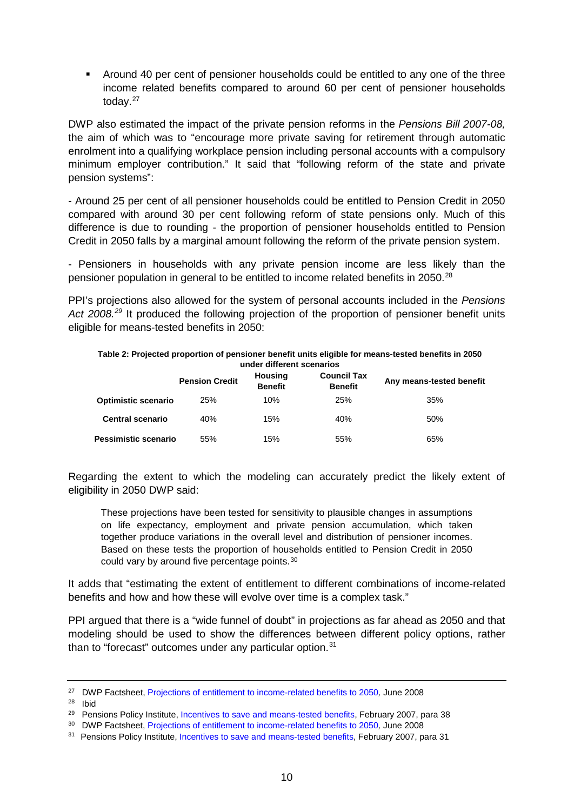Around 40 per cent of pensioner households could be entitled to any one of the three income related benefits compared to around 60 per cent of pensioner households today.[27](#page-9-0)

DWP also estimated the impact of the private pension reforms in the *Pensions Bill 2007-08,*  the aim of which was to "encourage more private saving for retirement through automatic enrolment into a qualifying workplace pension including personal accounts with a compulsory minimum employer contribution." It said that "following reform of the state and private pension systems":

- Around 25 per cent of all pensioner households could be entitled to Pension Credit in 2050 compared with around 30 per cent following reform of state pensions only. Much of this difference is due to rounding - the proportion of pensioner households entitled to Pension Credit in 2050 falls by a marginal amount following the reform of the private pension system.

- Pensioners in households with any private pension income are less likely than the pensioner population in general to be entitled to income related benefits in 2050.<sup>[28](#page-9-1)</sup>

PPI's projections also allowed for the system of personal accounts included in the *Pensions Act 2008.[29](#page-9-2)* It produced the following projection of the proportion of pensioner benefit units eligible for means-tested benefits in 2050:

#### **Table 2: Projected proportion of pensioner benefit units eligible for means-tested benefits in 2050 under different scenarios**

|                            | <b>Pension Credit</b> | <b>Housing</b><br><b>Benefit</b> | <b>Council Tax</b><br><b>Benefit</b> | Any means-tested benefit |
|----------------------------|-----------------------|----------------------------------|--------------------------------------|--------------------------|
| <b>Optimistic scenario</b> | 25%                   | 10%                              | <b>25%</b>                           | 35%                      |
| <b>Central scenario</b>    | 40%                   | 15%                              | 40%                                  | 50%                      |
| Pessimistic scenario       | 55%                   | 15%                              | 55%                                  | 65%                      |

Regarding the extent to which the modeling can accurately predict the likely extent of eligibility in 2050 DWP said:

These projections have been tested for sensitivity to plausible changes in assumptions on life expectancy, employment and private pension accumulation, which taken together produce variations in the overall level and distribution of pensioner incomes. Based on these tests the proportion of households entitled to Pension Credit in 2050 could vary by around five percentage points.[30](#page-9-3)

It adds that "estimating the extent of entitlement to different combinations of income-related benefits and how and how these will evolve over time is a complex task."

PPI argued that there is a "wide funnel of doubt" in projections as far ahead as 2050 and that modeling should be used to show the differences between different policy options, rather than to "forecast" outcomes under any particular option.<sup>[31](#page-9-4)</sup>

<span id="page-9-0"></span><sup>27</sup> DWP Factsheet, [Projections of entitlement to income-related benefits to 2050](http://collections.europarchive.org/tna/20100407163745/http:/www.dwp.gov.uk/docs/projections-of-entitlement-to-incomerelatedbenefitsjune2008.pdf)*,* June 2008

<span id="page-9-1"></span><sup>28</sup> Ibid

<span id="page-9-2"></span><sup>&</sup>lt;sup>29</sup> Pensions Policy Institute[, Incentives to save and means-tested benefits,](http://www.pensionspolicyinstitute.org.uk/uploadeddocuments/Events/PPI_Incentives_to_save_and_means-tested_benefits_20Feb2007.pdf) February 2007, para 38

<span id="page-9-3"></span><sup>30</sup> DWP Factsheet, [Projections of entitlement to income-related benefits to 2050](http://collections.europarchive.org/tna/20100407163745/http:/www.dwp.gov.uk/docs/projections-of-entitlement-to-incomerelatedbenefitsjune2008.pdf)*,* June 2008

<span id="page-9-4"></span><sup>&</sup>lt;sup>31</sup> Pensions Policy Institute, [Incentives to save and means-tested benefits,](http://www.pensionspolicyinstitute.org.uk/uploadeddocuments/Events/PPI_Incentives_to_save_and_means-tested_benefits_20Feb2007.pdf) February 2007, para 31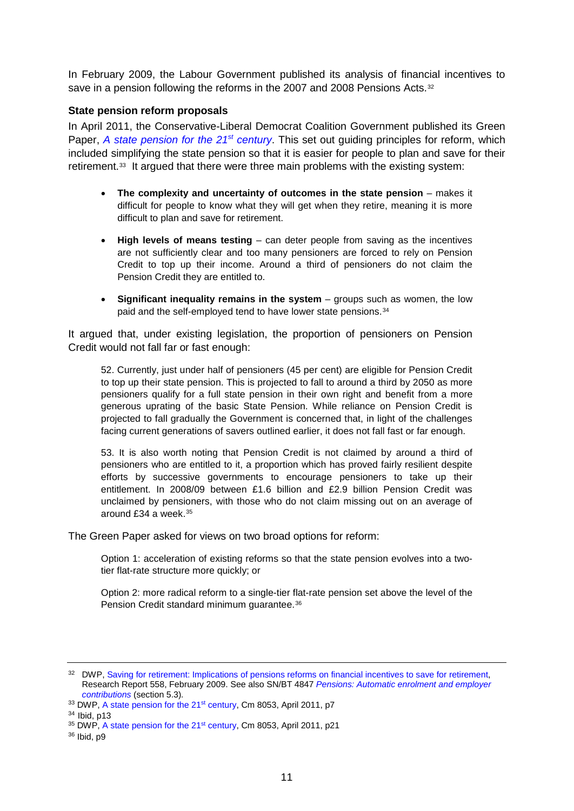In February 2009, the Labour Government published its analysis of financial incentives to save in a pension following the reforms in the 2007 and 2008 Pensions Acts.<sup>[32](#page-10-0)</sup>

### **State pension reform proposals**

In April 2011, the Conservative-Liberal Democrat Coalition Government published its Green Paper, *[A state pension for the 21](http://www.dwp.gov.uk/docs/state-pension-21st-century.pdf)st century*. This set out guiding principles for reform, which included simplifying the state pension so that it is easier for people to plan and save for their retirement.[33](#page-10-1) It argued that there were three main problems with the existing system:

- **The complexity and uncertainty of outcomes in the state pension** makes it difficult for people to know what they will get when they retire, meaning it is more difficult to plan and save for retirement.
- **High levels of means testing** can deter people from saving as the incentives are not sufficiently clear and too many pensioners are forced to rely on Pension Credit to top up their income. Around a third of pensioners do not claim the Pension Credit they are entitled to.
- **Significant inequality remains in the system** groups such as women, the low paid and the self-employed tend to have lower state pensions.<sup>[34](#page-10-2)</sup>

It argued that, under existing legislation, the proportion of pensioners on Pension Credit would not fall far or fast enough:

52. Currently, just under half of pensioners (45 per cent) are eligible for Pension Credit to top up their state pension. This is projected to fall to around a third by 2050 as more pensioners qualify for a full state pension in their own right and benefit from a more generous uprating of the basic State Pension. While reliance on Pension Credit is projected to fall gradually the Government is concerned that, in light of the challenges facing current generations of savers outlined earlier, it does not fall fast or far enough.

53. It is also worth noting that Pension Credit is not claimed by around a third of pensioners who are entitled to it, a proportion which has proved fairly resilient despite efforts by successive governments to encourage pensioners to take up their entitlement. In 2008/09 between £1.6 billion and £2.9 billion Pension Credit was unclaimed by pensioners, with those who do not claim missing out on an average of around £34 a week.[35](#page-10-3)

The Green Paper asked for views on two broad options for reform:

Option 1: acceleration of existing reforms so that the state pension evolves into a twotier flat-rate structure more quickly; or

Option 2: more radical reform to a single-tier flat-rate pension set above the level of the Pension Credit standard minimum guarantee.[36](#page-10-4)

<span id="page-10-0"></span><sup>&</sup>lt;sup>32</sup> DWP, [Saving for retirement: Implications of pensions reforms on financial incentives to save for retirement,](http://collections.europarchive.org/tna/20100407153331/http:/research.dwp.gov.uk/asd/asd5/rports2009-2010/rrep558.pdf) Research Report 558, February 2009. See also SN/BT 4847 *[Pensions: Automatic enrolment and employer](http://www.parliament.uk/briefingpapers/commons/lib/research/briefings/snbt-04847.pdf)  [contributions](http://www.parliament.uk/briefingpapers/commons/lib/research/briefings/snbt-04847.pdf)* (section 5.3)*.*

<span id="page-10-1"></span><sup>33</sup> DWP, A state pension for the 21<sup>st</sup> century, Cm 8053, April 2011, p7

<span id="page-10-2"></span><sup>34</sup> Ibid, p13

<span id="page-10-3"></span><sup>&</sup>lt;sup>35</sup> DWP, A state pension for the 21<sup>st</sup> century, Cm 8053, April 2011, p21

<span id="page-10-4"></span><sup>36</sup> Ibid, p9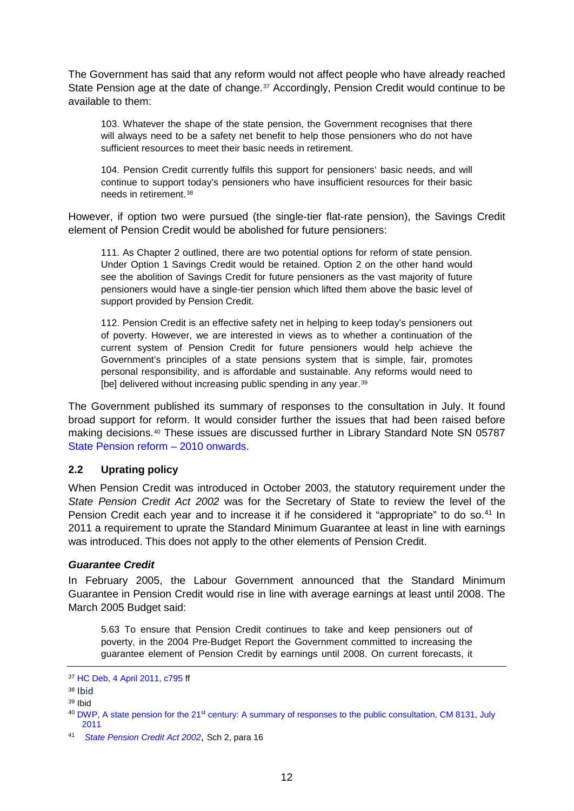The Government has said that any reform would not affect people who have already reached State Pension age at the date of change.<sup>[37](#page-11-0)</sup> Accordingly, Pension Credit would continue to be available to them:

103. Whatever the shape of the state pension, the Government recognises that there will always need to be a safety net benefit to help those pensioners who do not have sufficient resources to meet their basic needs in retirement.

104. Pension Credit currently fulfils this support for pensioners' basic needs, and will continue to support today's pensioners who have insufficient resources for their basic needs in retirement.[38](#page-11-1)

However, if option two were pursued (the single-tier flat-rate pension), the Savings Credit element of Pension Credit would be abolished for future pensioners:

111. As Chapter 2 outlined, there are two potential options for reform of state pension. Under Option 1 Savings Credit would be retained. Option 2 on the other hand would see the abolition of Savings Credit for future pensioners as the vast majority of future pensioners would have a single-tier pension which lifted them above the basic level of support provided by Pension Credit.

112. Pension Credit is an effective safety net in helping to keep today's pensioners out of poverty. However, we are interested in views as to whether a continuation of the current system of Pension Credit for future pensioners would help achieve the Government's principles of a state pensions system that is simple, fair, promotes personal responsibility, and is affordable and sustainable. Any reforms would need to [be] delivered without increasing public spending in any year.<sup>[39](#page-11-2)</sup>

The Government published its summary of responses to the consultation in July. It found broad support for reform. It would consider further the issues that had been raised before making decisions.[40](#page-11-3) These issues are discussed further in Library Standard Note SN 05787 [State Pension reform –](http://www.parliament.uk/briefing-papers/SN05787) 2010 onwards.

### **2.2 Uprating policy**

When Pension Credit was introduced in October 2003, the statutory requirement under the *State Pension Credit Act 2002* was for the Secretary of State to review the level of the Pension Credit each year and to increase it if he considered it "appropriate" to do so.<sup>[41](#page-11-4)</sup> In 2011 a requirement to uprate the Standard Minimum Guarantee at least in line with earnings was introduced. This does not apply to the other elements of Pension Credit.

#### *Guarantee Credit*

In February 2005, the Labour Government announced that the Standard Minimum Guarantee in Pension Credit would rise in line with average earnings at least until 2008. The March 2005 Budget said:

5.63 To ensure that Pension Credit continues to take and keep pensioners out of poverty, in the 2004 Pre-Budget Report the Government committed to increasing the guarantee element of Pension Credit by earnings until 2008. On current forecasts, it

<span id="page-11-0"></span><sup>37</sup> [HC Deb, 4 April 2011, c795](http://www.publications.parliament.uk/pa/cm201011/cmhansrd/cm110404/debtext/110404-0002.htm#11040420000003) ff

<span id="page-11-1"></span><sup>38</sup> Ibid

<span id="page-11-2"></span><sup>39</sup> Ibid

<span id="page-11-3"></span><sup>40</sup> DWP, A state pension for the 21st [century: A summary of responses to the public consultation, CM 8131, July](http://www.dwp.gov.uk/docs/state-pension-21st-century-response.pdf)  [2011](http://www.dwp.gov.uk/docs/state-pension-21st-century-response.pdf)

<span id="page-11-4"></span><sup>41</sup> *[State Pension Credit Act 2002](http://www.opsi.gov.uk/acts/acts2002/ukpga_20020016_en_1)*, Sch 2, para 16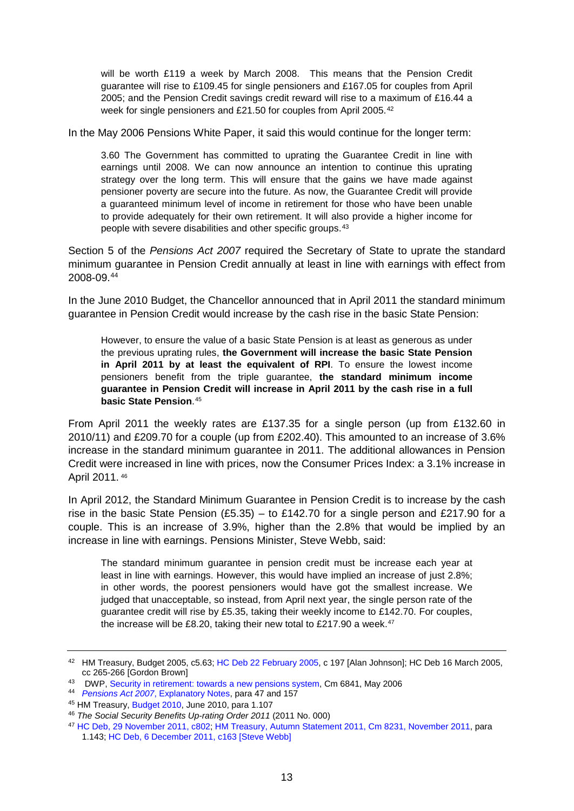will be worth £119 a week by March 2008. This means that the Pension Credit guarantee will rise to £109.45 for single pensioners and £167.05 for couples from April 2005; and the Pension Credit savings credit reward will rise to a maximum of £16.44 a week for single pensioners and £21.50 for couples from April 2005.<sup>[42](#page-12-0)</sup>

In the May 2006 Pensions White Paper, it said this would continue for the longer term:

3.60 The Government has committed to uprating the Guarantee Credit in line with earnings until 2008. We can now announce an intention to continue this uprating strategy over the long term. This will ensure that the gains we have made against pensioner poverty are secure into the future. As now, the Guarantee Credit will provide a guaranteed minimum level of income in retirement for those who have been unable to provide adequately for their own retirement. It will also provide a higher income for people with severe disabilities and other specific groups.[43](#page-12-1)

Section 5 of the *Pensions Act 2007* required the Secretary of State to uprate the standard minimum guarantee in Pension Credit annually at least in line with earnings with effect from 2008-09.[44](#page-12-2)

In the June 2010 Budget, the Chancellor announced that in April 2011 the standard minimum guarantee in Pension Credit would increase by the cash rise in the basic State Pension:

However, to ensure the value of a basic State Pension is at least as generous as under the previous uprating rules, **the Government will increase the basic State Pension in April 2011 by at least the equivalent of RPI**. To ensure the lowest income pensioners benefit from the triple guarantee, **the standard minimum income guarantee in Pension Credit will increase in April 2011 by the cash rise in a full basic State Pension**.[45](#page-12-3)

From April 2011 the weekly rates are £137.35 for a single person (up from £132.60 in 2010/11) and £209.70 for a couple (up from £202.40). This amounted to an increase of 3.6% increase in the standard minimum guarantee in 2011. The additional allowances in Pension Credit were increased in line with prices, now the Consumer Prices Index: a 3.1% increase in April 2011. [46](#page-12-4)

In April 2012, the Standard Minimum Guarantee in Pension Credit is to increase by the cash rise in the basic State Pension (£5.35) – to £142.70 for a single person and £217.90 for a couple. This is an increase of 3.9%, higher than the 2.8% that would be implied by an increase in line with earnings. Pensions Minister, Steve Webb, said:

The standard minimum guarantee in pension credit must be increase each year at least in line with earnings. However, this would have implied an increase of just 2.8%; in other words, the poorest pensioners would have got the smallest increase. We judged that unacceptable, so instead, from April next year, the single person rate of the guarantee credit will rise by £5.35, taking their weekly income to £142.70. For couples, the increase will be £8.20, taking their new total to £217.90 a week.<sup>[47](#page-12-5)</sup>

<span id="page-12-0"></span><sup>42</sup> HM Treasury, Budget 2005, c5.63; [HC Deb 22 February 2005,](http://www.publications.parliament.uk/pa/cm200405/cmhansrd/vo050222/debtext/50222-18.htm#50222-18_spnew3) c 197 [Alan Johnson]; HC Deb 16 March 2005, cc 265-266 [Gordon Brown]

<span id="page-12-1"></span><sup>43</sup> DWP, [Security in retirement: towards a new pensions system,](http://collections.europarchive.org/tna/search/?query=http%3A%2F%2Fwww.dwp.gov.uk%2Fdocs%2Fwhite-paper-complete.pdf&where=url&x=41&y=9) Cm 6841, May 2006

<span id="page-12-2"></span><sup>44</sup> *Pensions Act 2007*, Explanatory Notes, para 47 and 157 45 HM Treasury, [Budget 2010,](http://www.hm-treasury.gov.uk/d/junebudget_chapter1.pdf#page=34) June 2010, para 1.107

<span id="page-12-4"></span><span id="page-12-3"></span><sup>46</sup> *The Social Security Benefits Up-rating Order 2011* (2011 No. 000)

<span id="page-12-5"></span><sup>47</sup> [HC Deb, 29 November 2011, c802;](http://www.publications.parliament.uk/pa/cm201011/cmhansrd/cm111129/debtext/111129-0001.htm#11112951002190) [HM Treasury, Autumn Statement 2011, Cm 8231, November 2011,](http://cdn.hm-treasury.gov.uk/as2011_chapter_1.pdf#page=42) para 1.143[; HC Deb, 6 December 2011, c163 \[Steve Webb\]](http://www.publications.parliament.uk/pa/cm201011/cmhansrd/cm111206/debtext/111206-0001.htm#11120648000003)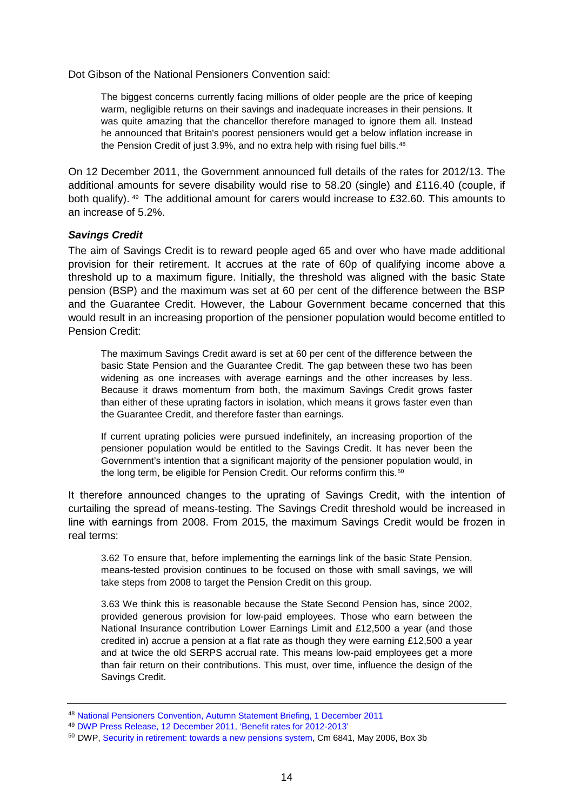Dot Gibson of the National Pensioners Convention said:

The biggest concerns currently facing millions of older people are the price of keeping warm, negligible returns on their savings and inadequate increases in their pensions. It was quite amazing that the chancellor therefore managed to ignore them all. Instead he announced that Britain's poorest pensioners would get a below inflation increase in the Pension Credit of just 3.9%, and no extra help with rising fuel bills.<sup>[48](#page-13-0)</sup>

On 12 December 2011, the Government announced full details of the rates for 2012/13. The additional amounts for severe disability would rise to 58.20 (single) and £116.40 (couple, if both qualify). [49](#page-13-1) The additional amount for carers would increase to £32.60. This amounts to an increase of 5.2%.

### *Savings Credit*

The aim of Savings Credit is to reward people aged 65 and over who have made additional provision for their retirement. It accrues at the rate of 60p of qualifying income above a threshold up to a maximum figure. Initially, the threshold was aligned with the basic State pension (BSP) and the maximum was set at 60 per cent of the difference between the BSP and the Guarantee Credit. However, the Labour Government became concerned that this would result in an increasing proportion of the pensioner population would become entitled to Pension Credit:

The maximum Savings Credit award is set at 60 per cent of the difference between the basic State Pension and the Guarantee Credit. The gap between these two has been widening as one increases with average earnings and the other increases by less. Because it draws momentum from both, the maximum Savings Credit grows faster than either of these uprating factors in isolation, which means it grows faster even than the Guarantee Credit, and therefore faster than earnings.

If current uprating policies were pursued indefinitely, an increasing proportion of the pensioner population would be entitled to the Savings Credit. It has never been the Government's intention that a significant majority of the pensioner population would, in the long term, be eligible for Pension Credit. Our reforms confirm this.<sup>[50](#page-13-2)</sup>

It therefore announced changes to the uprating of Savings Credit, with the intention of curtailing the spread of means-testing. The Savings Credit threshold would be increased in line with earnings from 2008. From 2015, the maximum Savings Credit would be frozen in real terms:

3.62 To ensure that, before implementing the earnings link of the basic State Pension, means-tested provision continues to be focused on those with small savings, we will take steps from 2008 to target the Pension Credit on this group.

3.63 We think this is reasonable because the State Second Pension has, since 2002, provided generous provision for low-paid employees. Those who earn between the National Insurance contribution Lower Earnings Limit and £12,500 a year (and those credited in) accrue a pension at a flat rate as though they were earning £12,500 a year and at twice the old SERPS accrual rate. This means low-paid employees get a more than fair return on their contributions. This must, over time, influence the design of the Savings Credit.

<span id="page-13-0"></span><sup>48</sup> [National Pensioners Convention, Autumn Statement Briefing, 1 December 2011](http://npcuk.org/588)

<span id="page-13-1"></span><sup>49</sup> [DWP Press Release, 12 December 2011, 'Benefit rates for 2012-2013'](http://www.dwp.gov.uk/docs/benefitrates2012.pdf)

<span id="page-13-2"></span><sup>&</sup>lt;sup>50</sup> DWP[, Security in retirement: towards a new pensions system,](http://www.dwp.gov.uk/docs/white-paper-complete.pdf) Cm 6841, May 2006, Box 3b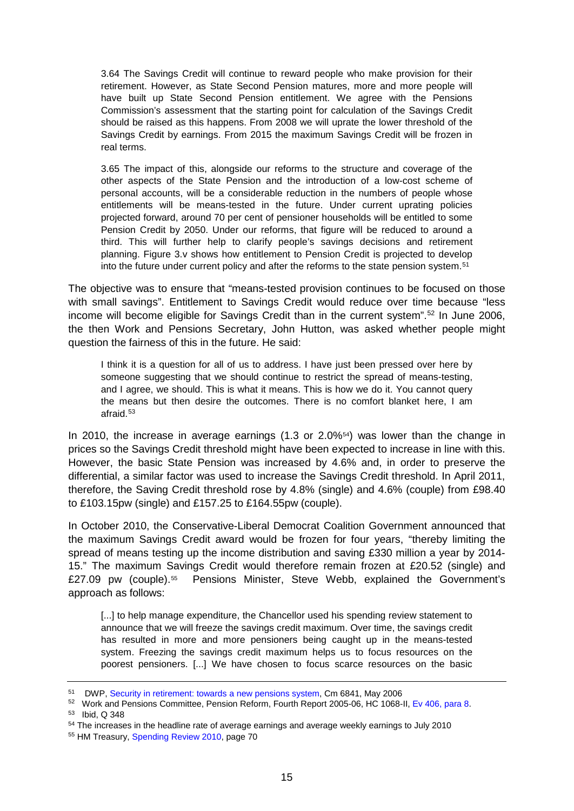3.64 The Savings Credit will continue to reward people who make provision for their retirement. However, as State Second Pension matures, more and more people will have built up State Second Pension entitlement. We agree with the Pensions Commission's assessment that the starting point for calculation of the Savings Credit should be raised as this happens. From 2008 we will uprate the lower threshold of the Savings Credit by earnings. From 2015 the maximum Savings Credit will be frozen in real terms.

3.65 The impact of this, alongside our reforms to the structure and coverage of the other aspects of the State Pension and the introduction of a low-cost scheme of personal accounts, will be a considerable reduction in the numbers of people whose entitlements will be means-tested in the future. Under current uprating policies projected forward, around 70 per cent of pensioner households will be entitled to some Pension Credit by 2050. Under our reforms, that figure will be reduced to around a third. This will further help to clarify people's savings decisions and retirement planning. Figure 3.v shows how entitlement to Pension Credit is projected to develop into the future under current policy and after the reforms to the state pension system.[51](#page-14-0)

The objective was to ensure that "means-tested provision continues to be focused on those with small savings". Entitlement to Savings Credit would reduce over time because "less income will become eligible for Savings Credit than in the current system". [52](#page-14-1) In June 2006, the then Work and Pensions Secretary, John Hutton, was asked whether people might question the fairness of this in the future. He said:

I think it is a question for all of us to address. I have just been pressed over here by someone suggesting that we should continue to restrict the spread of means-testing, and I agree, we should. This is what it means. This is how we do it. You cannot query the means but then desire the outcomes. There is no comfort blanket here, I am afraid.[53](#page-14-2)

In 2010, the increase in average earnings (1.3 or 2.0%[54\)](#page-14-3) was lower than the change in prices so the Savings Credit threshold might have been expected to increase in line with this. However, the basic State Pension was increased by 4.6% and, in order to preserve the differential, a similar factor was used to increase the Savings Credit threshold. In April 2011, therefore, the Saving Credit threshold rose by 4.8% (single) and 4.6% (couple) from £98.40 to £103.15pw (single) and £157.25 to £164.55pw (couple).

In October 2010, the Conservative-Liberal Democrat Coalition Government announced that the maximum Savings Credit award would be frozen for four years, "thereby limiting the spread of means testing up the income distribution and saving £330 million a year by 2014- 15." The maximum Savings Credit would therefore remain frozen at £20.52 (single) and £27.09 pw (couple).[55](#page-14-4) Pensions Minister, Steve Webb, explained the Government's approach as follows:

[...] to help manage expenditure, the Chancellor used his spending review statement to announce that we will freeze the savings credit maximum. Over time, the savings credit has resulted in more and more pensioners being caught up in the means-tested system. Freezing the savings credit maximum helps us to focus resources on the poorest pensioners. [...] We have chosen to focus scarce resources on the basic

<span id="page-14-0"></span><sup>51</sup> DWP, [Security in retirement: towards a new pensions system,](http://collections.europarchive.org/tna/20100208140614/http:/www.dwp.gov.uk/docs/white-paper-complete.pdf) Cm 6841, May 2006

<span id="page-14-1"></span> $52$  Work and Pensions Committee, Pension Reform, Fourth Report 2005-06, HC 1068-II, [Ev 406, para 8.](http://www.publications.parliament.uk/pa/cm200506/cmselect/cmworpen/1068/1068we79.htm)  $53$  Ibid, Q 348

<span id="page-14-3"></span><span id="page-14-2"></span><sup>54</sup> The increases in the headline rate of average earnings and average weekly earnings to July 2010

<span id="page-14-4"></span><sup>55</sup> HM Treasury, [Spending Review 2010,](http://cdn.hm-treasury.gov.uk/sr2010_completereport.pdf) page 70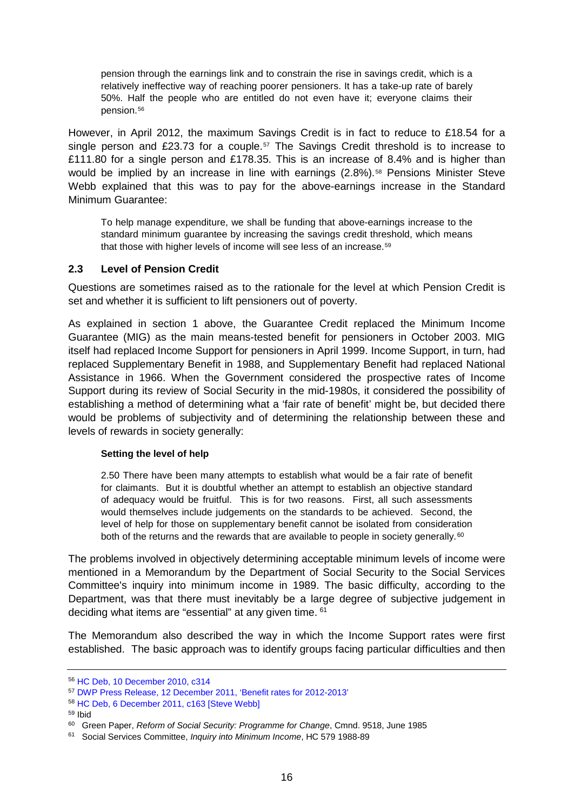pension through the earnings link and to constrain the rise in savings credit, which is a relatively ineffective way of reaching poorer pensioners. It has a take-up rate of barely 50%. Half the people who are entitled do not even have it; everyone claims their pension.<sup>[56](#page-15-0)</sup>

However, in April 2012, the maximum Savings Credit is in fact to reduce to £18.54 for a single person and £23.73 for a couple.<sup>[57](#page-15-1)</sup> The Savings Credit threshold is to increase to £111.80 for a single person and £178.35. This is an increase of 8.4% and is higher than would be implied by an increase in line with earnings (2.8%).<sup>[58](#page-15-2)</sup> Pensions Minister Steve Webb explained that this was to pay for the above-earnings increase in the Standard Minimum Guarantee:

To help manage expenditure, we shall be funding that above-earnings increase to the standard minimum guarantee by increasing the savings credit threshold, which means that those with higher levels of income will see less of an increase.<sup>[59](#page-15-3)</sup>

## **2.3 Level of Pension Credit**

Questions are sometimes raised as to the rationale for the level at which Pension Credit is set and whether it is sufficient to lift pensioners out of poverty.

As explained in section [1 above,](#page-2-6) the Guarantee Credit replaced the Minimum Income Guarantee (MIG) as the main means-tested benefit for pensioners in October 2003. MIG itself had replaced Income Support for pensioners in April 1999. Income Support, in turn, had replaced Supplementary Benefit in 1988, and Supplementary Benefit had replaced National Assistance in 1966. When the Government considered the prospective rates of Income Support during its review of Social Security in the mid-1980s, it considered the possibility of establishing a method of determining what a 'fair rate of benefit' might be, but decided there would be problems of subjectivity and of determining the relationship between these and levels of rewards in society generally:

### **Setting the level of help**

2.50 There have been many attempts to establish what would be a fair rate of benefit for claimants. But it is doubtful whether an attempt to establish an objective standard of adequacy would be fruitful. This is for two reasons. First, all such assessments would themselves include judgements on the standards to be achieved. Second, the level of help for those on supplementary benefit cannot be isolated from consideration both of the returns and the rewards that are available to people in society generally.<sup>[60](#page-15-4)</sup>

The problems involved in objectively determining acceptable minimum levels of income were mentioned in a Memorandum by the Department of Social Security to the Social Services Committee's inquiry into minimum income in 1989. The basic difficulty, according to the Department, was that there must inevitably be a large degree of subjective judgement in deciding what items are "essential" at any given time. [61](#page-15-5)

The Memorandum also described the way in which the Income Support rates were first established. The basic approach was to identify groups facing particular difficulties and then

<span id="page-15-0"></span><sup>56</sup> [HC Deb, 10 December 2010, c314](http://www.publications.parliament.uk/pa/cm201011/cmhansrd/cm101208/debtext/101208-0001.htm#10120866000004)

<span id="page-15-1"></span><sup>57</sup> [DWP Press Release, 12 December 2011, 'Benefit rates for 2012-2013'](http://www.dwp.gov.uk/docs/benefitrates2012.pdf)

<span id="page-15-2"></span><sup>58</sup> [HC Deb, 6 December 2011, c163 \[Steve Webb\]](http://www.publications.parliament.uk/pa/cm201011/cmhansrd/cm111206/debtext/111206-0001.htm#11120648000003)

<span id="page-15-3"></span><sup>59</sup> Ibid

<span id="page-15-4"></span><sup>60</sup> Green Paper, *Reform of Social Security: Programme for Change*, Cmnd. 9518, June 1985

<span id="page-15-5"></span><sup>61</sup> Social Services Committee, *Inquiry into Minimum Income*, HC 579 1988-89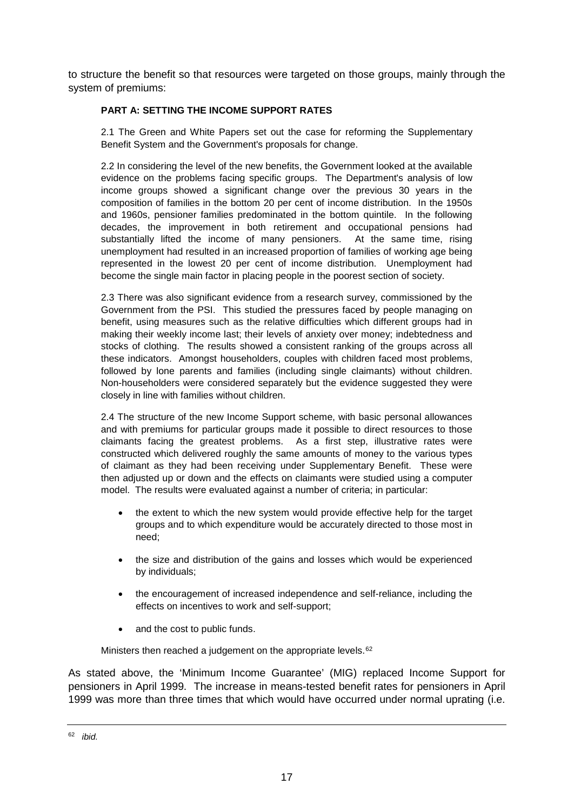to structure the benefit so that resources were targeted on those groups, mainly through the system of premiums:

### **PART A: SETTING THE INCOME SUPPORT RATES**

2.1 The Green and White Papers set out the case for reforming the Supplementary Benefit System and the Government's proposals for change.

2.2 In considering the level of the new benefits, the Government looked at the available evidence on the problems facing specific groups. The Department's analysis of low income groups showed a significant change over the previous 30 years in the composition of families in the bottom 20 per cent of income distribution. In the 1950s and 1960s, pensioner families predominated in the bottom quintile. In the following decades, the improvement in both retirement and occupational pensions had substantially lifted the income of many pensioners. At the same time, rising unemployment had resulted in an increased proportion of families of working age being represented in the lowest 20 per cent of income distribution. Unemployment had become the single main factor in placing people in the poorest section of society.

2.3 There was also significant evidence from a research survey, commissioned by the Government from the PSI. This studied the pressures faced by people managing on benefit, using measures such as the relative difficulties which different groups had in making their weekly income last; their levels of anxiety over money; indebtedness and stocks of clothing. The results showed a consistent ranking of the groups across all these indicators. Amongst householders, couples with children faced most problems, followed by lone parents and families (including single claimants) without children. Non-householders were considered separately but the evidence suggested they were closely in line with families without children.

2.4 The structure of the new Income Support scheme, with basic personal allowances and with premiums for particular groups made it possible to direct resources to those claimants facing the greatest problems. As a first step, illustrative rates were constructed which delivered roughly the same amounts of money to the various types of claimant as they had been receiving under Supplementary Benefit. These were then adjusted up or down and the effects on claimants were studied using a computer model. The results were evaluated against a number of criteria; in particular:

- the extent to which the new system would provide effective help for the target groups and to which expenditure would be accurately directed to those most in need;
- the size and distribution of the gains and losses which would be experienced by individuals;
- the encouragement of increased independence and self-reliance, including the effects on incentives to work and self-support;
- and the cost to public funds.

Ministers then reached a judgement on the appropriate levels.<sup>[62](#page-16-0)</sup>

As stated above, the 'Minimum Income Guarantee' (MIG) replaced Income Support for pensioners in April 1999. The increase in means-tested benefit rates for pensioners in April 1999 was more than three times that which would have occurred under normal uprating (i.e.

<span id="page-16-0"></span><sup>62</sup> *ibid.*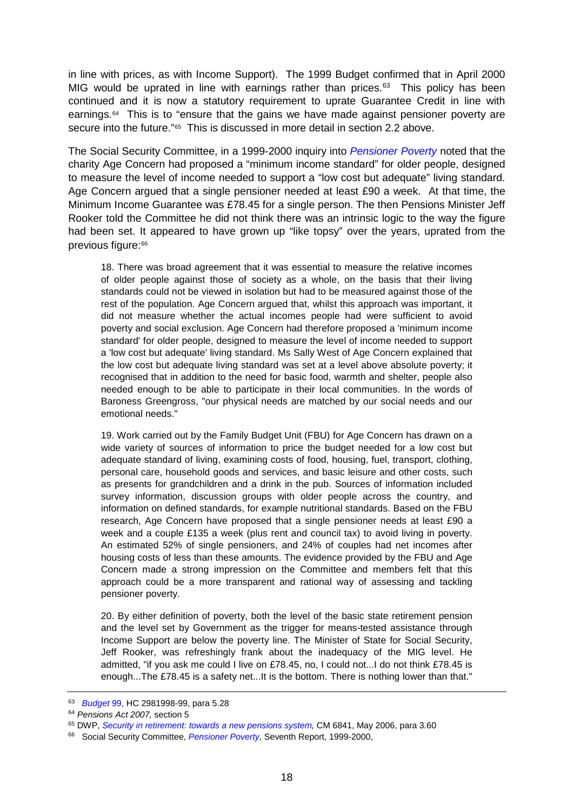in line with prices, as with Income Support). The 1999 Budget confirmed that in April 2000 MIG would be uprated in line with earnings rather than prices. [63](#page-17-0) This policy has been continued and it is now a statutory requirement to uprate Guarantee Credit in line with earnings.[64](#page-17-1) This is to "ensure that the gains we have made against pensioner poverty are secure into the future.["65](#page-17-2) This is discussed in more detail in section 2.2 above.

The Social Security Committee, in a 1999-2000 inquiry into *[Pensioner Poverty](http://www.publications.parliament.uk/pa/cm199900/cmselect/cmsocsec/606/60602.htm)* noted that the charity Age Concern had proposed a "minimum income standard" for older people, designed to measure the level of income needed to support a "low cost but adequate" living standard. Age Concern argued that a single pensioner needed at least £90 a week. At that time, the Minimum Income Guarantee was £78.45 for a single person. The then Pensions Minister Jeff Rooker told the Committee he did not think there was an intrinsic logic to the way the figure had been set. It appeared to have grown up "like topsy" over the years, uprated from the previous figure:[66](#page-17-3)

18. There was broad agreement that it was essential to measure the relative incomes of older people against those of society as a whole, on the basis that their living standards could not be viewed in isolation but had to be measured against those of the rest of the population. Age Concern argued that, whilst this approach was important, it did not measure whether the actual incomes people had were sufficient to avoid poverty and social exclusion. Age Concern had therefore proposed a 'minimum income standard' for older people, designed to measure the level of income needed to support a 'low cost but adequate' living standard. Ms Sally West of Age Concern explained that the low cost but adequate living standard was set at a level above absolute poverty; it recognised that in addition to the need for basic food, warmth and shelter, people also needed enough to be able to participate in their local communities. In the words of Baroness Greengross, "our physical needs are matched by our social needs and our emotional needs."

19. Work carried out by the Family Budget Unit (FBU) for Age Concern has drawn on a wide variety of sources of information to price the budget needed for a low cost but adequate standard of living, examining costs of food, housing, fuel, transport, clothing, personal care, household goods and services, and basic leisure and other costs, such as presents for grandchildren and a drink in the pub. Sources of information included survey information, discussion groups with older people across the country, and information on defined standards, for example nutritional standards. Based on the FBU research, Age Concern have proposed that a single pensioner needs at least £90 a week and a couple £135 a week (plus rent and council tax) to avoid living in poverty. An estimated 52% of single pensioners, and 24% of couples had net incomes after housing costs of less than these amounts. The evidence provided by the FBU and Age Concern made a strong impression on the Committee and members felt that this approach could be a more transparent and rational way of assessing and tackling pensioner poverty.

20. By either definition of poverty, both the level of the basic state retirement pension and the level set by Government as the trigger for means-tested assistance through Income Support are below the poverty line. The Minister of State for Social Security, Jeff Rooker, was refreshingly frank about the inadequacy of the MIG level. He admitted, "if you ask me could I live on £78.45, no, I could not...I do not think £78.45 is enough...The £78.45 is a safety net...It is the bottom. There is nothing lower than that."

<span id="page-17-0"></span><sup>63</sup> *[Budget](http://collections.europarchive.org/tna/20081231035854/http:/www.hm-treasury.gov.uk/bud_bud99_chapter_5.htm)* 99, HC 2981998-99, para 5.28

<span id="page-17-1"></span><sup>64</sup> *Pensions Act 2007,* section 5

<span id="page-17-2"></span><sup>&</sup>lt;sup>65</sup> DWP, *[Security in retirement: towards a new pensions system,](http://collections.europarchive.org/tna/20100208140614/http:/www.dwp.gov.uk/docs/white-paper-complete.pdf)* CM 6841, May 2006, para 3.60

<span id="page-17-3"></span><sup>66</sup> Social Security Committee, *[Pensioner Poverty](http://www.publications.parliament.uk/pa/cm199900/cmselect/cmsocsec/606/60602.htm)*, Seventh Report, 1999-2000,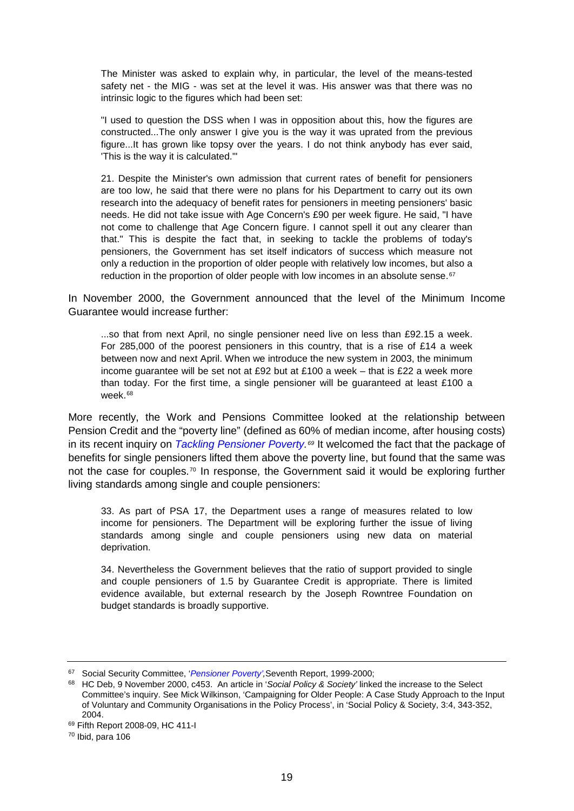The Minister was asked to explain why, in particular, the level of the means-tested safety net - the MIG - was set at the level it was. His answer was that there was no intrinsic logic to the figures which had been set:

"I used to question the DSS when I was in opposition about this, how the figures are constructed...The only answer I give you is the way it was uprated from the previous figure...It has grown like topsy over the years. I do not think anybody has ever said, 'This is the way it is calculated.'"

21. Despite the Minister's own admission that current rates of benefit for pensioners are too low, he said that there were no plans for his Department to carry out its own research into the adequacy of benefit rates for pensioners in meeting pensioners' basic needs. He did not take issue with Age Concern's £90 per week figure. He said, "I have not come to challenge that Age Concern figure. I cannot spell it out any clearer than that." This is despite the fact that, in seeking to tackle the problems of today's pensioners, the Government has set itself indicators of success which measure not only a reduction in the proportion of older people with relatively low incomes, but also a reduction in the proportion of older people with low incomes in an absolute sense.<sup>[67](#page-18-0)</sup>

In November 2000, the Government announced that the level of the Minimum Income Guarantee would increase further:

...so that from next April, no single pensioner need live on less than £92.15 a week. For 285,000 of the poorest pensioners in this country, that is a rise of £14 a week between now and next April. When we introduce the new system in 2003, the minimum income quarantee will be set not at £92 but at £100 a week – that is £22 a week more than today. For the first time, a single pensioner will be guaranteed at least £100 a week.[68](#page-18-1)

More recently, the Work and Pensions Committee looked at the relationship between Pension Credit and the "poverty line" (defined as 60% of median income, after housing costs) in its recent inquiry on *[Tackling Pensioner Poverty.](http://www.publications.parliament.uk/pa/cm200809/cmselect/cmworpen/411/41102.htm)[69](#page-18-2)* It welcomed the fact that the package of benefits for single pensioners lifted them above the poverty line, but found that the same was not the case for couples.<sup>[70](#page-18-3)</sup> In response, the Government said it would be exploring further living standards among single and couple pensioners:

33. As part of PSA 17, the Department uses a range of measures related to low income for pensioners. The Department will be exploring further the issue of living standards among single and couple pensioners using new data on material deprivation.

34. Nevertheless the Government believes that the ratio of support provided to single and couple pensioners of 1.5 by Guarantee Credit is appropriate. There is limited evidence available, but external research by the Joseph Rowntree Foundation on budget standards is broadly supportive.

<span id="page-18-0"></span><sup>67</sup> Social Security Committee, '*[Pensioner Poverty',](http://www.publications.parliament.uk/pa/cm199900/cmselect/cmsocsec/606/60602.htm)*Seventh Report, 1999-2000;

<span id="page-18-1"></span><sup>68</sup> HC Deb, 9 November 2000, c453. An article in '*Social Policy & Society'* linked the increase to the Select Committee's inquiry. See Mick Wilkinson, 'Campaigning for Older People: A Case Study Approach to the Input of Voluntary and Community Organisations in the Policy Process', in 'Social Policy & Society, 3:4, 343-352, 2004.

<span id="page-18-2"></span><sup>69</sup> Fifth Report 2008-09, HC 411-I

<span id="page-18-3"></span> $70$  Ibid, para 106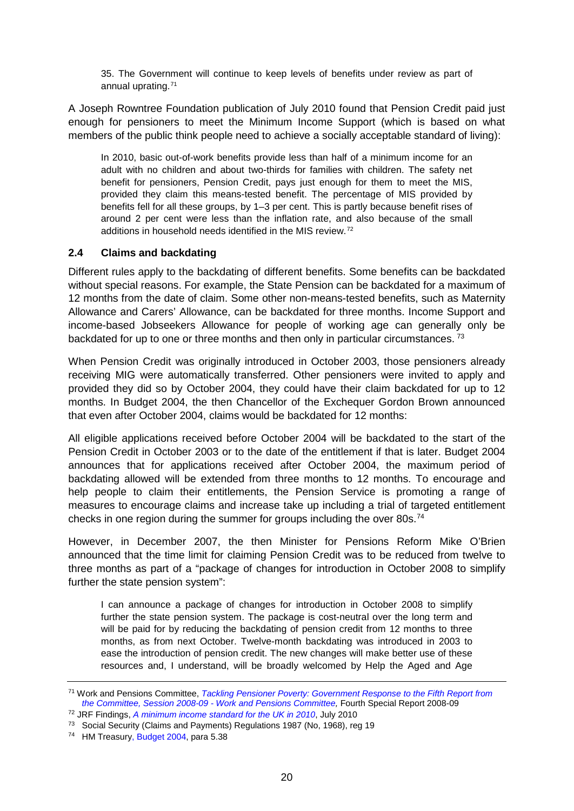35. The Government will continue to keep levels of benefits under review as part of annual uprating.[71](#page-19-0)

A Joseph Rowntree Foundation publication of July 2010 found that Pension Credit paid just enough for pensioners to meet the Minimum Income Support (which is based on what members of the public think people need to achieve a socially acceptable standard of living):

In 2010, basic out-of-work benefits provide less than half of a minimum income for an adult with no children and about two-thirds for families with children. The safety net benefit for pensioners, Pension Credit, pays just enough for them to meet the MIS, provided they claim this means-tested benefit. The percentage of MIS provided by benefits fell for all these groups, by 1–3 per cent. This is partly because benefit rises of around 2 per cent were less than the inflation rate, and also because of the small additions in household needs identified in the MIS review.[72](#page-19-1)

### **2.4 Claims and backdating**

Different rules apply to the backdating of different benefits. Some benefits can be backdated without special reasons. For example, the State Pension can be backdated for a maximum of 12 months from the date of claim. Some other non-means-tested benefits, such as Maternity Allowance and Carers' Allowance, can be backdated for three months. Income Support and income-based Jobseekers Allowance for people of working age can generally only be backdated for up to one or three months and then only in particular circumstances.<sup>[73](#page-19-2)</sup>

When Pension Credit was originally introduced in October 2003, those pensioners already receiving MIG were automatically transferred. Other pensioners were invited to apply and provided they did so by October 2004, they could have their claim backdated for up to 12 months. In Budget 2004, the then Chancellor of the Exchequer Gordon Brown announced that even after October 2004, claims would be backdated for 12 months:

All eligible applications received before October 2004 will be backdated to the start of the Pension Credit in October 2003 or to the date of the entitlement if that is later. Budget 2004 announces that for applications received after October 2004, the maximum period of backdating allowed will be extended from three months to 12 months. To encourage and help people to claim their entitlements, the Pension Service is promoting a range of measures to encourage claims and increase take up including a trial of targeted entitlement checks in one region during the summer for groups including the over 80s.<sup>[74](#page-19-3)</sup>

However, in December 2007, the then Minister for Pensions Reform Mike O'Brien announced that the time limit for claiming Pension Credit was to be reduced from twelve to three months as part of a "package of changes for introduction in October 2008 to simplify further the state pension system":

I can announce a package of changes for introduction in October 2008 to simplify further the state pension system. The package is cost-neutral over the long term and will be paid for by reducing the backdating of pension credit from 12 months to three months, as from next October. Twelve-month backdating was introduced in 2003 to ease the introduction of pension credit. The new changes will make better use of these resources and, I understand, will be broadly welcomed by Help the Aged and Age

<span id="page-19-0"></span><sup>71</sup> Work and Pensions Committee, *[Tackling Pensioner Poverty: Government Response to the Fifth Report from](http://www.publications.parliament.uk/pa/cm200809/cmselect/cmworpen/1029/102902.htm)  [the Committee, Session 2008-09 -](http://www.publications.parliament.uk/pa/cm200809/cmselect/cmworpen/1029/102902.htm) Work and Pensions Committee,* Fourth Special Report 2008-09

<span id="page-19-1"></span><sup>72</sup> JRF Findings, *[A minimum income standard for the UK in 2010](http://www.jrf.org.uk/sites/files/jrf/MIS-2010-findings.pdf)*, July 2010

<span id="page-19-2"></span><sup>73</sup> Social Security (Claims and Payments) Regulations 1987 (No, 1968), reg 19

<span id="page-19-3"></span><sup>&</sup>lt;sup>74</sup> HM Treasur[y, Budget 2004,](http://www.hm-treasury.gov.uk/d/bud04_ch5_257.pdf) para 5.38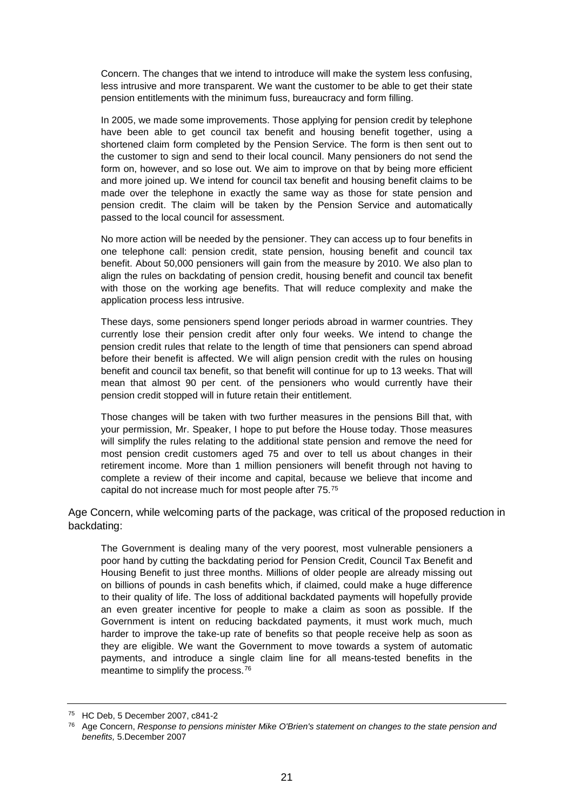Concern. The changes that we intend to introduce will make the system less confusing, less intrusive and more transparent. We want the customer to be able to get their state pension entitlements with the minimum fuss, bureaucracy and form filling.

In 2005, we made some improvements. Those applying for pension credit by telephone have been able to get council tax benefit and housing benefit together, using a shortened claim form completed by the Pension Service. The form is then sent out to the customer to sign and send to their local council. Many pensioners do not send the form on, however, and so lose out. We aim to improve on that by being more efficient and more joined up. We intend for council tax benefit and housing benefit claims to be made over the telephone in exactly the same way as those for state pension and pension credit. The claim will be taken by the Pension Service and automatically passed to the local council for assessment.

No more action will be needed by the pensioner. They can access up to four benefits in one telephone call: pension credit, state pension, housing benefit and council tax benefit. About 50,000 pensioners will gain from the measure by 2010. We also plan to align the rules on backdating of pension credit, housing benefit and council tax benefit with those on the working age benefits. That will reduce complexity and make the application process less intrusive.

These days, some pensioners spend longer periods abroad in warmer countries. They currently lose their pension credit after only four weeks. We intend to change the pension credit rules that relate to the length of time that pensioners can spend abroad before their benefit is affected. We will align pension credit with the rules on housing benefit and council tax benefit, so that benefit will continue for up to 13 weeks. That will mean that almost 90 per cent. of the pensioners who would currently have their pension credit stopped will in future retain their entitlement.

Those changes will be taken with two further measures in the pensions Bill that, with your permission, Mr. Speaker, I hope to put before the House today. Those measures will simplify the rules relating to the additional state pension and remove the need for most pension credit customers aged 75 and over to tell us about changes in their retirement income. More than 1 million pensioners will benefit through not having to complete a review of their income and capital, because we believe that income and capital do not increase much for most people after 75.[75](#page-20-0)

Age Concern, while welcoming parts of the package, was critical of the proposed reduction in backdating:

The Government is dealing many of the very poorest, most vulnerable pensioners a poor hand by cutting the backdating period for Pension Credit, Council Tax Benefit and Housing Benefit to just three months. Millions of older people are already missing out on billions of pounds in cash benefits which, if claimed, could make a huge difference to their quality of life. The loss of additional backdated payments will hopefully provide an even greater incentive for people to make a claim as soon as possible. If the Government is intent on reducing backdated payments, it must work much, much harder to improve the take-up rate of benefits so that people receive help as soon as they are eligible. We want the Government to move towards a system of automatic payments, and introduce a single claim line for all means-tested benefits in the meantime to simplify the process.[76](#page-20-1)

<sup>75</sup> HC Deb, 5 December 2007, c841-2

<span id="page-20-1"></span><span id="page-20-0"></span><sup>76</sup> Age Concern, *Response to pensions minister Mike O'Brien's statement on changes to the state pension and benefits,* 5.December 2007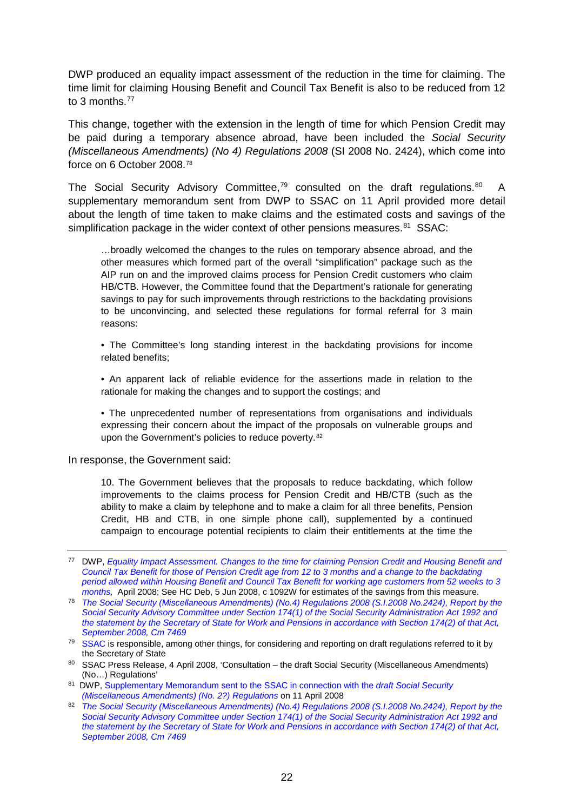DWP produced an equality impact assessment of the reduction in the time for claiming. The time limit for claiming Housing Benefit and Council Tax Benefit is also to be reduced from 12 to 3 months.<sup>77</sup>

This change, together with the extension in the length of time for which Pension Credit may be paid during a temporary absence abroad, have been included the *Social Security (Miscellaneous Amendments) (No 4) Regulations 2008* (SI 2008 No. 2424), which come into force on 6 October 2008.[78](#page-21-1)

The Social Security Advisory Committee,<sup>[79](#page-21-2)</sup> consulted on the draft regulations.<sup>80</sup> A supplementary memorandum sent from DWP to SSAC on 11 April provided more detail about the length of time taken to make claims and the estimated costs and savings of the simplification package in the wider context of other pensions measures. $81$  SSAC:

…broadly welcomed the changes to the rules on temporary absence abroad, and the other measures which formed part of the overall "simplification" package such as the AIP run on and the improved claims process for Pension Credit customers who claim HB/CTB. However, the Committee found that the Department's rationale for generating savings to pay for such improvements through restrictions to the backdating provisions to be unconvincing, and selected these regulations for formal referral for 3 main reasons:

• The Committee's long standing interest in the backdating provisions for income related benefits;

• An apparent lack of reliable evidence for the assertions made in relation to the rationale for making the changes and to support the costings; and

• The unprecedented number of representations from organisations and individuals expressing their concern about the impact of the proposals on vulnerable groups and upon the Government's policies to reduce poverty.<sup>[82](#page-21-5)</sup>

In response, the Government said:

10. The Government believes that the proposals to reduce backdating, which follow improvements to the claims process for Pension Credit and HB/CTB (such as the ability to make a claim by telephone and to make a claim for all three benefits, Pension Credit, HB and CTB, in one simple phone call), supplemented by a continued campaign to encourage potential recipients to claim their entitlements at the time the

<span id="page-21-0"></span><sup>77</sup> DWP, *[Equality Impact Assessment. Changes to the time for claiming Pension Credit and Housing Benefit and](http://collections.europarchive.org/tna/20100407160224/http:/www.dwp.gov.uk/docs/pc-hb-ctb-eia-apr08.pdf)  [Council Tax Benefit for those of Pension Credit age from 12 to 3 months and a change to the backdating](http://collections.europarchive.org/tna/20100407160224/http:/www.dwp.gov.uk/docs/pc-hb-ctb-eia-apr08.pdf)  [period allowed within Housing Benefit and Council Tax Benefit for working age customers from 52 weeks to 3](http://collections.europarchive.org/tna/20100407160224/http:/www.dwp.gov.uk/docs/pc-hb-ctb-eia-apr08.pdf)  [months,](http://collections.europarchive.org/tna/20100407160224/http:/www.dwp.gov.uk/docs/pc-hb-ctb-eia-apr08.pdf)* April 2008; See HC Deb, 5 Jun 2008, c 1092W for estimates of the savings from this measure.

<span id="page-21-1"></span><sup>78</sup> *[The Social Security \(Miscellaneous Amendments\) \(No.4\) Regulations 2008 \(S.I.2008 No.2424\), Report by the](http://www.official-documents.gov.uk/document/cm74/7469/7469.asp)  [Social Security Advisory Committee under Section 174\(1\) of the Social Security Administration Act 1992 and](http://www.official-documents.gov.uk/document/cm74/7469/7469.asp)  [the statement by the Secretary of State for Work and Pensions in accordance with Section 174\(2\) of that Act,](http://www.official-documents.gov.uk/document/cm74/7469/7469.asp)  [September 2008, Cm 7469](http://www.official-documents.gov.uk/document/cm74/7469/7469.asp)*

<span id="page-21-2"></span><sup>&</sup>lt;sup>79</sup> [SSAC](http://www.ssac.org.uk/res.asp) is responsible, among other things, for considering and reporting on draft regulations referred to it by the Secretary of State

<span id="page-21-3"></span><sup>80</sup> SSAC Press Release, 4 April 2008, 'Consultation – the draft Social Security (Miscellaneous Amendments) (No…) Regulations'

<span id="page-21-4"></span><sup>81</sup> DWP[, Supplementary Memorandum sent to the SSAC in connection with the](http://collections.europarchive.org/tna/20100406121642/http:/www.ssac.org.uk/pdf/supplementary_note_to_SSAC_21.4.pdf) *draft Social Security* 

<span id="page-21-5"></span>*<sup>(</sup>Miscellaneous Amendments) (No. 2?) Regulations* on 11 April 2008<br><sup>82</sup> *The Social Security (Miscellaneous Amendments) (No.4) Regulations 2008 (S.I.2008 No.2424), Report by the [Social Security Advisory Committee under Section 174\(1\) of the Social Security Administration Act 1992 and](http://www.official-documents.gov.uk/document/cm74/7469/7469.asp)  [the statement by the Secretary of State for Work and Pensions in accordance with Section 174\(2\) of that Act,](http://www.official-documents.gov.uk/document/cm74/7469/7469.asp)  [September 2008, Cm 7469](http://www.official-documents.gov.uk/document/cm74/7469/7469.asp)*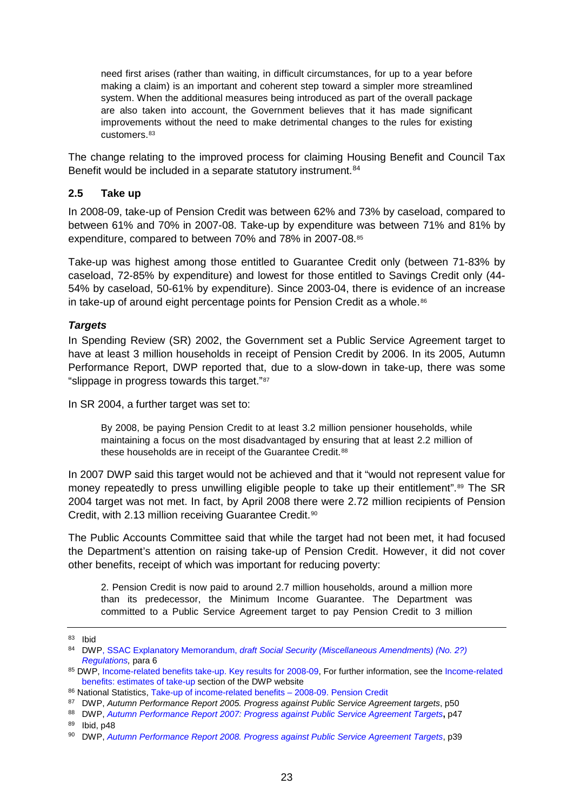need first arises (rather than waiting, in difficult circumstances, for up to a year before making a claim) is an important and coherent step toward a simpler more streamlined system. When the additional measures being introduced as part of the overall package are also taken into account, the Government believes that it has made significant improvements without the need to make detrimental changes to the rules for existing customers.[83](#page-22-0)

The change relating to the improved process for claiming Housing Benefit and Council Tax Benefit would be included in a separate statutory instrument.<sup>84</sup>

## **2.5 Take up**

In 2008-09, take-up of Pension Credit was between 62% and 73% by caseload, compared to between 61% and 70% in 2007-08. Take-up by expenditure was between 71% and 81% by expenditure, compared to between 70% and 78% in 2007-08[.85](#page-22-2)

Take-up was highest among those entitled to Guarantee Credit only (between 71-83% by caseload, 72-85% by expenditure) and lowest for those entitled to Savings Credit only (44- 54% by caseload, 50-61% by expenditure). Since 2003-04, there is evidence of an increase in take-up of around eight percentage points for Pension Credit as a whole.<sup>[86](#page-22-3)</sup>

### *Targets*

In Spending Review (SR) 2002, the Government set a Public Service Agreement target to have at least 3 million households in receipt of Pension Credit by 2006. In its 2005, Autumn Performance Report, DWP reported that, due to a slow-down in take-up, there was some "slippage in progress towards this target."[87](#page-22-4)

In SR 2004, a further target was set to:

By 2008, be paying Pension Credit to at least 3.2 million pensioner households, while maintaining a focus on the most disadvantaged by ensuring that at least 2.2 million of these households are in receipt of the Guarantee Credit.<sup>[88](#page-22-5)</sup>

In 2007 DWP said this target would not be achieved and that it "would not represent value for money repeatedly to press unwilling eligible people to take up their entitlement".<sup>[89](#page-22-6)</sup> The SR 2004 target was not met. In fact, by April 2008 there were 2.72 million recipients of Pension Credit, with 2.13 million receiving Guarantee Credit.[90](#page-22-7)

The Public Accounts Committee said that while the target had not been met, it had focused the Department's attention on raising take-up of Pension Credit. However, it did not cover other benefits, receipt of which was important for reducing poverty:

2. Pension Credit is now paid to around 2.7 million households, around a million more than its predecessor, the Minimum Income Guarantee. The Department was committed to a Public Service Agreement target to pay Pension Credit to 3 million

<span id="page-22-0"></span><sup>83</sup> Ibid

<span id="page-22-1"></span><sup>84</sup> DWP, SSAC Explanatory Memorandum, *draft Social Security (Miscellaneous Amendments) (No. 2?) [Regulations,](http://collections.europarchive.org/tna/20100406121642/http:/www.ssac.org.uk/pdf/supplementary_note_to_SSAC_21.4.pdf)* para 6

<span id="page-22-2"></span><sup>85</sup> DWP, [Income-related benefits take-up. Key results for 2008-09,](http://statistics.dwp.gov.uk/asd/income_analysis/jun_2010/0809_Summary.pdf) For further information, see the Income-related [benefits: estimates of take-up](http://statistics.dwp.gov.uk/asd/index.php?page=irb_2) section of the DWP website

<span id="page-22-3"></span><sup>86</sup> National Statistics, Take-up of income-related benefits - 2008-09. Pension Credit

<span id="page-22-4"></span><sup>87</sup> DWP, *Autumn Performance Report 2005. Progress against Public Service Agreement targets*, p50

<span id="page-22-5"></span><sup>88</sup> DWP, *[Autumn Performance Report 2007: Progress against Public Service Agreement Targets](http://collections.europarchive.org/tna/20100208134831/http:/www.dwp.gov.uk/publications/corporate-publications/autumnreport.shtml)***,** p47

<span id="page-22-6"></span><sup>89</sup> Ibid, p48

<span id="page-22-7"></span><sup>90</sup> DWP, *[Autumn Performance Report 2008. Progress against Public Service Agreement Targets](http://www.dwp.gov.uk/docs/autumn-performance-report-08.pdf)*, p39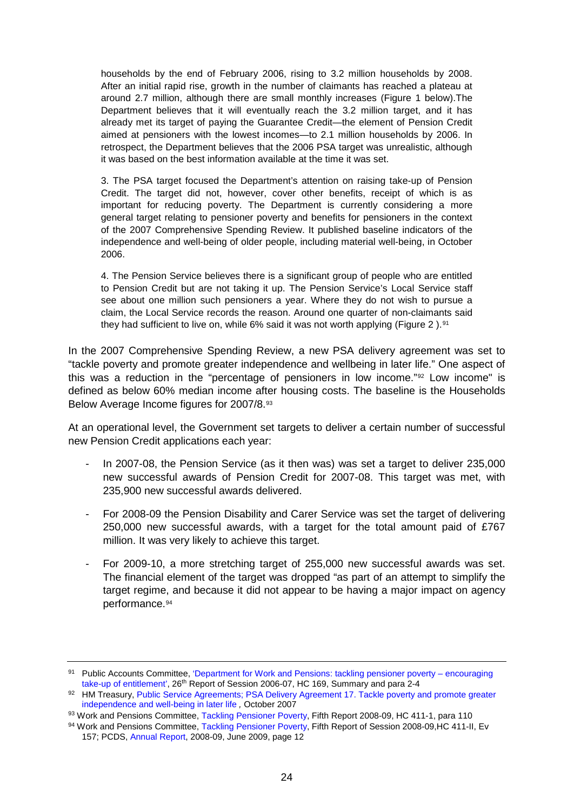households by the end of February 2006, rising to 3.2 million households by 2008. After an initial rapid rise, growth in the number of claimants has reached a plateau at around 2.7 million, although there are small monthly increases (Figure 1 below).The Department believes that it will eventually reach the 3.2 million target, and it has already met its target of paying the Guarantee Credit—the element of Pension Credit aimed at pensioners with the lowest incomes—to 2.1 million households by 2006. In retrospect, the Department believes that the 2006 PSA target was unrealistic, although it was based on the best information available at the time it was set.

3. The PSA target focused the Department's attention on raising take-up of Pension Credit. The target did not, however, cover other benefits, receipt of which is as important for reducing poverty. The Department is currently considering a more general target relating to pensioner poverty and benefits for pensioners in the context of the 2007 Comprehensive Spending Review. It published baseline indicators of the independence and well-being of older people, including material well-being, in October 2006.

4. The Pension Service believes there is a significant group of people who are entitled to Pension Credit but are not taking it up. The Pension Service's Local Service staff see about one million such pensioners a year. Where they do not wish to pursue a claim, the Local Service records the reason. Around one quarter of non-claimants said they had sufficient to live on, while 6% said it was not worth applying (Figure 2).<sup>[91](#page-23-0)</sup>

In the 2007 Comprehensive Spending Review, a new PSA delivery agreement was set to "tackle poverty and promote greater independence and wellbeing in later life." One aspect of this was a reduction in the "percentage of pensioners in low income."[92](#page-23-1) Low income" is defined as below 60% median income after housing costs. The baseline is the Households Below Average Income figures for 2007/8.[93](#page-23-2)

At an operational level, the Government set targets to deliver a certain number of successful new Pension Credit applications each year:

- In 2007-08, the Pension Service (as it then was) was set a target to deliver 235,000 new successful awards of Pension Credit for 2007-08. This target was met, with 235,900 new successful awards delivered.
- For 2008-09 the Pension Disability and Carer Service was set the target of delivering 250,000 new successful awards, with a target for the total amount paid of £767 million. It was very likely to achieve this target.
- For 2009-10, a more stretching target of 255,000 new successful awards was set. The financial element of the target was dropped "as part of an attempt to simplify the target regime, and because it did not appear to be having a major impact on agency performance.[94](#page-23-3)

<span id="page-23-0"></span><sup>91</sup> Public Accounts Committee, ['Department for Work and Pensions: tackling pensioner poverty –](http://www.publications.parliament.uk/pa/cm200607/cmselect/cmpubacc/169/169.pdf) encouraging [take-up of entitlement',](http://www.publications.parliament.uk/pa/cm200607/cmselect/cmpubacc/169/169.pdf) 26<sup>th</sup> Report of Session 2006-07, HC 169, Summary and para 2-4

<span id="page-23-1"></span><sup>92</sup> HM Treasury, Public Service Agreements; PSA Delivery Agreement 17. Tackle poverty and promote greater [independence and well-being in later life](http://collections.europarchive.org/tna/search/?lang=en&query=http%3A%2F%2Fwww.hm-treasury.gov.uk%2Fd%2Fpbr_csr07_psa17.pdf&where=url&x=15&y=13) *,* October 2007

<span id="page-23-2"></span><sup>93</sup> Work and Pensions Committee, [Tackling Pensioner Poverty,](http://www.publications.parliament.uk/pa/cm200809/cmselect/cmworpen/411/41106.htm#a28) Fifth Report 2008-09, HC 411-1, para 110

<span id="page-23-3"></span><sup>94</sup> Work and Pensions Committee, [Tackling Pensioner Poverty,](http://www.publications.parliament.uk/pa/cm200809/cmselect/cmworpen/411/411ii.pdf) Fifth Report of Session 2008-09, HC 411-II, Ev 157; PCDS, [Annual Report,](http://www.dwp.gov.uk/docs/pdcs-ar09-05-performance.pdf) 2008-09, June 2009, page 12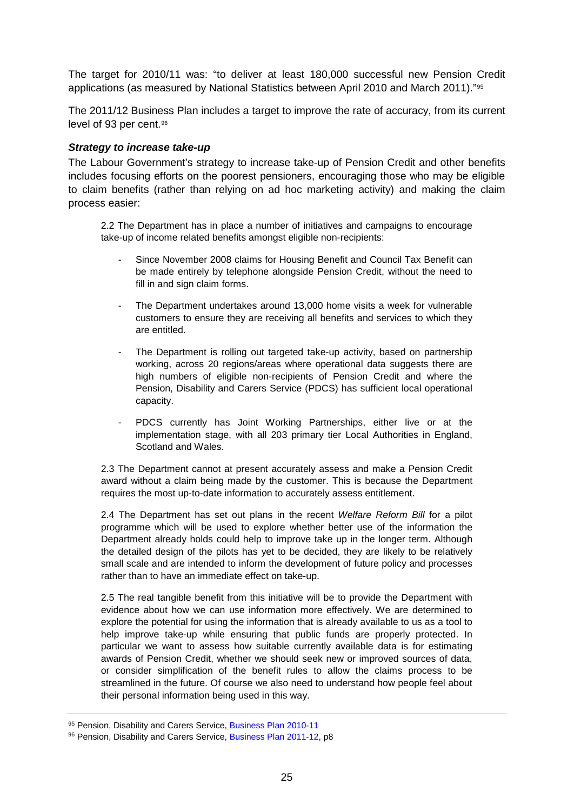The target for 2010/11 was: "to deliver at least 180,000 successful new Pension Credit applications (as measured by National Statistics between April 2010 and March 2011)."[95](#page-24-0)

The 2011/12 Business Plan includes a target to improve the rate of accuracy, from its current level of 93 per cent.[96](#page-24-1)

### *Strategy to increase take-up*

The Labour Government's strategy to increase take-up of Pension Credit and other benefits includes focusing efforts on the poorest pensioners, encouraging those who may be eligible to claim benefits (rather than relying on ad hoc marketing activity) and making the claim process easier:

2.2 The Department has in place a number of initiatives and campaigns to encourage take-up of income related benefits amongst eligible non-recipients:

- Since November 2008 claims for Housing Benefit and Council Tax Benefit can be made entirely by telephone alongside Pension Credit, without the need to fill in and sign claim forms.
- The Department undertakes around 13,000 home visits a week for vulnerable customers to ensure they are receiving all benefits and services to which they are entitled.
- The Department is rolling out targeted take-up activity, based on partnership working, across 20 regions/areas where operational data suggests there are high numbers of eligible non-recipients of Pension Credit and where the Pension, Disability and Carers Service (PDCS) has sufficient local operational capacity.
- PDCS currently has Joint Working Partnerships, either live or at the implementation stage, with all 203 primary tier Local Authorities in England, Scotland and Wales.

2.3 The Department cannot at present accurately assess and make a Pension Credit award without a claim being made by the customer. This is because the Department requires the most up-to-date information to accurately assess entitlement.

2.4 The Department has set out plans in the recent *Welfare Reform Bill* for a pilot programme which will be used to explore whether better use of the information the Department already holds could help to improve take up in the longer term. Although the detailed design of the pilots has yet to be decided, they are likely to be relatively small scale and are intended to inform the development of future policy and processes rather than to have an immediate effect on take-up.

2.5 The real tangible benefit from this initiative will be to provide the Department with evidence about how we can use information more effectively. We are determined to explore the potential for using the information that is already available to us as a tool to help improve take-up while ensuring that public funds are properly protected. In particular we want to assess how suitable currently available data is for estimating awards of Pension Credit, whether we should seek new or improved sources of data, or consider simplification of the benefit rules to allow the claims process to be streamlined in the future. Of course we also need to understand how people feel about their personal information being used in this way.

<span id="page-24-0"></span><sup>95</sup> Pension, Disability and Carers Service, [Business Plan 2010-11](http://www.dwp.gov.uk/docs/pdcs-business-plan-1011.pdf#page=23)

<span id="page-24-1"></span><sup>96</sup> Pension, Disability and Carers Service, [Business Plan 2011-12,](http://www.dwp.gov.uk/docs/pdcs-business-plan-1011.pdf#page=23) p8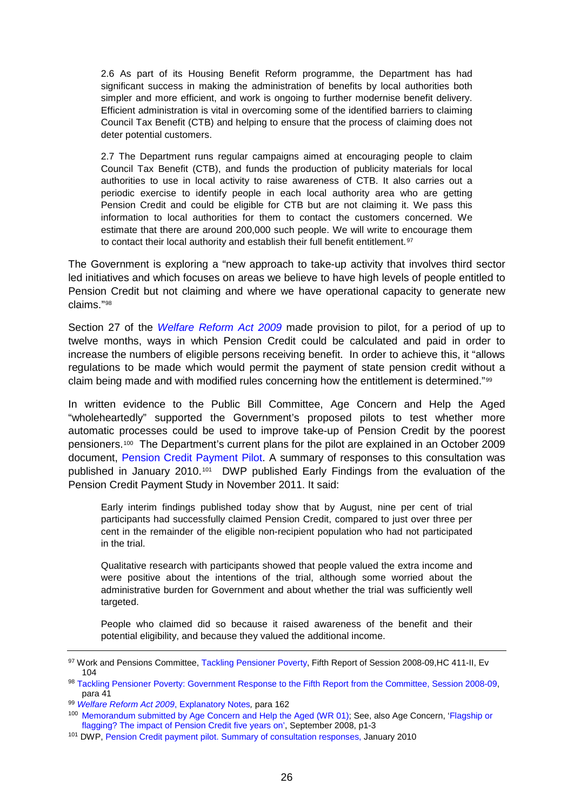2.6 As part of its Housing Benefit Reform programme, the Department has had significant success in making the administration of benefits by local authorities both simpler and more efficient, and work is ongoing to further modernise benefit delivery. Efficient administration is vital in overcoming some of the identified barriers to claiming Council Tax Benefit (CTB) and helping to ensure that the process of claiming does not deter potential customers.

2.7 The Department runs regular campaigns aimed at encouraging people to claim Council Tax Benefit (CTB), and funds the production of publicity materials for local authorities to use in local activity to raise awareness of CTB. It also carries out a periodic exercise to identify people in each local authority area who are getting Pension Credit and could be eligible for CTB but are not claiming it. We pass this information to local authorities for them to contact the customers concerned. We estimate that there are around 200,000 such people. We will write to encourage them to contact their local authority and establish their full benefit entitlement.<sup>[97](#page-25-0)</sup>

The Government is exploring a "new approach to take-up activity that involves third sector led initiatives and which focuses on areas we believe to have high levels of people entitled to Pension Credit but not claiming and where we have operational capacity to generate new claims."[98](#page-25-1)

Section 27 of the *[Welfare Reform Act 2009](http://www.opsi.gov.uk/acts/acts2009/ukpga_20090024_en_1)* made provision to pilot, for a period of up to twelve months, ways in which Pension Credit could be calculated and paid in order to increase the numbers of eligible persons receiving benefit. In order to achieve this, it "allows regulations to be made which would permit the payment of state pension credit without a claim being made and with modified rules concerning how the entitlement is determined."[99](#page-25-2)

In written evidence to the Public Bill Committee, Age Concern and Help the Aged "wholeheartedly" supported the Government's proposed pilots to test whether more automatic processes could be used to improve take-up of Pension Credit by the poorest pensioners.[100](#page-25-3) The Department's current plans for the pilot are explained in an October 2009 document, [Pension Credit Payment Pilot.](http://collections.europarchive.org/tna/20100407154938/http:/www.dwp.gov.uk/docs/pc-pilot-discussion.pdf) A summary of responses to this consultation was published in January 2010.[101](#page-25-4) DWP published Early Findings from the evaluation of the Pension Credit Payment Study in November 2011. It said:

Early interim findings published today show that by August, nine per cent of trial participants had successfully claimed Pension Credit, compared to just over three per cent in the remainder of the eligible non-recipient population who had not participated in the trial.

Qualitative research with participants showed that people valued the extra income and were positive about the intentions of the trial, although some worried about the administrative burden for Government and about whether the trial was sufficiently well targeted.

People who claimed did so because it raised awareness of the benefit and their potential eligibility, and because they valued the additional income.

<span id="page-25-0"></span><sup>97</sup> Work and Pensions Committee, [Tackling Pensioner Poverty,](http://www.publications.parliament.uk/pa/cm200809/cmselect/cmworpen/411/411ii.pdf) Fifth Report of Session 2008-09, HC 411-II, Ev 104

<span id="page-25-1"></span><sup>98</sup> [Tackling Pensioner Poverty: Government Response to the Fifth Report from the Committee, Session 2008-09,](http://www.publications.parliament.uk/pa/cm200809/cmselect/cmworpen/1029/102904.htm) para 41

<span id="page-25-2"></span><sup>99</sup> *[Welfare Reform Act 2009](http://www.opsi.gov.uk/acts/acts2009/en/ukpgaen_20090024_en_2#cpt1-pb13-l1g27_IDA3IR0D)*, Explanatory Notes*,* para 162

<span id="page-25-3"></span><sup>100</sup> [Memorandum submitted by Age Concern and Help the Aged \(WR 01\);](http://www.publications.parliament.uk/pa/cm200809/cmpublic/welfare/memos/ucm102.htm) See, also Age Concern, 'Flagship or [flagging? The impact of Pension Credit five years on',](http://collections.europarchive.org/tna/20090527210649/http:/www.ageconcern.org.uk/AgeConcern/Documents/Pension_Credit_Report.pdf) September 2008, p1-3

<span id="page-25-4"></span><sup>101</sup> DWP[, Pension Credit payment pilot. Summary of consultation responses,](http://www.dwp.gov.uk/docs/pension-credit-payment-pilot-response.pdf) January 2010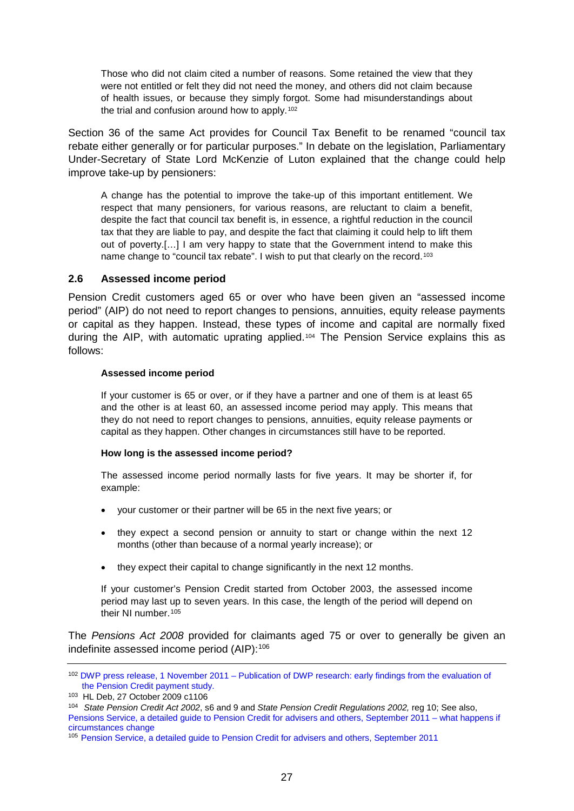Those who did not claim cited a number of reasons. Some retained the view that they were not entitled or felt they did not need the money, and others did not claim because of health issues, or because they simply forgot. Some had misunderstandings about the trial and confusion around how to apply.[102](#page-26-0)

Section 36 of the same Act provides for Council Tax Benefit to be renamed "council tax rebate either generally or for particular purposes." In debate on the legislation, Parliamentary Under-Secretary of State Lord McKenzie of Luton explained that the change could help improve take-up by pensioners:

A change has the potential to improve the take-up of this important entitlement. We respect that many pensioners, for various reasons, are reluctant to claim a benefit, despite the fact that council tax benefit is, in essence, a rightful reduction in the council tax that they are liable to pay, and despite the fact that claiming it could help to lift them out of poverty.[…] I am very happy to state that the Government intend to make this name change to "council tax rebate". I wish to put that clearly on the record.<sup>[103](#page-26-1)</sup>

### **2.6 Assessed income period**

Pension Credit customers aged 65 or over who have been given an "assessed income period" (AIP) do not need to report changes to pensions, annuities, equity release payments or capital as they happen. Instead, these types of income and capital are normally fixed during the AIP, with automatic uprating applied.[104](#page-26-2) The Pension Service explains this as follows:

#### **Assessed income period**

If your customer is 65 or over, or if they have a partner and one of them is at least 65 and the other is at least 60, an assessed income period may apply. This means that they do not need to report changes to pensions, annuities, equity release payments or capital as they happen. Other changes in circumstances still have to be reported.

#### **How long is the assessed income period?**

The assessed income period normally lasts for five years. It may be shorter if, for example:

- your customer or their partner will be 65 in the next five years; or
- they expect a second pension or annuity to start or change within the next 12 months (other than because of a normal yearly increase); or
- they expect their capital to change significantly in the next 12 months.

If your customer's Pension Credit started from October 2003, the assessed income period may last up to seven years. In this case, the length of the period will depend on their NI number.[105](#page-26-3)

The *Pensions Act 2008* provided for claimants aged 75 or over to generally be given an indefinite assessed income period (AIP): [106](#page-26-4)

<span id="page-26-0"></span><sup>102</sup> DWP press release, 1 November 2011 – [Publication of DWP research: early findings from](http://www.dwp.gov.uk/newsroom/press-releases/2011/nov-2011/dwp124-11.shtml) the evaluation of [the Pension Credit payment study.](http://www.dwp.gov.uk/newsroom/press-releases/2011/nov-2011/dwp124-11.shtml)<br><sup>103</sup> HL Deb, 27 October 2009 c1106

<span id="page-26-1"></span>

<span id="page-26-4"></span><span id="page-26-2"></span><sup>104</sup> State Pension Credit Act 2002, s6 and 9 and State Pension Credit Regulations 2002, reg 10; See also, [Pensions Service, a detailed guide to Pension Credit for advisers and others, September 2011 –](http://www.dwp.gov.uk/publications/specialist-guides/technical-guidance/pc10s-guide-to-pension-credit/what-happens-if-a-customers-circumstances/#effects) what happens if [circumstances change](http://www.dwp.gov.uk/publications/specialist-guides/technical-guidance/pc10s-guide-to-pension-credit/what-happens-if-a-customers-circumstances/#effects)

<span id="page-26-3"></span><sup>105</sup> [Pension Service, a detailed guide to Pension Credit for advisers and others, September 2011](http://www.dwp.gov.uk/publications/specialist-guides/technical-guidance/pc10s-guide-to-pension-credit/what-happens-if-a-customers-circumstances/#effects)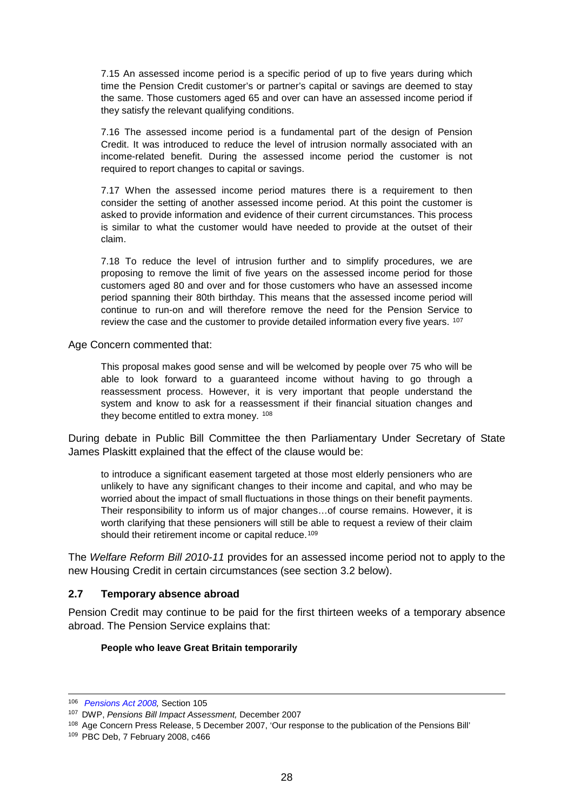7.15 An assessed income period is a specific period of up to five years during which time the Pension Credit customer's or partner's capital or savings are deemed to stay the same. Those customers aged 65 and over can have an assessed income period if they satisfy the relevant qualifying conditions.

7.16 The assessed income period is a fundamental part of the design of Pension Credit. It was introduced to reduce the level of intrusion normally associated with an income-related benefit. During the assessed income period the customer is not required to report changes to capital or savings.

7.17 When the assessed income period matures there is a requirement to then consider the setting of another assessed income period. At this point the customer is asked to provide information and evidence of their current circumstances. This process is similar to what the customer would have needed to provide at the outset of their claim.

7.18 To reduce the level of intrusion further and to simplify procedures, we are proposing to remove the limit of five years on the assessed income period for those customers aged 80 and over and for those customers who have an assessed income period spanning their 80th birthday. This means that the assessed income period will continue to run-on and will therefore remove the need for the Pension Service to review the case and the customer to provide detailed information every five years. <sup>[107](#page-27-0)</sup>

Age Concern commented that:

This proposal makes good sense and will be welcomed by people over 75 who will be able to look forward to a guaranteed income without having to go through a reassessment process. However, it is very important that people understand the system and know to ask for a reassessment if their financial situation changes and they become entitled to extra money. [108](#page-27-1)

During debate in Public Bill Committee the then Parliamentary Under Secretary of State James Plaskitt explained that the effect of the clause would be:

to introduce a significant easement targeted at those most elderly pensioners who are unlikely to have any significant changes to their income and capital, and who may be worried about the impact of small fluctuations in those things on their benefit payments. Their responsibility to inform us of major changes…of course remains. However, it is worth clarifying that these pensioners will still be able to request a review of their claim should their retirement income or capital reduce.<sup>[109](#page-27-2)</sup>

The *Welfare Reform Bill 2010-11* provides for an assessed income period not to apply to the new Housing Credit in certain circumstances (see section [3.2 below\)](#page-41-0).

### **2.7 Temporary absence abroad**

Pension Credit may continue to be paid for the first thirteen weeks of a temporary absence abroad. The Pension Service explains that:

#### **People who leave Great Britain temporarily**

 <sup>106</sup> *[Pensions Act 2008,](http://www.opsi.gov.uk/acts/acts2008/ukpga_20080030_en_1)* Section 105

<span id="page-27-0"></span><sup>107</sup> DWP, *Pensions Bill Impact Assessment,* December 2007

<span id="page-27-1"></span><sup>108</sup> Age Concern Press Release, 5 December 2007, 'Our response to the publication of the Pensions Bill'

<span id="page-27-2"></span><sup>109</sup> PBC Deb, 7 February 2008, c466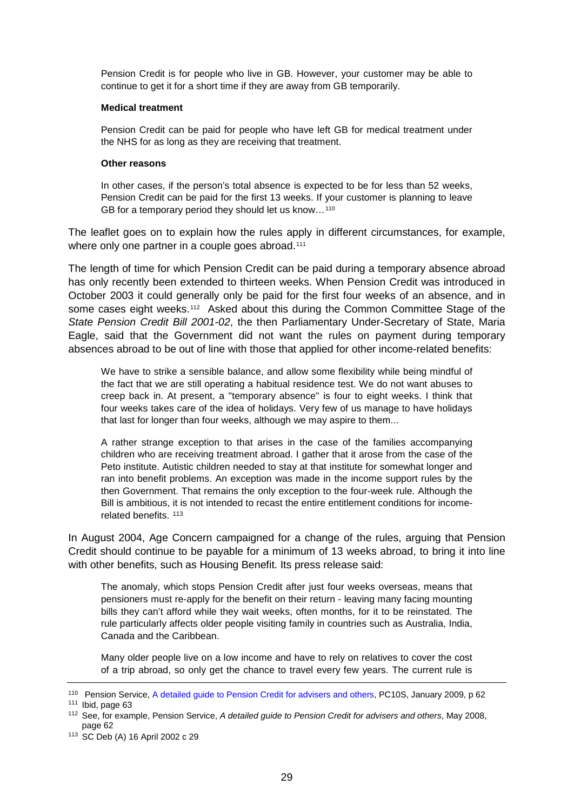Pension Credit is for people who live in GB. However, your customer may be able to continue to get it for a short time if they are away from GB temporarily.

#### **Medical treatment**

Pension Credit can be paid for people who have left GB for medical treatment under the NHS for as long as they are receiving that treatment.

#### **Other reasons**

In other cases, if the person's total absence is expected to be for less than 52 weeks, Pension Credit can be paid for the first 13 weeks. If your customer is planning to leave GB for a temporary period they should let us know…[110](#page-28-0)

The leaflet goes on to explain how the rules apply in different circumstances, for example, where only one partner in a couple goes abroad.<sup>[111](#page-28-1)</sup>

The length of time for which Pension Credit can be paid during a temporary absence abroad has only recently been extended to thirteen weeks. When Pension Credit was introduced in October 2003 it could generally only be paid for the first four weeks of an absence, and in some cases eight weeks.<sup>112</sup> Asked about this during the Common Committee Stage of the *State Pension Credit Bill 2001-02*, the then Parliamentary Under-Secretary of State, Maria Eagle, said that the Government did not want the rules on payment during temporary absences abroad to be out of line with those that applied for other income-related benefits:

We have to strike a sensible balance, and allow some flexibility while being mindful of the fact that we are still operating a habitual residence test. We do not want abuses to creep back in. At present, a ''temporary absence'' is four to eight weeks. I think that four weeks takes care of the idea of holidays. Very few of us manage to have holidays that last for longer than four weeks, although we may aspire to them...

A rather strange exception to that arises in the case of the families accompanying children who are receiving treatment abroad. I gather that it arose from the case of the Peto institute. Autistic children needed to stay at that institute for somewhat longer and ran into benefit problems. An exception was made in the income support rules by the then Government. That remains the only exception to the four-week rule. Although the Bill is ambitious, it is not intended to recast the entire entitlement conditions for incomerelated benefits. [113](#page-28-3)

In August 2004, Age Concern campaigned for a change of the rules, arguing that Pension Credit should continue to be payable for a minimum of 13 weeks abroad, to bring it into line with other benefits, such as Housing Benefit. Its press release said:

The anomaly, which stops Pension Credit after just four weeks overseas, means that pensioners must re-apply for the benefit on their return - leaving many facing mounting bills they can't afford while they wait weeks, often months, for it to be reinstated. The rule particularly affects older people visiting family in countries such as Australia, India, Canada and the Caribbean.

Many older people live on a low income and have to rely on relatives to cover the cost of a trip abroad, so only get the chance to travel every few years. The current rule is

<span id="page-28-0"></span><sup>110</sup> Pension Service, [A detailed guide to Pension Credit for advisers and others,](http://collections.europarchive.org/tna/20090723175444/http:/www.thepensionservice.gov.uk/pdf/pensioncredit/pc10sjan09.pdf) PC10S, January 2009, p 62

<span id="page-28-1"></span><sup>111</sup> Ibid, page 63

<span id="page-28-2"></span><sup>112</sup> See, for example, Pension Service, *A detailed guide to Pension Credit for advisers and others*, May 2008, page 62

<span id="page-28-3"></span><sup>113</sup> SC Deb (A) 16 April 2002 c 29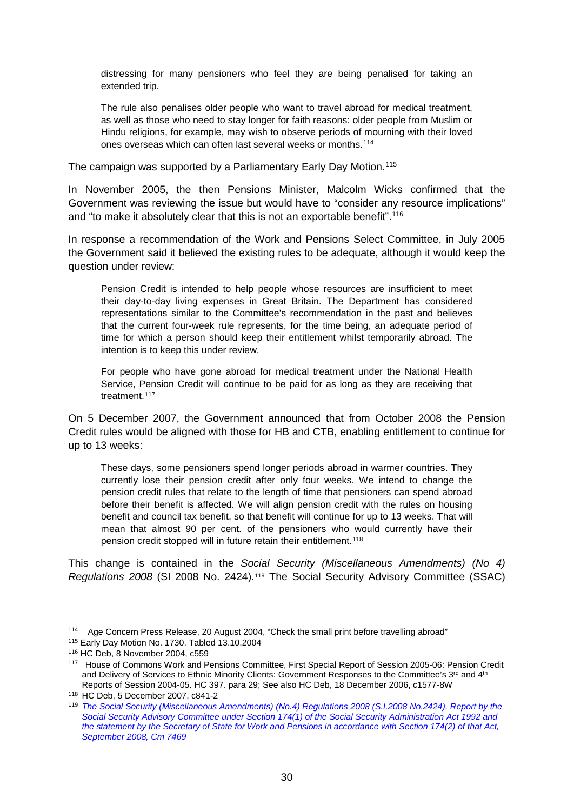distressing for many pensioners who feel they are being penalised for taking an extended trip.

The rule also penalises older people who want to travel abroad for medical treatment, as well as those who need to stay longer for faith reasons: older people from Muslim or Hindu religions, for example, may wish to observe periods of mourning with their loved ones overseas which can often last several weeks or months.[114](#page-29-0)

The campaign was supported by a Parliamentary Early Day Motion.<sup>[115](#page-29-1)</sup>

In November 2005, the then Pensions Minister, Malcolm Wicks confirmed that the Government was reviewing the issue but would have to "consider any resource implications" and "to make it absolutely clear that this is not an exportable benefit".<sup>[116](#page-29-2)</sup>

In response a recommendation of the Work and Pensions Select Committee, in July 2005 the Government said it believed the existing rules to be adequate, although it would keep the question under review:

Pension Credit is intended to help people whose resources are insufficient to meet their day-to-day living expenses in Great Britain. The Department has considered representations similar to the Committee's recommendation in the past and believes that the current four-week rule represents, for the time being, an adequate period of time for which a person should keep their entitlement whilst temporarily abroad. The intention is to keep this under review.

For people who have gone abroad for medical treatment under the National Health Service, Pension Credit will continue to be paid for as long as they are receiving that treatment.<sup>[117](#page-29-3)</sup>

On 5 December 2007, the Government announced that from October 2008 the Pension Credit rules would be aligned with those for HB and CTB, enabling entitlement to continue for up to 13 weeks:

These days, some pensioners spend longer periods abroad in warmer countries. They currently lose their pension credit after only four weeks. We intend to change the pension credit rules that relate to the length of time that pensioners can spend abroad before their benefit is affected. We will align pension credit with the rules on housing benefit and council tax benefit, so that benefit will continue for up to 13 weeks. That will mean that almost 90 per cent. of the pensioners who would currently have their pension credit stopped will in future retain their entitlement.[118](#page-29-4)

This change is contained in the *Social Security (Miscellaneous Amendments) (No 4) Regulations 2008* (SI 2008 No. 2424).[119](#page-29-5) The Social Security Advisory Committee (SSAC)

<span id="page-29-0"></span><sup>114</sup> Age Concern Press Release, 20 August 2004, "Check the small print before travelling abroad"

<span id="page-29-1"></span><sup>115</sup> Early Day Motion No. 1730. Tabled 13.10.2004

<span id="page-29-2"></span><sup>116</sup> HC Deb, 8 November 2004, c559

<span id="page-29-3"></span><sup>117</sup> House of Commons Work and Pensions Committee, First Special Report of Session 2005-06: Pension Credit and Delivery of Services to Ethnic Minority Clients: Government Responses to the Committee's 3<sup>rd</sup> and 4<sup>th</sup> Reports of Session 2004-05. HC 397. para 29; See also HC Deb, 18 December 2006, c1577-8W

<span id="page-29-4"></span><sup>118</sup> HC Deb, 5 December 2007, c841-2

<span id="page-29-5"></span><sup>119</sup> *[The Social Security \(Miscellaneous Amendments\) \(No.4\) Regulations 2008 \(S.I.2008 No.2424\), Report by the](http://www.official-documents.gov.uk/document/cm74/7469/7469.asp)  [Social Security Advisory Committee under Section 174\(1\) of the](http://www.official-documents.gov.uk/document/cm74/7469/7469.asp) Social Security Administration Act 1992 and [the statement by the Secretary of State for Work and Pensions in accordance with Section 174\(2\) of that Act,](http://www.official-documents.gov.uk/document/cm74/7469/7469.asp)  [September 2008, Cm 7469](http://www.official-documents.gov.uk/document/cm74/7469/7469.asp)*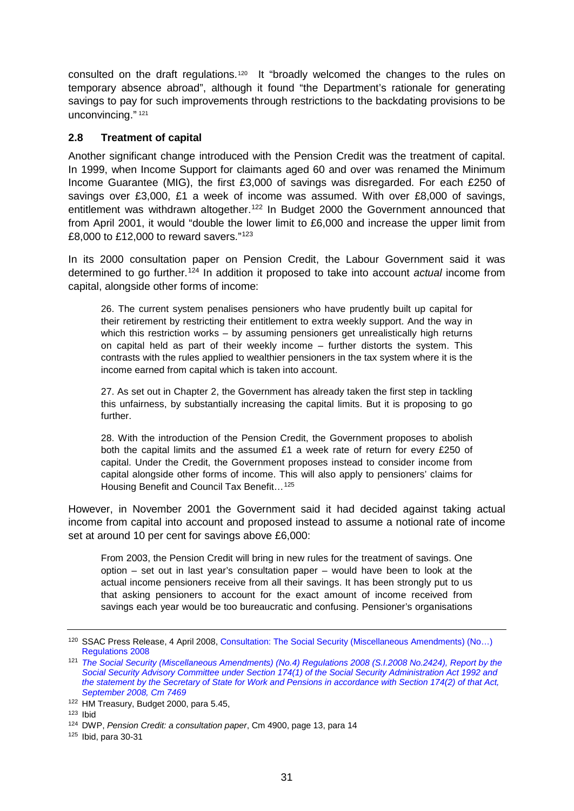consulted on the draft regulations.<sup>[120](#page-30-0)</sup> It "broadly welcomed the changes to the rules on temporary absence abroad", although it found "the Department's rationale for generating savings to pay for such improvements through restrictions to the backdating provisions to be unconvincing." [121](#page-30-1)

## **2.8 Treatment of capital**

Another significant change introduced with the Pension Credit was the treatment of capital. In 1999, when Income Support for claimants aged 60 and over was renamed the Minimum Income Guarantee (MIG), the first £3,000 of savings was disregarded. For each £250 of savings over £3,000, £1 a week of income was assumed. With over £8,000 of savings, entitlement was withdrawn altogether.<sup>[122](#page-30-2)</sup> In Budget 2000 the Government announced that from April 2001, it would "double the lower limit to £6,000 and increase the upper limit from £8,000 to £12,000 to reward savers."[123](#page-30-3)

In its 2000 consultation paper on Pension Credit, the Labour Government said it was determined to go further.[124](#page-30-4) In addition it proposed to take into account *actual* income from capital, alongside other forms of income:

26. The current system penalises pensioners who have prudently built up capital for their retirement by restricting their entitlement to extra weekly support. And the way in which this restriction works – by assuming pensioners get unrealistically high returns on capital held as part of their weekly income – further distorts the system. This contrasts with the rules applied to wealthier pensioners in the tax system where it is the income earned from capital which is taken into account.

27. As set out in Chapter 2, the Government has already taken the first step in tackling this unfairness, by substantially increasing the capital limits. But it is proposing to go further.

28. With the introduction of the Pension Credit, the Government proposes to abolish both the capital limits and the assumed £1 a week rate of return for every £250 of capital. Under the Credit, the Government proposes instead to consider income from capital alongside other forms of income. This will also apply to pensioners' claims for Housing Benefit and Council Tax Benefit…[125](#page-30-5)

However, in November 2001 the Government said it had decided against taking actual income from capital into account and proposed instead to assume a notional rate of income set at around 10 per cent for savings above £6,000:

From 2003, the Pension Credit will bring in new rules for the treatment of savings. One option – set out in last year's consultation paper – would have been to look at the actual income pensioners receive from all their savings. It has been strongly put to us that asking pensioners to account for the exact amount of income received from savings each year would be too bureaucratic and confusing. Pensioner's organisations

<span id="page-30-0"></span><sup>120</sup> SSAC Press Release, 4 April 2008[, Consultation: The Social Security \(Miscellaneous Amendments\) \(No…\)](http://www.ssac.org.uk/press/press8.asp)  [Regulations 2008](http://www.ssac.org.uk/press/press8.asp)

<span id="page-30-1"></span><sup>121</sup> *[The Social Security \(Miscellaneous Amendments\) \(No.4\) Regulations 2008 \(S.I.2008 No.2424\), Report by the](http://www.official-documents.gov.uk/document/cm74/7469/7469.asp)  [Social Security Advisory Committee under Section 174\(1\) of the Social Security Administration Act 1992 and](http://www.official-documents.gov.uk/document/cm74/7469/7469.asp)  [the statement by the Secretary of State for Work and Pensions in accordance with Section 174\(2\) of that Act,](http://www.official-documents.gov.uk/document/cm74/7469/7469.asp)  [September 2008, Cm 7469](http://www.official-documents.gov.uk/document/cm74/7469/7469.asp)*

<span id="page-30-2"></span> $122$  HM Treasury, Budget 2000, para 5.45,  $123$  Ibid

<span id="page-30-3"></span>

<span id="page-30-4"></span><sup>124</sup> DWP, *Pension Credit: a consultation paper*, Cm 4900, page 13, para 14

<span id="page-30-5"></span><sup>125</sup> Ibid, para 30-31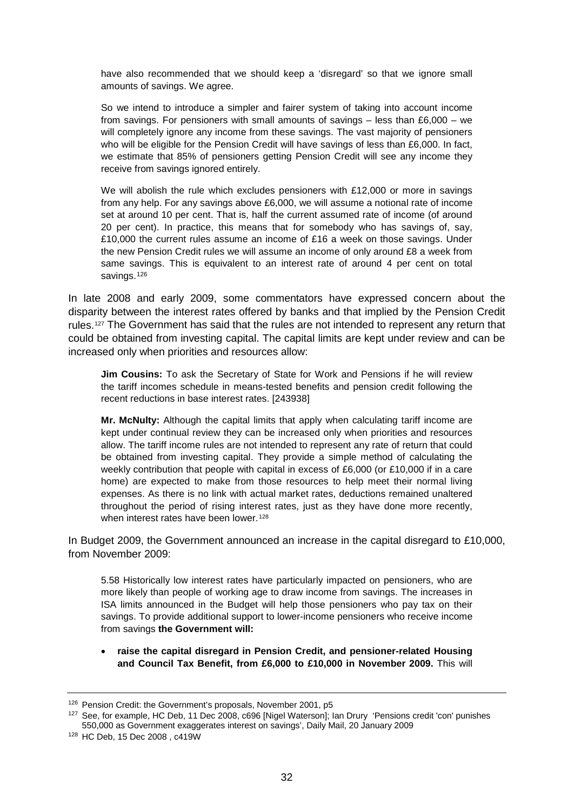have also recommended that we should keep a 'disregard' so that we ignore small amounts of savings. We agree.

So we intend to introduce a simpler and fairer system of taking into account income from savings. For pensioners with small amounts of savings  $-$  less than £6,000  $-$  we will completely ignore any income from these savings. The vast majority of pensioners who will be eligible for the Pension Credit will have savings of less than £6,000. In fact, we estimate that 85% of pensioners getting Pension Credit will see any income they receive from savings ignored entirely.

We will abolish the rule which excludes pensioners with £12,000 or more in savings from any help. For any savings above £6,000, we will assume a notional rate of income set at around 10 per cent. That is, half the current assumed rate of income (of around 20 per cent). In practice, this means that for somebody who has savings of, say, £10,000 the current rules assume an income of £16 a week on those savings. Under the new Pension Credit rules we will assume an income of only around £8 a week from same savings. This is equivalent to an interest rate of around 4 per cent on total savings.<sup>[126](#page-31-0)</sup>

In late 2008 and early 2009, some commentators have expressed concern about the disparity between the interest rates offered by banks and that implied by the Pension Credit rules.<sup>[127](#page-31-1)</sup> The Government has said that the rules are not intended to represent any return that could be obtained from investing capital. The capital limits are kept under review and can be increased only when priorities and resources allow:

**Jim Cousins:** To ask the Secretary of State for Work and Pensions if he will review the tariff incomes schedule in means-tested benefits and pension credit following the recent reductions in base interest rates. [243938]

**Mr. McNulty:** Although the capital limits that apply when calculating tariff income are kept under continual review they can be increased only when priorities and resources allow. The tariff income rules are not intended to represent any rate of return that could be obtained from investing capital. They provide a simple method of calculating the weekly contribution that people with capital in excess of £6,000 (or £10,000 if in a care home) are expected to make from those resources to help meet their normal living expenses. As there is no link with actual market rates, deductions remained unaltered throughout the period of rising interest rates, just as they have done more recently, when interest rates have been lower.<sup>[128](#page-31-2)</sup>

In Budget 2009, the Government announced an increase in the capital disregard to £10,000, from November 2009:

5.58 Historically low interest rates have particularly impacted on pensioners, who are more likely than people of working age to draw income from savings. The increases in ISA limits announced in the Budget will help those pensioners who pay tax on their savings. To provide additional support to lower-income pensioners who receive income from savings **the Government will:**

#### • **raise the capital disregard in Pension Credit, and pensioner-related Housing and Council Tax Benefit, from £6,000 to £10,000 in November 2009.** This will

<span id="page-31-0"></span><sup>126</sup> Pension Credit: the Government's proposals, November 2001, p5

<span id="page-31-1"></span><sup>127</sup> See, for example, HC Deb, 11 Dec 2008, c696 [Nigel Waterson]; Ian Drury 'Pensions credit 'con' punishes 550,000 as Government exaggerates interest on savings', Daily Mail, 20 January 2009

<span id="page-31-2"></span><sup>128</sup> HC Deb, 15 Dec 2008 , c419W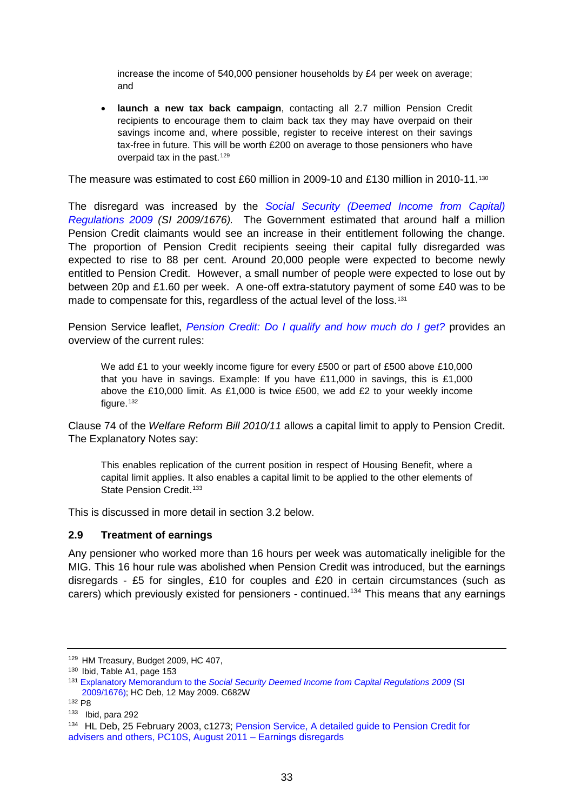increase the income of 540,000 pensioner households by £4 per week on average; and

• **launch a new tax back campaign**, contacting all 2.7 million Pension Credit recipients to encourage them to claim back tax they may have overpaid on their savings income and, where possible, register to receive interest on their savings tax-free in future. This will be worth £200 on average to those pensioners who have overpaid tax in the past.<sup>[129](#page-32-0)</sup>

The measure was estimated to cost £60 million in 2009-10 and £[130](#page-32-1) million in 2010-11.<sup>130</sup>

The disregard was increased by the *[Social Security \(Deemed Income from Capital\)](http://www.opsi.gov.uk/si/si2009/uksi_20091676_en_1)  [Regulations 2009](http://www.opsi.gov.uk/si/si2009/uksi_20091676_en_1) (SI 2009/1676).* The Government estimated that around half a million Pension Credit claimants would see an increase in their entitlement following the change. The proportion of Pension Credit recipients seeing their capital fully disregarded was expected to rise to 88 per cent. Around 20,000 people were expected to become newly entitled to Pension Credit. However, a small number of people were expected to lose out by between 20p and £1.60 per week. A one-off extra-statutory payment of some £40 was to be made to compensate for this, regardless of the actual level of the loss.<sup>[131](#page-32-2)</sup>

Pension Service leaflet, *[Pension Credit: Do I qualify and how much do I get?](http://www.direct.gov.uk/prod_consum_dg/groups/dg_digitalassets/@dg/@en/@over50/documents/digitalasset/dg_180224.pdf)* provides an overview of the current rules:

We add £1 to your weekly income figure for every £500 or part of £500 above £10,000 that you have in savings. Example: If you have  $£11,000$  in savings, this is  $£1,000$ above the £10,000 limit. As £1,000 is twice £500, we add £2 to your weekly income figure.<sup>[132](#page-32-3)</sup>

Clause 74 of the *Welfare Reform Bill 2010/11* allows a capital limit to apply to Pension Credit. The Explanatory Notes say:

This enables replication of the current position in respect of Housing Benefit, where a capital limit applies. It also enables a capital limit to be applied to the other elements of State Pension Credit.<sup>[133](#page-32-4)</sup>

This is discussed in more detail in section [3.2 below.](#page-41-0)

### <span id="page-32-6"></span>**2.9 Treatment of earnings**

Any pensioner who worked more than 16 hours per week was automatically ineligible for the MIG. This 16 hour rule was abolished when Pension Credit was introduced, but the earnings disregards - £5 for singles, £10 for couples and £20 in certain circumstances (such as carers) which previously existed for pensioners - continued.<sup>134</sup> This means that any earnings

<span id="page-32-0"></span><sup>&</sup>lt;sup>129</sup> HM Treasury, Budget 2009, HC 407, <sup>130</sup> Ibid, Table A1, page 153

<span id="page-32-1"></span>

<span id="page-32-2"></span><sup>131</sup> Explanatory Memorandum to the *[Social Security Deemed Income from Capital Regulations 2009](http://www.opsi.gov.uk/si/si2009/em/uksiem_20091676_en.pdf)* (SI [2009/1676\);](http://www.opsi.gov.uk/si/si2009/em/uksiem_20091676_en.pdf) HC Deb, 12 May 2009. C682W

<span id="page-32-3"></span><sup>132</sup> P8

<span id="page-32-4"></span><sup>133</sup> Ibid, para 292

<span id="page-32-5"></span><sup>134</sup> HL Deb, 25 February 2003, c1273; [Pension Service, A detailed guide to Pension Credit for](http://www.dwp.gov.uk/publications/specialist-guides/technical-guidance/pc10s-guide-to-pension-credit/income-disregards/#earning)  [advisers and others, PC10S, August 2011 –](http://www.dwp.gov.uk/publications/specialist-guides/technical-guidance/pc10s-guide-to-pension-credit/income-disregards/#earning) Earnings disregards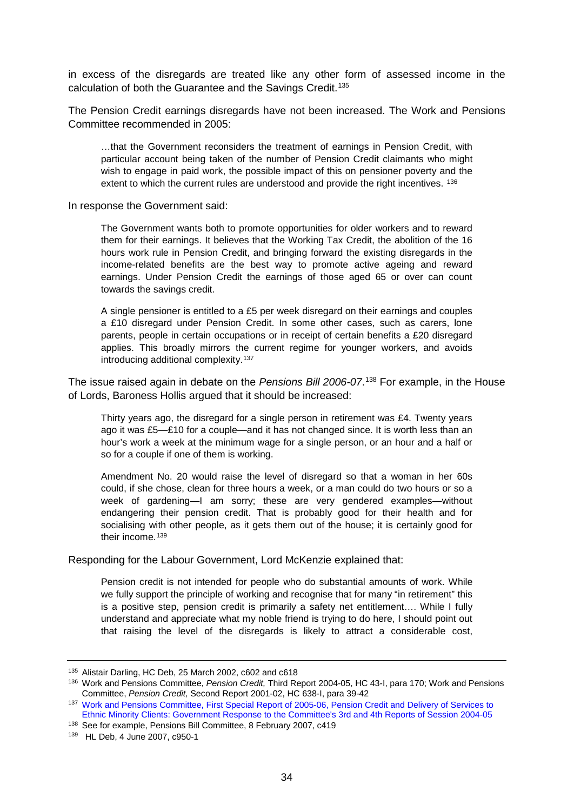in excess of the disregards are treated like any other form of assessed income in the calculation of both the Guarantee and the Savings Credit.<sup>135</sup>

The Pension Credit earnings disregards have not been increased. The Work and Pensions Committee recommended in 2005:

…that the Government reconsiders the treatment of earnings in Pension Credit, with particular account being taken of the number of Pension Credit claimants who might wish to engage in paid work, the possible impact of this on pensioner poverty and the extent to which the current rules are understood and provide the right incentives. [136](#page-33-1)

In response the Government said:

The Government wants both to promote opportunities for older workers and to reward them for their earnings. It believes that the Working Tax Credit, the abolition of the 16 hours work rule in Pension Credit, and bringing forward the existing disregards in the income-related benefits are the best way to promote active ageing and reward earnings. Under Pension Credit the earnings of those aged 65 or over can count towards the savings credit.

A single pensioner is entitled to a £5 per week disregard on their earnings and couples a £10 disregard under Pension Credit. In some other cases, such as carers, lone parents, people in certain occupations or in receipt of certain benefits a £20 disregard applies. This broadly mirrors the current regime for younger workers, and avoids introducing additional complexity.[137](#page-33-2)

The issue raised again in debate on the *Pensions Bill 2006-07*. [138](#page-33-3) For example, in the House of Lords, Baroness Hollis argued that it should be increased:

Thirty years ago, the disregard for a single person in retirement was £4. Twenty years ago it was £5—£10 for a couple—and it has not changed since. It is worth less than an hour's work a week at the minimum wage for a single person, or an hour and a half or so for a couple if one of them is working.

Amendment No. 20 would raise the level of disregard so that a woman in her 60s could, if she chose, clean for three hours a week, or a man could do two hours or so a week of gardening—I am sorry; these are very gendered examples—without endangering their pension credit. That is probably good for their health and for socialising with other people, as it gets them out of the house; it is certainly good for their income.<sup>[139](#page-33-4)</sup>

Responding for the Labour Government, Lord McKenzie explained that:

Pension credit is not intended for people who do substantial amounts of work. While we fully support the principle of working and recognise that for many "in retirement" this is a positive step, pension credit is primarily a safety net entitlement…. While I fully understand and appreciate what my noble friend is trying to do here, I should point out that raising the level of the disregards is likely to attract a considerable cost,

<span id="page-33-0"></span><sup>135</sup> Alistair Darling, HC Deb, 25 March 2002, c602 and c618

<span id="page-33-1"></span><sup>136</sup> Work and Pensions Committee, *Pension Credit,* Third Report 2004-05, HC 43-I, para 170; Work and Pensions Committee, *Pension Credit,* Second Report 2001-02, HC 638-I, para 39-42

<span id="page-33-2"></span><sup>137</sup> [Work and Pensions Committee, First Special Report of 2005-06, Pension Credit and Delivery of Services to](http://www.publications.parliament.uk/pa/cm200506/cmselect/cmworpen/397/39702.htm)  [Ethnic Minority Clients: Government Response to the Committee's 3rd and 4th Reports of Session 2004-05](http://www.publications.parliament.uk/pa/cm200506/cmselect/cmworpen/397/39702.htm)

<span id="page-33-3"></span><sup>138</sup> See for example, Pensions Bill Committee, 8 February 2007, c419

<span id="page-33-4"></span><sup>139</sup> HL Deb, 4 June 2007, c950-1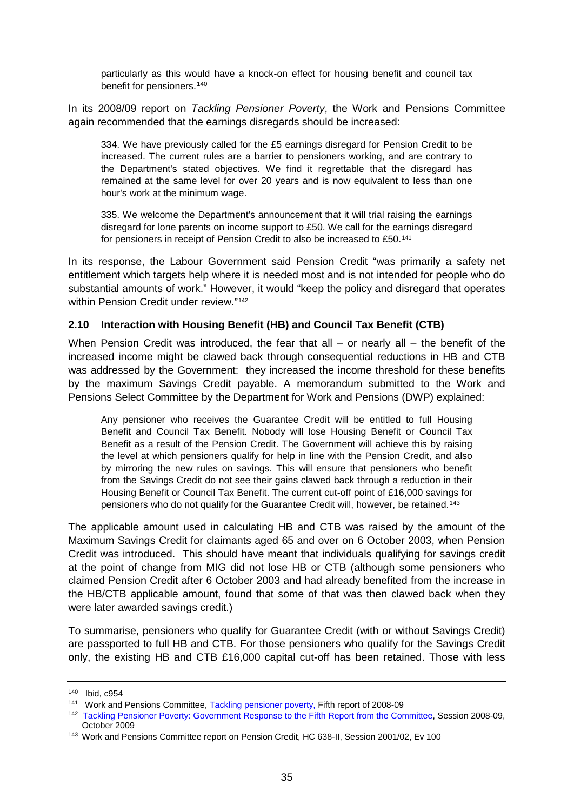particularly as this would have a knock-on effect for housing benefit and council tax benefit for pensioners.<sup>[140](#page-34-0)</sup>

In its 2008/09 report on *Tackling Pensioner Poverty*, the Work and Pensions Committee again recommended that the earnings disregards should be increased:

334. We have previously called for the £5 earnings disregard for Pension Credit to be increased. The current rules are a barrier to pensioners working, and are contrary to the Department's stated objectives. We find it regrettable that the disregard has remained at the same level for over 20 years and is now equivalent to less than one hour's work at the minimum wage.

335. We welcome the Department's announcement that it will trial raising the earnings disregard for lone parents on income support to £50. We call for the earnings disregard for pensioners in receipt of Pension Credit to also be increased to £50.[141](#page-34-1)

In its response, the Labour Government said Pension Credit "was primarily a safety net entitlement which targets help where it is needed most and is not intended for people who do substantial amounts of work." However, it would "keep the policy and disregard that operates within Pension Credit under review."<sup>[142](#page-34-2)</sup>

### **2.10 Interaction with Housing Benefit (HB) and Council Tax Benefit (CTB)**

When Pension Credit was introduced, the fear that all – or nearly all – the benefit of the increased income might be clawed back through consequential reductions in HB and CTB was addressed by the Government: they increased the income threshold for these benefits by the maximum Savings Credit payable. A memorandum submitted to the Work and Pensions Select Committee by the Department for Work and Pensions (DWP) explained:

Any pensioner who receives the Guarantee Credit will be entitled to full Housing Benefit and Council Tax Benefit. Nobody will lose Housing Benefit or Council Tax Benefit as a result of the Pension Credit. The Government will achieve this by raising the level at which pensioners qualify for help in line with the Pension Credit, and also by mirroring the new rules on savings. This will ensure that pensioners who benefit from the Savings Credit do not see their gains clawed back through a reduction in their Housing Benefit or Council Tax Benefit. The current cut-off point of £16,000 savings for pensioners who do not qualify for the Guarantee Credit will, however, be retained.[143](#page-34-3)

The applicable amount used in calculating HB and CTB was raised by the amount of the Maximum Savings Credit for claimants aged 65 and over on 6 October 2003, when Pension Credit was introduced. This should have meant that individuals qualifying for savings credit at the point of change from MIG did not lose HB or CTB (although some pensioners who claimed Pension Credit after 6 October 2003 and had already benefited from the increase in the HB/CTB applicable amount, found that some of that was then clawed back when they were later awarded savings credit.)

To summarise, pensioners who qualify for Guarantee Credit (with or without Savings Credit) are passported to full HB and CTB. For those pensioners who qualify for the Savings Credit only, the existing HB and CTB  $£16,000$  capital cut-off has been retained. Those with less

<span id="page-34-1"></span><span id="page-34-0"></span><sup>&</sup>lt;sup>140</sup> Ibid, c954<br><sup>141</sup> Work and Pensions Committee[, Tackling pensioner poverty,](http://www.publications.parliament.uk/pa/cm200809/cmselect/cmworpen/411/41110.htm) Fifth report of 2008-09

<span id="page-34-2"></span><sup>142</sup> [Tackling Pensioner Poverty: Government Response to the Fifth Report from the Committee,](http://www.publications.parliament.uk/pa/cm200809/cmselect/cmworpen/1029/102902.htm) Session 2008-09, October 2009

<span id="page-34-3"></span><sup>143</sup> Work and Pensions Committee report on Pension Credit, HC 638-II, Session 2001/02, Ev 100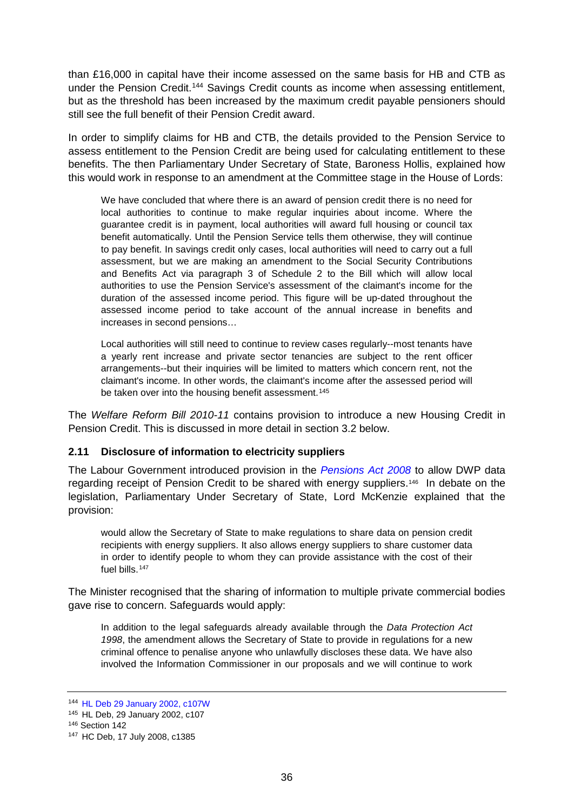than £16,000 in capital have their income assessed on the same basis for HB and CTB as under the Pension Credit.<sup>[144](#page-35-0)</sup> Savings Credit counts as income when assessing entitlement, but as the threshold has been increased by the maximum credit payable pensioners should still see the full benefit of their Pension Credit award.

In order to simplify claims for HB and CTB, the details provided to the Pension Service to assess entitlement to the Pension Credit are being used for calculating entitlement to these benefits. The then Parliamentary Under Secretary of State, Baroness Hollis, explained how this would work in response to an amendment at the Committee stage in the House of Lords:

We have concluded that where there is an award of pension credit there is no need for local authorities to continue to make regular inquiries about income. Where the guarantee credit is in payment, local authorities will award full housing or council tax benefit automatically. Until the Pension Service tells them otherwise, they will continue to pay benefit. In savings credit only cases, local authorities will need to carry out a full assessment, but we are making an amendment to the Social Security Contributions and Benefits Act via paragraph 3 of Schedule 2 to the Bill which will allow local authorities to use the Pension Service's assessment of the claimant's income for the duration of the assessed income period. This figure will be up-dated throughout the assessed income period to take account of the annual increase in benefits and increases in second pensions…

Local authorities will still need to continue to review cases regularly--most tenants have a yearly rent increase and private sector tenancies are subject to the rent officer arrangements--but their inquiries will be limited to matters which concern rent, not the claimant's income. In other words, the claimant's income after the assessed period will be taken over into the housing benefit assessment.<sup>[145](#page-35-1)</sup>

The *Welfare Reform Bill 2010-11* contains provision to introduce a new Housing Credit in Pension Credit. This is discussed in more detail in section [3.2 below.](#page-41-0)

## **2.11 Disclosure of information to electricity suppliers**

The Labour Government introduced provision in the *[Pensions Act 2008](http://www.opsi.gov.uk/acts/acts2008/ukpga_20080030_en_1)* to allow DWP data regarding receipt of Pension Credit to be shared with energy suppliers.[146](#page-35-2) In debate on the legislation, Parliamentary Under Secretary of State, Lord McKenzie explained that the provision:

would allow the Secretary of State to make regulations to share data on pension credit recipients with energy suppliers. It also allows energy suppliers to share customer data in order to identify people to whom they can provide assistance with the cost of their fuel bills.<sup>[147](#page-35-3)</sup>

The Minister recognised that the sharing of information to multiple private commercial bodies gave rise to concern. Safeguards would apply:

In addition to the legal safeguards already available through the *Data Protection Act 1998*, the amendment allows the Secretary of State to provide in regulations for a new criminal offence to penalise anyone who unlawfully discloses these data. We have also involved the Information Commissioner in our proposals and we will continue to work

<span id="page-35-0"></span><sup>144</sup> [HL Deb 29 January 2002, c107W](http://www.publications.parliament.uk/pa/ld200102/ldhansrd/vo020129/text/20129-11.htm#20129-11_spnew9)

<span id="page-35-1"></span><sup>145</sup> HL Deb, 29 January 2002, c107

<span id="page-35-2"></span><sup>146</sup> Section 142

<span id="page-35-3"></span><sup>147</sup> HC Deb, 17 July 2008, c1385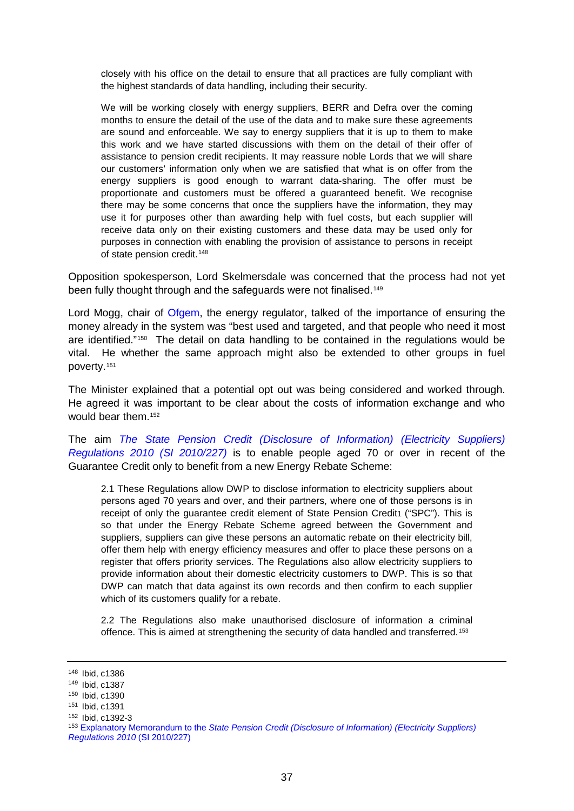closely with his office on the detail to ensure that all practices are fully compliant with the highest standards of data handling, including their security.

We will be working closely with energy suppliers, BERR and Defra over the coming months to ensure the detail of the use of the data and to make sure these agreements are sound and enforceable. We say to energy suppliers that it is up to them to make this work and we have started discussions with them on the detail of their offer of assistance to pension credit recipients. It may reassure noble Lords that we will share our customers' information only when we are satisfied that what is on offer from the energy suppliers is good enough to warrant data-sharing. The offer must be proportionate and customers must be offered a guaranteed benefit. We recognise there may be some concerns that once the suppliers have the information, they may use it for purposes other than awarding help with fuel costs, but each supplier will receive data only on their existing customers and these data may be used only for purposes in connection with enabling the provision of assistance to persons in receipt of state pension credit.<sup>[148](#page-36-0)</sup>

Opposition spokesperson, Lord Skelmersdale was concerned that the process had not yet been fully thought through and the safeguards were not finalised.<sup>149</sup>

Lord Mogg, chair of [Ofgem,](http://www.ofgem.gov.uk/Pages/OfgemHome.aspx) the energy regulator, talked of the importance of ensuring the money already in the system was "best used and targeted, and that people who need it most are identified."[150](#page-36-2) The detail on data handling to be contained in the regulations would be vital. He whether the same approach might also be extended to other groups in fuel poverty.[151](#page-36-3) 

The Minister explained that a potential opt out was being considered and worked through. He agreed it was important to be clear about the costs of information exchange and who would bear them.[152](#page-36-4) 

The aim *[The State Pension Credit \(Disclosure of Information\) \(Electricity Suppliers\)](http://www.opsi.gov.uk/si/si2010/uksi_20100227_en_1)  [Regulations 2010 \(SI 2010/227\)](http://www.opsi.gov.uk/si/si2010/uksi_20100227_en_1)* is to enable people aged 70 or over in recent of the Guarantee Credit only to benefit from a new Energy Rebate Scheme:

2.1 These Regulations allow DWP to disclose information to electricity suppliers about persons aged 70 years and over, and their partners, where one of those persons is in receipt of only the quarantee credit element of State Pension Credit1 ("SPC"). This is so that under the Energy Rebate Scheme agreed between the Government and suppliers, suppliers can give these persons an automatic rebate on their electricity bill, offer them help with energy efficiency measures and offer to place these persons on a register that offers priority services. The Regulations also allow electricity suppliers to provide information about their domestic electricity customers to DWP. This is so that DWP can match that data against its own records and then confirm to each supplier which of its customers qualify for a rebate.

2.2 The Regulations also make unauthorised disclosure of information a criminal offence. This is aimed at strengthening the security of data handled and transferred.[153](#page-36-5)

<span id="page-36-0"></span><sup>148</sup> Ibid, c1386

<span id="page-36-1"></span><sup>149</sup> Ibid, c1387

<sup>150</sup> Ibid, c1390

<span id="page-36-3"></span><span id="page-36-2"></span><sup>151</sup> Ibid, c1391

<span id="page-36-4"></span><sup>152</sup> Ibid, c1392-3

<span id="page-36-5"></span><sup>153</sup> Explanatory Memorandum to the *[State Pension Credit \(Disclosure of Information\) \(Electricity Suppliers\)](http://www.opsi.gov.uk/si/si2010/em/uksiem_20100227_en.pdf)  [Regulations 2010](http://www.opsi.gov.uk/si/si2010/em/uksiem_20100227_en.pdf)* (SI 2010/227)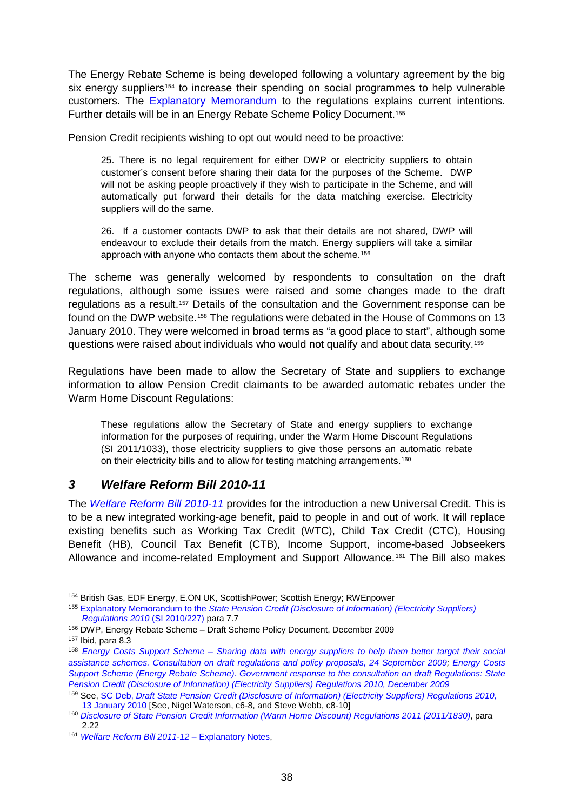The Energy Rebate Scheme is being developed following a voluntary agreement by the big six energy suppliers<sup>[154](#page-37-0)</sup> to increase their spending on social programmes to help vulnerable customers. The [Explanatory Memorandum](http://www.opsi.gov.uk/si/si2010/em/uksiem_20100227_en.pdf) to the regulations explains current intentions. Further details will be in an Energy Rebate Scheme Policy Document.[155](#page-37-1) 

Pension Credit recipients wishing to opt out would need to be proactive:

25. There is no legal requirement for either DWP or electricity suppliers to obtain customer's consent before sharing their data for the purposes of the Scheme. DWP will not be asking people proactively if they wish to participate in the Scheme, and will automatically put forward their details for the data matching exercise. Electricity suppliers will do the same.

26. If a customer contacts DWP to ask that their details are not shared, DWP will endeavour to exclude their details from the match. Energy suppliers will take a similar approach with anyone who contacts them about the scheme.[156](#page-37-2)

The scheme was generally welcomed by respondents to consultation on the draft regulations, although some issues were raised and some changes made to the draft regulations as a result.[157](#page-37-3) Details of the consultation and the Government response can be found on the DWP website.[158](#page-37-4) The regulations were debated in the House of Commons on 13 January 2010. They were welcomed in broad terms as "a good place to start", although some questions were raised about individuals who would not qualify and about data security.[159](#page-37-5)

Regulations have been made to allow the Secretary of State and suppliers to exchange information to allow Pension Credit claimants to be awarded automatic rebates under the Warm Home Discount Regulations:

These regulations allow the Secretary of State and energy suppliers to exchange information for the purposes of requiring, under the Warm Home Discount Regulations (SI 2011/1033), those electricity suppliers to give those persons an automatic rebate on their electricity bills and to allow for testing matching arrangements.<sup>[160](#page-37-6)</sup>

## *3 Welfare Reform Bill 2010-11*

The *[Welfare Reform Bill 2010-11](http://www.publications.parliament.uk/pa/cm201011/cmbills/154/11154.i-v.html)* provides for the introduction a new Universal Credit. This is to be a new integrated working-age benefit, paid to people in and out of work. It will replace existing benefits such as Working Tax Credit (WTC), Child Tax Credit (CTC), Housing Benefit (HB), Council Tax Benefit (CTB), Income Support, income-based Jobseekers Allowance and income-related Employment and Support Allowance.[161](#page-37-7) The Bill also makes

<span id="page-37-0"></span><sup>154</sup> British Gas, EDF Energy, E.ON UK, ScottishPower; Scottish Energy; RWEnpower

<span id="page-37-1"></span><sup>155</sup> Explanatory Memorandum to the *[State Pension Credit \(Disclosure of Information\) \(Electricity Suppliers\)](http://www.opsi.gov.uk/si/si2010/em/uksiem_20100227_en.pdf)  [Regulations 2010](http://www.opsi.gov.uk/si/si2010/em/uksiem_20100227_en.pdf)* (SI 2010/227) para 7.7

<span id="page-37-2"></span><sup>156</sup> DWP, Energy Rebate Scheme – Draft Scheme Policy Document, December 2009

<span id="page-37-3"></span><sup>157</sup> Ibid, para 8.3

<span id="page-37-4"></span><sup>158</sup> *Energy Costs Support Scheme – [Sharing data with energy suppliers to help them better](http://www.dwp.gov.uk/docs/consultation-energy-costs-scheme.pdf) target their social [assistance schemes. Consultation on draft regulations and policy proposals, 24 September 2009;](http://www.dwp.gov.uk/docs/consultation-energy-costs-scheme.pdf) [Energy Costs](http://www.dwp.gov.uk/docs/energy-consultation-response.pdf)  [Support Scheme \(Energy Rebate Scheme\). Government response to the consultation on draft Regulations: State](http://www.dwp.gov.uk/docs/energy-consultation-response.pdf)  [Pension Credit \(Disclosure of Information\) \(Electricity Suppliers\) Regulations 2010, December 2009](http://www.dwp.gov.uk/docs/energy-consultation-response.pdf)*

<span id="page-37-5"></span><sup>159</sup> See, SC Deb, *[Draft State Pension Credit \(Disclosure of Information\) \(Electricity Suppliers\) Regulations 2010,](http://www.publications.parliament.uk/pa/cm200910/cmgeneral/deleg9/100113/100113s01.htm)*  [13 January 2010](http://www.publications.parliament.uk/pa/cm200910/cmgeneral/deleg9/100113/100113s01.htm) [See, Nigel Waterson, c6-8, and Steve Webb, c8-10]

<span id="page-37-6"></span><sup>160</sup> *[Disclosure of State Pension Credit Information \(Warm Home Discount\) Regulations 2011 \(2011/1830\)](http://www.legislation.gov.uk/uksi/2011/1830/contents/made)*, para 2.22

<span id="page-37-7"></span><sup>161</sup> *Welfare Reform Bill 2011-12 –* [Explanatory Notes,](http://www.publications.parliament.uk/pa/cm201011/cmbills/154/en/11154en.htm)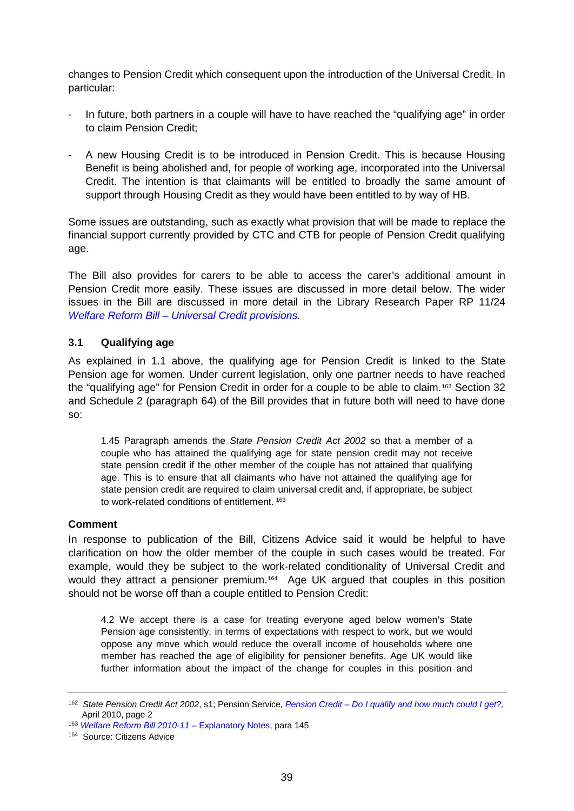changes to Pension Credit which consequent upon the introduction of the Universal Credit. In particular:

- In future, both partners in a couple will have to have reached the "qualifying age" in order to claim Pension Credit;
- A new Housing Credit is to be introduced in Pension Credit. This is because Housing Benefit is being abolished and, for people of working age, incorporated into the Universal Credit. The intention is that claimants will be entitled to broadly the same amount of support through Housing Credit as they would have been entitled to by way of HB.

Some issues are outstanding, such as exactly what provision that will be made to replace the financial support currently provided by CTC and CTB for people of Pension Credit qualifying age.

The Bill also provides for carers to be able to access the carer's additional amount in Pension Credit more easily. These issues are discussed in more detail below. The wider issues in the Bill are discussed in more detail in the Library Research Paper RP 11/24 *Welfare Reform Bill – [Universal Credit provisions.](http://www.parliament.uk/briefing-papers/RP11-24)*

## **3.1 Qualifying age**

As explained in [1.1 above,](#page-2-5) the qualifying age for Pension Credit is linked to the State Pension age for women. Under current legislation, only one partner needs to have reached the "qualifying age" for Pension Credit in order for a couple to be able to claim.[162](#page-38-0) Section 32 and Schedule 2 (paragraph 64) of the Bill provides that in future both will need to have done so:

1.45 Paragraph amends the *State Pension Credit Act 2002* so that a member of a couple who has attained the qualifying age for state pension credit may not receive state pension credit if the other member of the couple has not attained that qualifying age. This is to ensure that all claimants who have not attained the qualifying age for state pension credit are required to claim universal credit and, if appropriate, be subject to work-related conditions of entitlement. [163](#page-38-1)

### **Comment**

In response to publication of the Bill, Citizens Advice said it would be helpful to have clarification on how the older member of the couple in such cases would be treated. For example, would they be subject to the work-related conditionality of Universal Credit and would they attract a pensioner premium.<sup>[164](#page-38-2)</sup> Age UK argued that couples in this position should not be worse off than a couple entitled to Pension Credit:

4.2 We accept there is a case for treating everyone aged below women's State Pension age consistently, in terms of expectations with respect to work, but we would oppose any move which would reduce the overall income of households where one member has reached the age of eligibility for pensioner benefits. Age UK would like further information about the impact of the change for couples in this position and

<span id="page-38-0"></span><sup>162</sup> *State Pension Credit Act 2002*, s1; Pension Service*, Pension Credit – [Do I qualify and how much could I get?,](http://www.direct.gov.uk/prod_consum_dg/groups/dg_digitalassets/@dg/@en/@over50/documents/digitalasset/dg_180224.pdf)*  April 2010, page 2

<span id="page-38-1"></span><sup>163</sup> *[Welfare Reform Bill 2010-11 –](http://www.publications.parliament.uk/pa/cm201011/cmbills/154/en/11154en.htm)* Explanatory Notes, para 145

<span id="page-38-2"></span><sup>164</sup> Source: Citizens Advice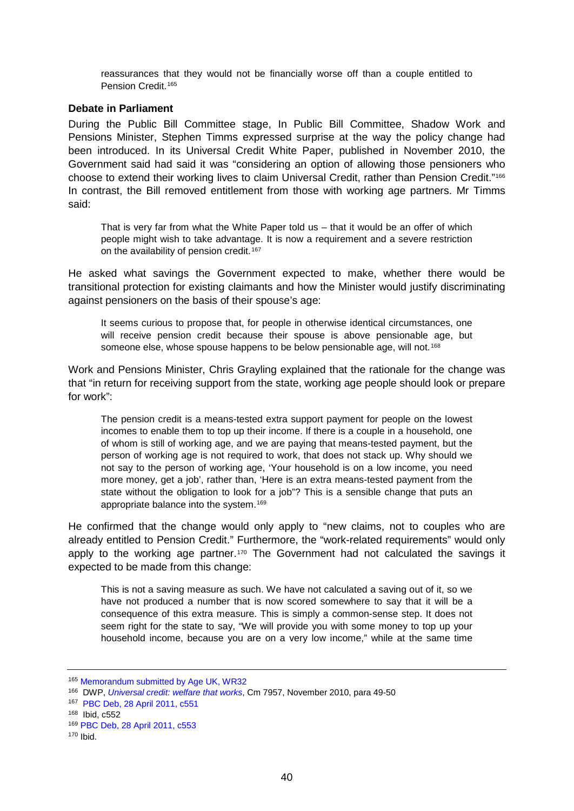reassurances that they would not be financially worse off than a couple entitled to Pension Credit.<sup>[165](#page-39-0)</sup>

### **Debate in Parliament**

During the Public Bill Committee stage, In Public Bill Committee, Shadow Work and Pensions Minister, Stephen Timms expressed surprise at the way the policy change had been introduced. In its Universal Credit White Paper, published in November 2010, the Government said had said it was "considering an option of allowing those pensioners who choose to extend their working lives to claim Universal Credit, rather than Pension Credit.["166](#page-39-1) In contrast, the Bill removed entitlement from those with working age partners. Mr Timms said:

That is very far from what the White Paper told us – that it would be an offer of which people might wish to take advantage. It is now a requirement and a severe restriction on the availability of pension credit.<sup>[167](#page-39-2)</sup>

He asked what savings the Government expected to make, whether there would be transitional protection for existing claimants and how the Minister would justify discriminating against pensioners on the basis of their spouse's age:

It seems curious to propose that, for people in otherwise identical circumstances, one will receive pension credit because their spouse is above pensionable age, but someone else, whose spouse happens to be below pensionable age, will not.<sup>[168](#page-39-3)</sup>

Work and Pensions Minister, Chris Grayling explained that the rationale for the change was that "in return for receiving support from the state, working age people should look or prepare for work":

The pension credit is a means-tested extra support payment for people on the lowest incomes to enable them to top up their income. If there is a couple in a household, one of whom is still of working age, and we are paying that means-tested payment, but the person of working age is not required to work, that does not stack up. Why should we not say to the person of working age, 'Your household is on a low income, you need more money, get a job', rather than, 'Here is an extra means-tested payment from the state without the obligation to look for a job"? This is a sensible change that puts an appropriate balance into the system.[169](#page-39-4)

He confirmed that the change would only apply to "new claims, not to couples who are already entitled to Pension Credit." Furthermore, the "work-related requirements" would only apply to the working age partner.<sup>[170](#page-39-5)</sup> The Government had not calculated the savings it expected to be made from this change:

This is not a saving measure as such. We have not calculated a saving out of it, so we have not produced a number that is now scored somewhere to say that it will be a consequence of this extra measure. This is simply a common-sense step. It does not seem right for the state to say, "We will provide you with some money to top up your household income, because you are on a very low income," while at the same time

<span id="page-39-0"></span><sup>165</sup> [Memorandum submitted by Age UK, WR32](http://www.publications.parliament.uk/pa/cm201011/cmpublic/welfare/memo/wr32.htm)

<span id="page-39-1"></span><sup>166</sup> DWP, *[Universal credit: welfare that works](http://www.dwp.gov.uk/docs/universal-credit-full-document.pdf#page=26)*, Cm 7957, November 2010, para 49-50

<span id="page-39-2"></span><sup>167</sup> PBC [Deb, 28 April 2011, c551](http://www.publications.parliament.uk/pa/cm201011/cmpublic/welfare/110428/am/110428s01.htm)

<span id="page-39-3"></span><sup>168</sup> Ibid, c552<br><sup>169</sup> PBC Deb, [28 April 2011, c553](http://www.publications.parliament.uk/pa/cm201011/cmpublic/welfare/110428/am/110428s01.htm)

<span id="page-39-5"></span><span id="page-39-4"></span><sup>170</sup> Ibid.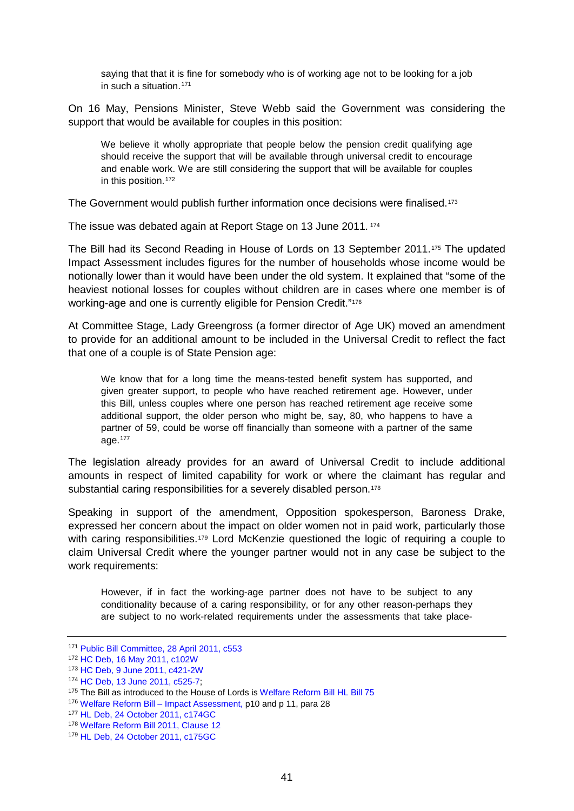saying that that it is fine for somebody who is of working age not to be looking for a job in such a situation.<sup>[171](#page-40-0)</sup>

On 16 May, Pensions Minister, Steve Webb said the Government was considering the support that would be available for couples in this position:

We believe it wholly appropriate that people below the pension credit qualifying age should receive the support that will be available through universal credit to encourage and enable work. We are still considering the support that will be available for couples in this position.<sup>[172](#page-40-1)</sup>

The Government would publish further information once decisions were finalised.[173](#page-40-2)

The issue was debated again at Report Stage on 13 June 2011. [174](#page-40-3)

The Bill had its Second Reading in House of Lords on 13 September 2011.[175](#page-40-4) The updated Impact Assessment includes figures for the number of households whose income would be notionally lower than it would have been under the old system. It explained that "some of the heaviest notional losses for couples without children are in cases where one member is of working-age and one is currently eligible for Pension Credit."<sup>[176](#page-40-5)</sup>

At Committee Stage, Lady Greengross (a former director of Age UK) moved an amendment to provide for an additional amount to be included in the Universal Credit to reflect the fact that one of a couple is of State Pension age:

We know that for a long time the means-tested benefit system has supported, and given greater support, to people who have reached retirement age. However, under this Bill, unless couples where one person has reached retirement age receive some additional support, the older person who might be, say, 80, who happens to have a partner of 59, could be worse off financially than someone with a partner of the same age.[177](#page-40-6)

The legislation already provides for an award of Universal Credit to include additional amounts in respect of limited capability for work or where the claimant has regular and substantial caring responsibilities for a severely disabled person.<sup>[178](#page-40-7)</sup>

Speaking in support of the amendment, Opposition spokesperson, Baroness Drake, expressed her concern about the impact on older women not in paid work, particularly those with caring responsibilities.<sup>[179](#page-40-8)</sup> Lord McKenzie questioned the logic of requiring a couple to claim Universal Credit where the younger partner would not in any case be subject to the work requirements:

However, if in fact the working-age partner does not have to be subject to any conditionality because of a caring responsibility, or for any other reason-perhaps they are subject to no work-related requirements under the assessments that take place-

<span id="page-40-0"></span><sup>171</sup> [Public Bill Committee, 28 April 2011, c553](http://www.publications.parliament.uk/pa/cm201011/cmpublic/welfare/110428/am/110428s01.htm)

<span id="page-40-1"></span><sup>172</sup> [HC Deb, 16 May 2011, c102W](http://www.publications.parliament.uk/pa/cm201011/cmhansrd/cm110516/text/110516w0004.htm#11051628000064)

<span id="page-40-2"></span><sup>173</sup> [HC Deb, 9 June 2011, c421-2W](http://www.publications.parliament.uk/pa/cm201011/cmhansrd/cm110609/text/110609w0001.htm#11060955000430)

<span id="page-40-3"></span><sup>174</sup> [HC Deb, 13 June 2011, c525-7;](http://www.publications.parliament.uk/pa/cm201011/cmhansrd/cm110613/debtext/110613-0002.htm)

<span id="page-40-4"></span><sup>&</sup>lt;sup>175</sup> The Bill as introduced to the House of Lords is [Welfare Reform Bill HL Bill 75](http://www.publications.parliament.uk/pa/bills/lbill/2010-2012/0075/lbill_2010-20120075_en_1.htm)

<span id="page-40-5"></span><sup>176</sup> Welfare Reform Bill – [Impact Assessment, p](http://www.dwp.gov.uk/docs/universal-credit-wr2011-ia.pdf#page=10)10 and p 11, para 28

<span id="page-40-6"></span><sup>177</sup> [HL Deb, 24 October 2011, c174GC](http://www.publications.parliament.uk/pa/ld201011/ldhansrd/text/111024-gc0001.htm#1110246000083)

<span id="page-40-7"></span><sup>178</sup> [Welfare Reform Bill 2011, Clause 12](http://www.publications.parliament.uk/pa/bills/lbill/2010-2012/0075/lbill_2010-20120075_en_2.htm#pt1-ch1-pb4-l1g12)

<span id="page-40-8"></span><sup>179</sup> [HL Deb, 24 October 2011, c175GC](http://www.publications.parliament.uk/pa/ld201011/ldhansrd/text/111024-gc0001.htm#1110246000083)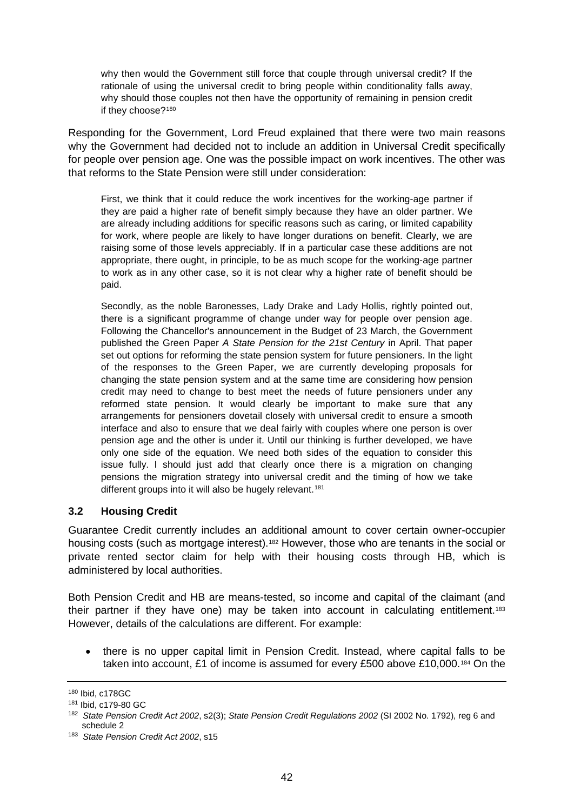why then would the Government still force that couple through universal credit? If the rationale of using the universal credit to bring people within conditionality falls away, why should those couples not then have the opportunity of remaining in pension credit if they choose?<sup>[180](#page-41-1)</sup>

Responding for the Government, Lord Freud explained that there were two main reasons why the Government had decided not to include an addition in Universal Credit specifically for people over pension age. One was the possible impact on work incentives. The other was that reforms to the State Pension were still under consideration:

First, we think that it could reduce the work incentives for the working-age partner if they are paid a higher rate of benefit simply because they have an older partner. We are already including additions for specific reasons such as caring, or limited capability for work, where people are likely to have longer durations on benefit. Clearly, we are raising some of those levels appreciably. If in a particular case these additions are not appropriate, there ought, in principle, to be as much scope for the working-age partner to work as in any other case, so it is not clear why a higher rate of benefit should be paid.

Secondly, as the noble Baronesses, Lady Drake and Lady Hollis, rightly pointed out, there is a significant programme of change under way for people over pension age. Following the Chancellor's announcement in the Budget of 23 March, the Government published the Green Paper *A State Pension for the 21st Century* in April. That paper set out options for reforming the state pension system for future pensioners. In the light of the responses to the Green Paper, we are currently developing proposals for changing the state pension system and at the same time are considering how pension credit may need to change to best meet the needs of future pensioners under any reformed state pension. It would clearly be important to make sure that any arrangements for pensioners dovetail closely with universal credit to ensure a smooth interface and also to ensure that we deal fairly with couples where one person is over pension age and the other is under it. Until our thinking is further developed, we have only one side of the equation. We need both sides of the equation to consider this issue fully. I should just add that clearly once there is a migration on changing pensions the migration strategy into universal credit and the timing of how we take different groups into it will also be hugely relevant.<sup>[181](#page-41-2)</sup>

### <span id="page-41-0"></span>**3.2 Housing Credit**

Guarantee Credit currently includes an additional amount to cover certain owner-occupier housing costs (such as mortgage interest).<sup>[182](#page-41-3)</sup> However, those who are tenants in the social or private rented sector claim for help with their housing costs through HB, which is administered by local authorities.

<span id="page-41-5"></span>Both Pension Credit and HB are means-tested, so income and capital of the claimant (and their partner if they have one) may be taken into account in calculating entitlement[.183](#page-41-4) However, details of the calculations are different. For example:

• there is no upper capital limit in Pension Credit. Instead, where capital falls to be taken into account, £1 of income is assumed for every £500 above £10,000.[184](#page-41-5) On the

<span id="page-41-1"></span><sup>180</sup> Ibid, c178GC

<span id="page-41-2"></span><sup>181</sup> Ibid, c179-80 GC

<span id="page-41-3"></span><sup>182</sup> *State Pension Credit Act 2002*, s2(3); *State Pension Credit Regulations 2002* (SI 2002 No. 1792), reg 6 and schedule 2

<span id="page-41-4"></span><sup>183</sup> *State Pension Credit Act 2002*, s15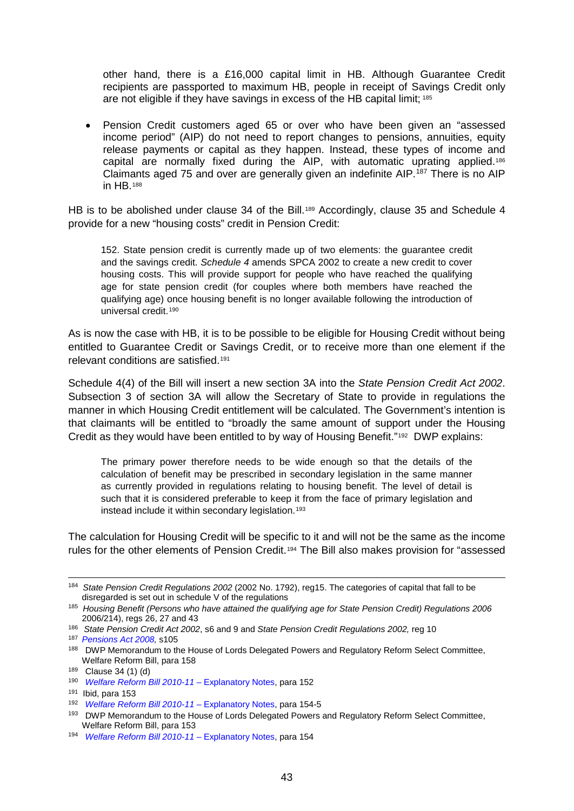other hand, there is a £16,000 capital limit in HB. Although Guarantee Credit recipients are passported to maximum HB, people in receipt of Savings Credit only are not eligible if they have savings in excess of the HB capital limit; [185](#page-42-0)

• Pension Credit customers aged 65 or over who have been given an "assessed income period" (AIP) do not need to report changes to pensions, annuities, equity release payments or capital as they happen. Instead, these types of income and capital are normally fixed during the AIP, with automatic uprating applied[.186](#page-42-1) Claimants aged 75 and over are generally given an indefinite AIP.<sup>[187](#page-42-2)</sup> There is no AIP in HB.[188](#page-42-3)

HB is to be abolished under clause 34 of the Bill.<sup>[189](#page-42-4)</sup> Accordingly, clause 35 and Schedule 4 provide for a new "housing costs" credit in Pension Credit:

152. State pension credit is currently made up of two elements: the guarantee credit and the savings credit. *Schedule 4* amends SPCA 2002 to create a new credit to cover housing costs. This will provide support for people who have reached the qualifying age for state pension credit (for couples where both members have reached the qualifying age) once housing benefit is no longer available following the introduction of universal credit.<sup>[190](#page-42-5)</sup>

As is now the case with HB, it is to be possible to be eligible for Housing Credit without being entitled to Guarantee Credit or Savings Credit, or to receive more than one element if the relevant conditions are satisfied.[191](#page-42-6)

Schedule 4(4) of the Bill will insert a new section 3A into the *State Pension Credit Act 2002*. Subsection 3 of section 3A will allow the Secretary of State to provide in regulations the manner in which Housing Credit entitlement will be calculated. The Government's intention is that claimants will be entitled to "broadly the same amount of support under the Housing Credit as they would have been entitled to by way of Housing Benefit."<sup>[192](#page-42-7)</sup> DWP explains:

The primary power therefore needs to be wide enough so that the details of the calculation of benefit may be prescribed in secondary legislation in the same manner as currently provided in regulations relating to housing benefit. The level of detail is such that it is considered preferable to keep it from the face of primary legislation and instead include it within secondary legislation.<sup>[193](#page-42-8)</sup>

The calculation for Housing Credit will be specific to it and will not be the same as the income rules for the other elements of Pension Credit.[194](#page-42-9) The Bill also makes provision for "assessed

 <sup>184</sup> *State Pension Credit Regulations 2002* (2002 No. 1792), reg15. The categories of capital that fall to be disregarded is set out in schedule V of the regulations

<span id="page-42-0"></span><sup>185</sup> *Housing Benefit (Persons who have attained the qualifying age for State Pension Credit) Regulations 2006*  2006/214), regs 26, 27 and 43

<span id="page-42-1"></span><sup>186</sup> *State Pension Credit Act 2002*, s6 and 9 and *State Pension Credit Regulations 2002,* reg 10

<span id="page-42-2"></span><sup>187</sup> *[Pensions Act 2008,](http://www.opsi.gov.uk/acts/acts2008/ukpga_20080030_en_1)* s105

<span id="page-42-3"></span><sup>188</sup> DWP Memorandum to the House of Lords Delegated Powers and Regulatory Reform Select Committee, Welfare Reform Bill, para 158

<span id="page-42-4"></span><sup>189</sup> Clause 34 (1) (d)

<span id="page-42-5"></span><sup>190</sup> *[Welfare Reform Bill 2010-11](http://www.publications.parliament.uk/pa/cm201011/cmbills/154/en/11154en.htm) –* Explanatory Notes, para 152

<span id="page-42-6"></span><sup>191</sup> Ibid, para 153

<span id="page-42-7"></span><sup>192</sup> *[Welfare Reform Bill 2010-11](http://www.publications.parliament.uk/pa/cm201011/cmbills/154/en/11154en.htm) –* Explanatory Notes, para 154-5

<span id="page-42-8"></span><sup>193</sup> DWP Memorandum to the House of Lords Delegated Powers and Regulatory Reform Select Committee, Welfare Reform Bill, para 153

<span id="page-42-9"></span><sup>194</sup> *[Welfare Reform Bill 2010-11](http://www.publications.parliament.uk/pa/cm201011/cmbills/154/en/11154en.htm) –* Explanatory Notes, para 154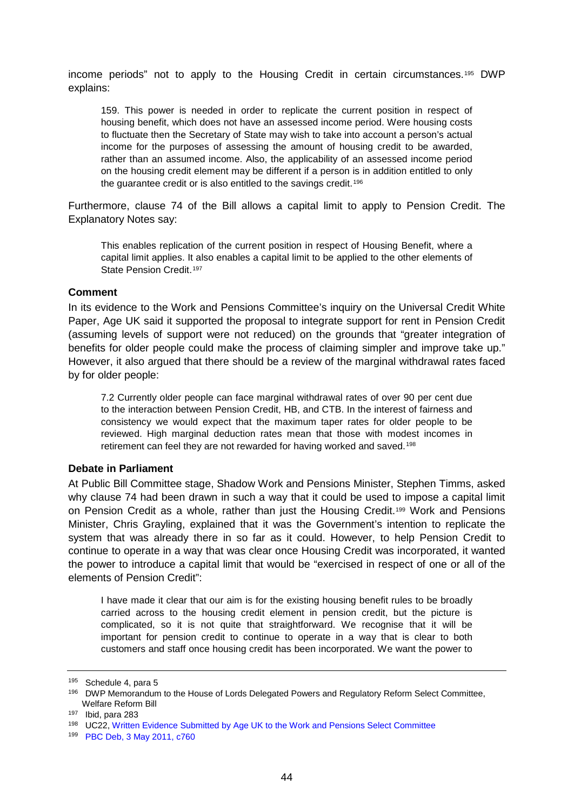income periods" not to apply to the Housing Credit in certain circumstances.[195](#page-43-0) DWP explains:

159. This power is needed in order to replicate the current position in respect of housing benefit, which does not have an assessed income period. Were housing costs to fluctuate then the Secretary of State may wish to take into account a person's actual income for the purposes of assessing the amount of housing credit to be awarded, rather than an assumed income. Also, the applicability of an assessed income period on the housing credit element may be different if a person is in addition entitled to only the guarantee credit or is also entitled to the savings credit.<sup>[196](#page-43-1)</sup>

Furthermore, clause 74 of the Bill allows a capital limit to apply to Pension Credit. The Explanatory Notes say:

This enables replication of the current position in respect of Housing Benefit, where a capital limit applies. It also enables a capital limit to be applied to the other elements of State Pension Credit.<sup>[197](#page-43-2)</sup>

#### **Comment**

In its evidence to the Work and Pensions Committee's inquiry on the Universal Credit White Paper, Age UK said it supported the proposal to integrate support for rent in Pension Credit (assuming levels of support were not reduced) on the grounds that "greater integration of benefits for older people could make the process of claiming simpler and improve take up." However, it also argued that there should be a review of the marginal withdrawal rates faced by for older people:

7.2 Currently older people can face marginal withdrawal rates of over 90 per cent due to the interaction between Pension Credit, HB, and CTB. In the interest of fairness and consistency we would expect that the maximum taper rates for older people to be reviewed. High marginal deduction rates mean that those with modest incomes in retirement can feel they are not rewarded for having worked and saved.[198](#page-43-3)

#### **Debate in Parliament**

At Public Bill Committee stage, Shadow Work and Pensions Minister, Stephen Timms, asked why clause 74 had been drawn in such a way that it could be used to impose a capital limit on Pension Credit as a whole, rather than just the Housing Credit.<sup>[199](#page-43-4)</sup> Work and Pensions Minister, Chris Grayling, explained that it was the Government's intention to replicate the system that was already there in so far as it could. However, to help Pension Credit to continue to operate in a way that was clear once Housing Credit was incorporated, it wanted the power to introduce a capital limit that would be "exercised in respect of one or all of the elements of Pension Credit":

I have made it clear that our aim is for the existing housing benefit rules to be broadly carried across to the housing credit element in pension credit, but the picture is complicated, so it is not quite that straightforward. We recognise that it will be important for pension credit to continue to operate in a way that is clear to both customers and staff once housing credit has been incorporated. We want the power to

<span id="page-43-0"></span><sup>195</sup> Schedule 4, para 5

<span id="page-43-1"></span><sup>196</sup> DWP Memorandum to the House of Lords Delegated Powers and Regulatory Reform Select Committee, Welfare Reform Bill

<span id="page-43-2"></span><sup>197</sup> Ibid, para 283

<span id="page-43-3"></span><sup>198</sup> UC22[, Written Evidence Submitted by Age UK to the Work and Pensions](http://www.publications.parliament.uk/pa/cm201011/cmselect/cmworpen/writev/whitepap/uc22.htm) Select Committee

<span id="page-43-4"></span><sup>199</sup> [PBC Deb, 3 May 2011, c760](http://www.publications.parliament.uk/pa/cm201011/cmpublic/welfare/110503/pm/110503s01.htm)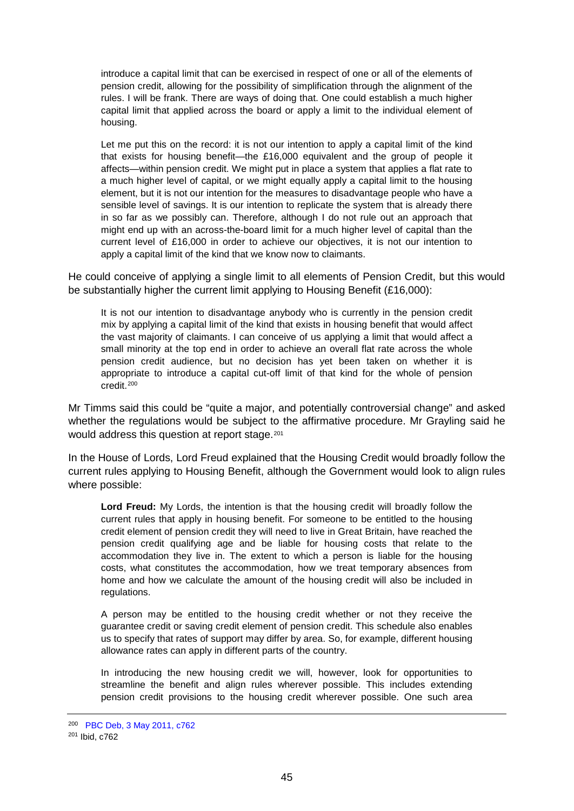introduce a capital limit that can be exercised in respect of one or all of the elements of pension credit, allowing for the possibility of simplification through the alignment of the rules. I will be frank. There are ways of doing that. One could establish a much higher capital limit that applied across the board or apply a limit to the individual element of housing.

Let me put this on the record: it is not our intention to apply a capital limit of the kind that exists for housing benefit—the £16,000 equivalent and the group of people it affects—within pension credit. We might put in place a system that applies a flat rate to a much higher level of capital, or we might equally apply a capital limit to the housing element, but it is not our intention for the measures to disadvantage people who have a sensible level of savings. It is our intention to replicate the system that is already there in so far as we possibly can. Therefore, although I do not rule out an approach that might end up with an across-the-board limit for a much higher level of capital than the current level of £16,000 in order to achieve our objectives, it is not our intention to apply a capital limit of the kind that we know now to claimants.

He could conceive of applying a single limit to all elements of Pension Credit, but this would be substantially higher the current limit applying to Housing Benefit (£16,000):

It is not our intention to disadvantage anybody who is currently in the pension credit mix by applying a capital limit of the kind that exists in housing benefit that would affect the vast majority of claimants. I can conceive of us applying a limit that would affect a small minority at the top end in order to achieve an overall flat rate across the whole pension credit audience, but no decision has yet been taken on whether it is appropriate to introduce a capital cut-off limit of that kind for the whole of pension credit.[200](#page-44-0)

Mr Timms said this could be "quite a major, and potentially controversial change" and asked whether the regulations would be subject to the affirmative procedure. Mr Grayling said he would address this question at report stage.<sup>[201](#page-44-1)</sup>

In the House of Lords, Lord Freud explained that the Housing Credit would broadly follow the current rules applying to Housing Benefit, although the Government would look to align rules where possible:

**Lord Freud:** My Lords, the intention is that the housing credit will broadly follow the current rules that apply in housing benefit. For someone to be entitled to the housing credit element of pension credit they will need to live in Great Britain, have reached the pension credit qualifying age and be liable for housing costs that relate to the accommodation they live in. The extent to which a person is liable for the housing costs, what constitutes the accommodation, how we treat temporary absences from home and how we calculate the amount of the housing credit will also be included in regulations.

A person may be entitled to the housing credit whether or not they receive the guarantee credit or saving credit element of pension credit. This schedule also enables us to specify that rates of support may differ by area. So, for example, different housing allowance rates can apply in different parts of the country.

In introducing the new housing credit we will, however, look for opportunities to streamline the benefit and align rules wherever possible. This includes extending pension credit provisions to the housing credit wherever possible. One such area

<span id="page-44-1"></span><span id="page-44-0"></span><sup>200</sup> [PBC Deb, 3 May 2011, c762](http://www.publications.parliament.uk/pa/cm201011/cmpublic/welfare/110503/pm/110503s01.htm) <sup>201</sup> Ibid, c762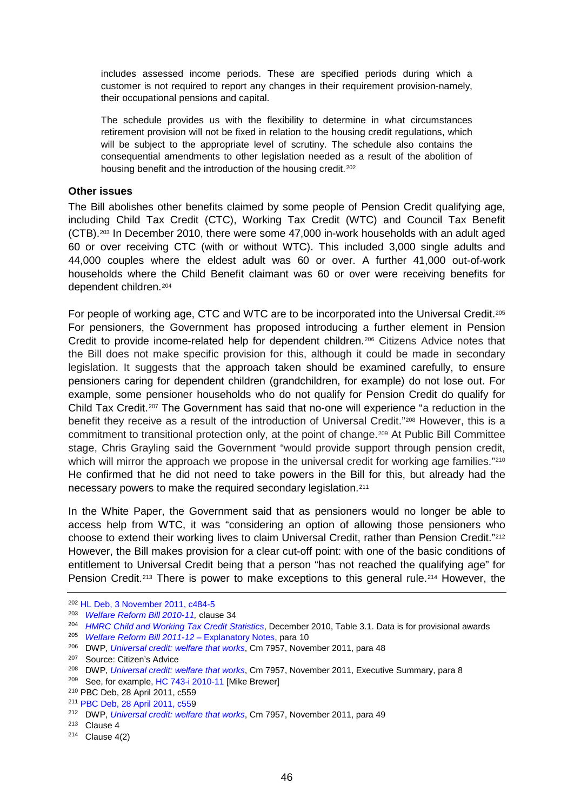includes assessed income periods. These are specified periods during which a customer is not required to report any changes in their requirement provision-namely, their occupational pensions and capital.

The schedule provides us with the flexibility to determine in what circumstances retirement provision will not be fixed in relation to the housing credit regulations, which will be subject to the appropriate level of scrutiny. The schedule also contains the consequential amendments to other legislation needed as a result of the abolition of housing benefit and the introduction of the housing credit.<sup>[202](#page-45-0)</sup>

#### **Other issues**

The Bill abolishes other benefits claimed by some people of Pension Credit qualifying age, including Child Tax Credit (CTC), Working Tax Credit (WTC) and Council Tax Benefit (CTB).[203](#page-45-1) In December 2010, there were some 47,000 in-work households with an adult aged 60 or over receiving CTC (with or without WTC). This included 3,000 single adults and 44,000 couples where the eldest adult was 60 or over. A further 41,000 out-of-work households where the Child Benefit claimant was 60 or over were receiving benefits for dependent children.[204](#page-45-2)

For people of working age, CTC and WTC are to be incorporated into the Universal Credit[.205](#page-45-3)  For pensioners, the Government has proposed introducing a further element in Pension Credit to provide income-related help for dependent children.[206](#page-45-4) Citizens Advice notes that the Bill does not make specific provision for this, although it could be made in secondary legislation. It suggests that the approach taken should be examined carefully, to ensure pensioners caring for dependent children (grandchildren, for example) do not lose out. For example, some pensioner households who do not qualify for Pension Credit do qualify for Child Tax Credit.[207](#page-45-5) The Government has said that no-one will experience "a reduction in the benefit they receive as a result of the introduction of Universal Credit."[208](#page-45-6) However, this is a commitment to transitional protection only, at the point of change.[209](#page-45-7) At Public Bill Committee stage, Chris Grayling said the Government "would provide support through pension credit, which will mirror the approach we propose in the universal credit for working age families."<sup>210</sup> He confirmed that he did not need to take powers in the Bill for this, but already had the necessary powers to make the required secondary legislation.[211](#page-45-9)

In the White Paper, the Government said that as pensioners would no longer be able to access help from WTC, it was "considering an option of allowing those pensioners who choose to extend their working lives to claim Universal Credit, rather than Pension Credit.["212](#page-45-10) However, the Bill makes provision for a clear cut-off point: with one of the basic conditions of entitlement to Universal Credit being that a person "has not reached the qualifying age" for Pension Credit.[213](#page-45-11) There is power to make exceptions to this general rule.[214](#page-45-12) However, the

<sup>202</sup> [HL Deb, 3 November 2011, c484-5](http://www.publications.parliament.uk/pa/ld201011/ldhansrd/text/111103-gc0001.htm#11110386000046)

<span id="page-45-1"></span><span id="page-45-0"></span><sup>203</sup> *[Welfare Reform Bill 2010-11,](http://www.publications.parliament.uk/pa/cm201011/cmbills/154/11154.i-v.html)* clause 34

<sup>204</sup> *[HMRC Child and Working Tax Credit Statistics](http://www.hmrc.gov.uk/stats/personal-tax-credits/cwtc-quarterly-stats.htm)*, December 2010, Table 3.1. Data is for provisional awards

<span id="page-45-3"></span><span id="page-45-2"></span><sup>205</sup> *Welfare Reform Bill 2011-12 –* [Explanatory Notes,](http://www.publications.parliament.uk/pa/cm201011/cmbills/154/en/11154en.htm) para 10

<span id="page-45-4"></span><sup>206</sup> DWP, *[Universal credit: welfare that works](http://www.dwp.gov.uk/docs/universal-credit-full-document.pdf#page=26)*, Cm 7957, November 2011, para 48

Source: Citizen's Advice

<span id="page-45-6"></span><span id="page-45-5"></span><sup>208</sup> DWP, *[Universal credit: welfare that works](http://www.dwp.gov.uk/docs/universal-credit-full-document.pdf#page=26)*, Cm 7957, November 2011, Executive Summary, para 8

<span id="page-45-8"></span><span id="page-45-7"></span><sup>&</sup>lt;sup>209</sup> See, for example, HC 743-i 2010-11 [Mike Brewer]<br><sup>210</sup> PBC Deb, 28 April 2011, c559

<span id="page-45-9"></span><sup>211</sup> PBC [Deb, 28 April 2011, c559](http://www.publications.parliament.uk/pa/cm201011/cmpublic/welfare/110428/am/110428s01.htm)

<span id="page-45-10"></span><sup>212</sup> DWP, *[Universal credit: welfare that works](http://www.dwp.gov.uk/docs/universal-credit-full-document.pdf#page=26)*, Cm 7957, November 2011, para 49

<span id="page-45-11"></span><sup>213</sup> Clause 4

<span id="page-45-12"></span> $214$  Clause 4(2)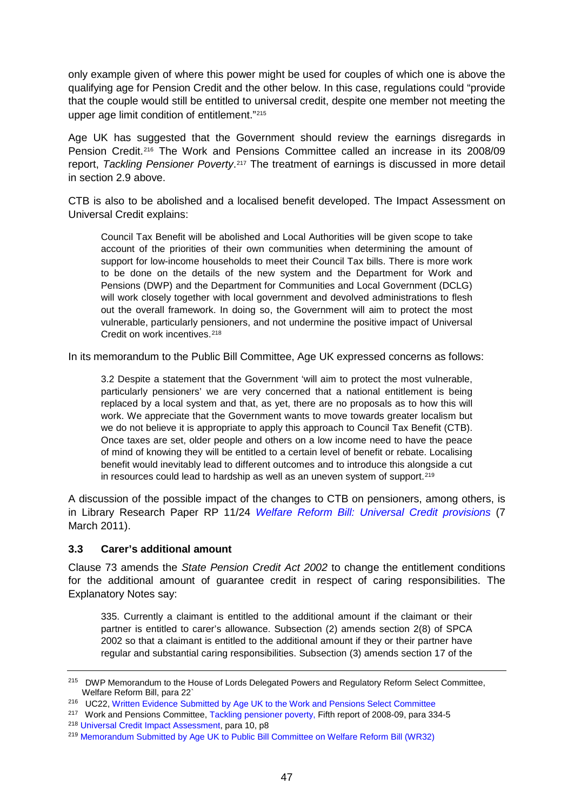only example given of where this power might be used for couples of which one is above the qualifying age for Pension Credit and the other below. In this case, regulations could "provide that the couple would still be entitled to universal credit, despite one member not meeting the upper age limit condition of entitlement."[215](#page-46-0)

Age UK has suggested that the Government should review the earnings disregards in Pension Credit.[216](#page-46-1) The Work and Pensions Committee called an increase in its 2008/09 report, *Tackling Pensioner Poverty*.[217](#page-46-2) The treatment of earnings is discussed in more detail in section [2.9 above.](#page-32-6)

CTB is also to be abolished and a localised benefit developed. The Impact Assessment on Universal Credit explains:

Council Tax Benefit will be abolished and Local Authorities will be given scope to take account of the priorities of their own communities when determining the amount of support for low-income households to meet their Council Tax bills. There is more work to be done on the details of the new system and the Department for Work and Pensions (DWP) and the Department for Communities and Local Government (DCLG) will work closely together with local government and devolved administrations to flesh out the overall framework. In doing so, the Government will aim to protect the most vulnerable, particularly pensioners, and not undermine the positive impact of Universal Credit on work incentives.<sup>[218](#page-46-3)</sup>

In its memorandum to the Public Bill Committee, Age UK expressed concerns as follows:

3.2 Despite a statement that the Government 'will aim to protect the most vulnerable, particularly pensioners' we are very concerned that a national entitlement is being replaced by a local system and that, as yet, there are no proposals as to how this will work. We appreciate that the Government wants to move towards greater localism but we do not believe it is appropriate to apply this approach to Council Tax Benefit (CTB). Once taxes are set, older people and others on a low income need to have the peace of mind of knowing they will be entitled to a certain level of benefit or rebate. Localising benefit would inevitably lead to different outcomes and to introduce this alongside a cut in resources could lead to hardship as well as an uneven system of support.<sup>[219](#page-46-4)</sup>

A discussion of the possible impact of the changes to CTB on pensioners, among others, is in Library Research Paper RP 11/24 *[Welfare Reform Bill: Universal Credit provisions](http://www.parliament.uk/briefing-papers/RP11-24)* (7 March 2011).

### **3.3 Carer's additional amount**

Clause 73 amends the *State Pension Credit Act 2002* to change the entitlement conditions for the additional amount of guarantee credit in respect of caring responsibilities. The Explanatory Notes say:

335. Currently a claimant is entitled to the additional amount if the claimant or their partner is entitled to carer's allowance. Subsection (2) amends section 2(8) of SPCA 2002 so that a claimant is entitled to the additional amount if they or their partner have regular and substantial caring responsibilities. Subsection (3) amends section 17 of the

<span id="page-46-0"></span><sup>&</sup>lt;sup>215</sup> DWP Memorandum to the House of Lords Delegated Powers and Regulatory Reform Select Committee, Welfare Reform Bill, para 22`

<span id="page-46-1"></span><sup>216</sup> UC22[, Written Evidence Submitted by Age UK to the Work and Pensions](http://www.publications.parliament.uk/pa/cm201011/cmselect/cmworpen/writev/whitepap/uc22.htm) Select Committee

<span id="page-46-2"></span><sup>&</sup>lt;sup>217</sup> Work and Pensions Committee[, Tackling pensioner poverty,](http://www.publications.parliament.uk/pa/cm200809/cmselect/cmworpen/411/41110.htm) Fifth report of 2008-09, para 334-5

<span id="page-46-3"></span><sup>218</sup> [Universal Credit Impact Assessment,](http://www.dwp.gov.uk/docs/universal-credit-ia-white-paper.pdf) para 10, p8

<span id="page-46-4"></span><sup>219</sup> [Memorandum Submitted by Age UK to Public Bill Committee on Welfare Reform Bill \(WR32\)](http://www.publications.parliament.uk/pa/cm201011/cmpublic/welfare/memo/wr32.htm)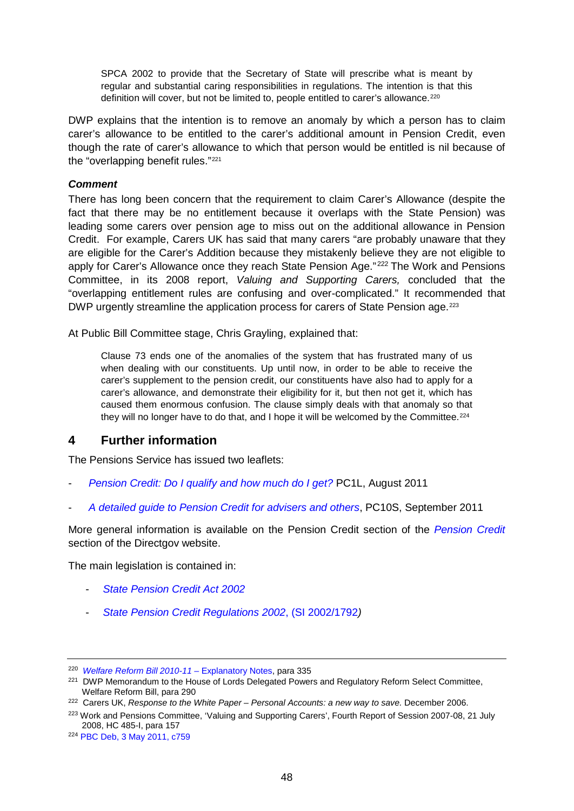SPCA 2002 to provide that the Secretary of State will prescribe what is meant by regular and substantial caring responsibilities in regulations. The intention is that this definition will cover, but not be limited to, people entitled to carer's allowance.<sup>[220](#page-47-0)</sup>

DWP explains that the intention is to remove an anomaly by which a person has to claim carer's allowance to be entitled to the carer's additional amount in Pension Credit, even though the rate of carer's allowance to which that person would be entitled is nil because of the "overlapping benefit rules."[221](#page-47-1)

## *Comment*

There has long been concern that the requirement to claim Carer's Allowance (despite the fact that there may be no entitlement because it overlaps with the State Pension) was leading some carers over pension age to miss out on the additional allowance in Pension Credit. For example, Carers UK has said that many carers "are probably unaware that they are eligible for the Carer's Addition because they mistakenly believe they are not eligible to apply for Carer's Allowance once they reach State Pension Age." [222](#page-47-2) The Work and Pensions Committee, in its 2008 report, *Valuing and Supporting Carers,* concluded that the "overlapping entitlement rules are confusing and over-complicated." It recommended that DWP urgently streamline the application process for carers of State Pension age.<sup>[223](#page-47-3)</sup>

At Public Bill Committee stage, Chris Grayling, explained that:

Clause 73 ends one of the anomalies of the system that has frustrated many of us when dealing with our constituents. Up until now, in order to be able to receive the carer's supplement to the pension credit, our constituents have also had to apply for a carer's allowance, and demonstrate their eligibility for it, but then not get it, which has caused them enormous confusion. The clause simply deals with that anomaly so that they will no longer have to do that, and I hope it will be welcomed by the Committee.<sup>[224](#page-47-4)</sup>

## **4 Further information**

The Pensions Service has issued two leaflets:

- *[Pension Credit: Do I qualify and how much do I get?](http://www.direct.gov.uk/prod_consum_dg/groups/dg_digitalassets/@dg/@en/@over50/documents/digitalasset/dg_180224.pdf)* PC1L, August 2011
- *[A detailed guide to Pension Credit for advisers and others](http://www.dwp.gov.uk/publications/specialist-guides/technical-guidance/pc10s-guide-to-pension-credit/income-disregards/)*, PC10S, September 2011

More general information is available on the Pension Credit section of the *[Pension Credit](http://www.direct.gov.uk/en/Pensionsandretirementplanning/PensionCredit/index.htm)* section of the Directgov website.

The main legislation is contained in:

- *[State Pension Credit Act 2002](http://www.legislation.hmso.gov.uk/acts/acts2002/20020016.htm)*
- *[State Pension Credit Regulations 2002](http://www.legislation.gov.uk/uksi/2002/1792/contents/made)*, (SI 2002/1792*)*

<span id="page-47-0"></span><sup>220</sup> *[Welfare Reform Bill 2010-11](http://www.publications.parliament.uk/pa/cm201011/cmbills/154/en/11154en.htm) –* Explanatory Notes, para 335

<span id="page-47-1"></span><sup>&</sup>lt;sup>221</sup> DWP Memorandum to the House of Lords Delegated Powers and Regulatory Reform Select Committee, Welfare Reform Bill, para 290

<span id="page-47-2"></span><sup>222</sup> Carers UK, *Response to the White Paper – Personal Accounts: a new way to save.* December 2006.

<span id="page-47-3"></span><sup>&</sup>lt;sup>223</sup> Work and Pensions Committee, 'Valuing and Supporting Carers', Fourth Report of Session 2007-08, 21 July 2008, HC 485-I, para 157

<span id="page-47-4"></span><sup>224</sup> [PBC Deb, 3 May 2011, c759](http://www.publications.parliament.uk/pa/cm201011/cmpublic/welfare/110503/pm/110503s01.htm)